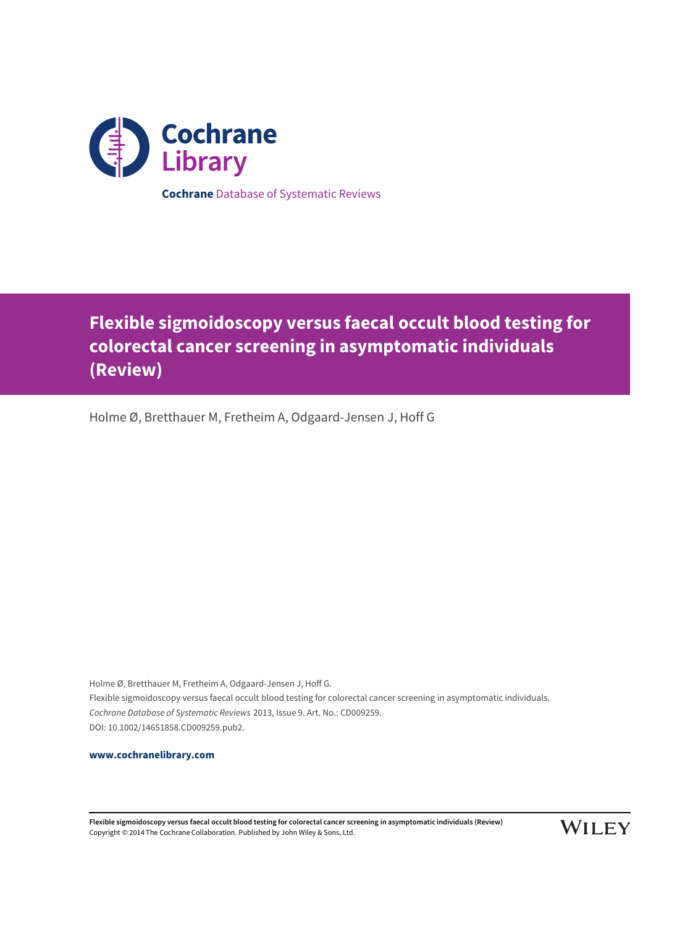

**Flexible sigmoidoscopy versus faecal occult blood testing for colorectal cancer screening in asymptomatic individuals (Review)**

Holme Ø, Bretthauer M, Fretheim A, Odgaard-Jensen J, Hoff G

Holme Ø, Bretthauer M, Fretheim A, Odgaard-Jensen J, Hoff G. Flexible sigmoidoscopy versus faecal occult blood testing for colorectal cancer screening in asymptomatic individuals. Cochrane Database of Systematic Reviews 2013, Issue 9. Art. No.: CD009259. DOI: 10.1002/14651858.CD009259.pub2.

**[www.cochranelibrary.com](http://www.cochranelibrary.com)**

**Flexible sigmoidoscopy versus faecal occult blood testing for colorectal cancer screening in asymptomatic individuals (Review)** Copyright © 2014 The Cochrane Collaboration. Published by John Wiley & Sons, Ltd.

**WILEY**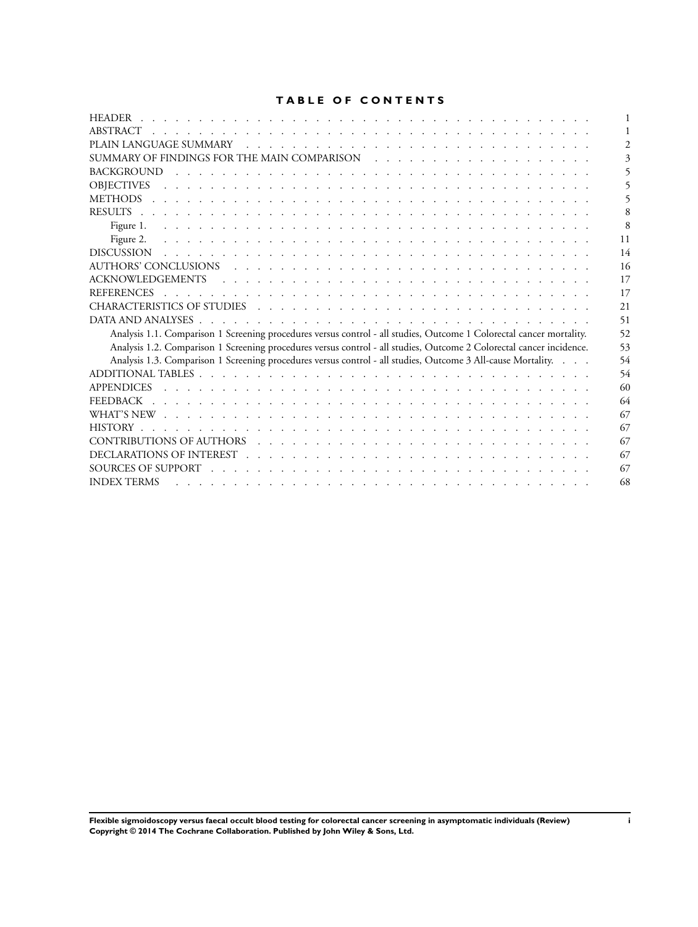## **TABLE OF CONTENTS**

| <b>HEADER</b>                                                                                                                                                                                                                                             |
|-----------------------------------------------------------------------------------------------------------------------------------------------------------------------------------------------------------------------------------------------------------|
|                                                                                                                                                                                                                                                           |
|                                                                                                                                                                                                                                                           |
|                                                                                                                                                                                                                                                           |
|                                                                                                                                                                                                                                                           |
| <b>OBJECTIVES</b>                                                                                                                                                                                                                                         |
|                                                                                                                                                                                                                                                           |
|                                                                                                                                                                                                                                                           |
| Figure 1.                                                                                                                                                                                                                                                 |
| 11                                                                                                                                                                                                                                                        |
| 14                                                                                                                                                                                                                                                        |
| 16                                                                                                                                                                                                                                                        |
| 17                                                                                                                                                                                                                                                        |
| <b>REFERENCES</b><br>and the contract of the contract of the contract of the contract of the contract of the contract of the contract of the contract of the contract of the contract of the contract of the contract of the contract of the contra<br>17 |
| 21                                                                                                                                                                                                                                                        |
| 51                                                                                                                                                                                                                                                        |
| Analysis 1.1. Comparison 1 Screening procedures versus control - all studies, Outcome 1 Colorectal cancer mortality.<br>52                                                                                                                                |
| Analysis 1.2. Comparison 1 Screening procedures versus control - all studies, Outcome 2 Colorectal cancer incidence.<br>53                                                                                                                                |
| Analysis 1.3. Comparison 1 Screening procedures versus control - all studies, Outcome 3 All-cause Mortality.<br>54                                                                                                                                        |
| 54                                                                                                                                                                                                                                                        |
| 60                                                                                                                                                                                                                                                        |
| 64                                                                                                                                                                                                                                                        |
| 67                                                                                                                                                                                                                                                        |
| 67                                                                                                                                                                                                                                                        |
| 67                                                                                                                                                                                                                                                        |
| 67                                                                                                                                                                                                                                                        |
| 67                                                                                                                                                                                                                                                        |
| <b>INDEX TERMS</b><br>68<br>والمتعاونة والمتعارف والمتعاونة والمتعاونة والمتعاونة والمتعاونة والمتعاونة والمتعاونة والمتعاونة والمتعاونة                                                                                                                  |

**Flexible sigmoidoscopy versus faecal occult blood testing for colorectal cancer screening in asymptomatic individuals (Review) i Copyright © 2014 The Cochrane Collaboration. Published by John Wiley & Sons, Ltd.**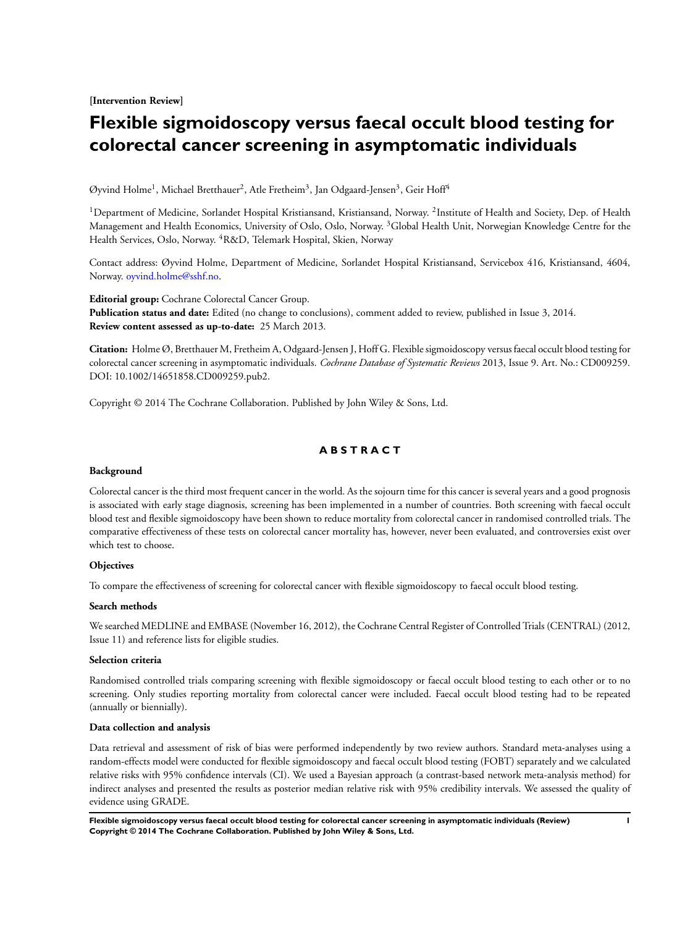**[Intervention Review]**

# **Flexible sigmoidoscopy versus faecal occult blood testing for colorectal cancer screening in asymptomatic individuals**

Øyvind Holme $^1$ , Michael Bretthauer $^2$ , Atle Fretheim $^3$ , Jan Odgaard-Jensen $^3$ , Geir Hoff $^4$ 

<sup>1</sup>Department of Medicine, Sorlandet Hospital Kristiansand, Kristiansand, Norway. <sup>2</sup>Institute of Health and Society, Dep. of Health Management and Health Economics, University of Oslo, Oslo, Norway. <sup>3</sup>Global Health Unit, Norwegian Knowledge Centre for the Health Services, Oslo, Norway. <sup>4</sup>R&D, Telemark Hospital, Skien, Norway

Contact address: Øyvind Holme, Department of Medicine, Sorlandet Hospital Kristiansand, Servicebox 416, Kristiansand, 4604, Norway. [oyvind.holme@sshf.no.](mailto:oyvind.holme@sshf.no)

**Editorial group:** Cochrane Colorectal Cancer Group.

**Publication status and date:** Edited (no change to conclusions), comment added to review, published in Issue 3, 2014. **Review content assessed as up-to-date:** 25 March 2013.

**Citation:** Holme Ø, Bretthauer M, Fretheim A, Odgaard-Jensen J, Hoff G. Flexible sigmoidoscopy versus faecal occult blood testing for colorectal cancer screening in asymptomatic individuals. *Cochrane Database of Systematic Reviews* 2013, Issue 9. Art. No.: CD009259. DOI: 10.1002/14651858.CD009259.pub2.

Copyright © 2014 The Cochrane Collaboration. Published by John Wiley & Sons, Ltd.

## **A B S T R A C T**

### **Background**

Colorectal cancer is the third most frequent cancer in the world. As the sojourn time for this cancer is several years and a good prognosis is associated with early stage diagnosis, screening has been implemented in a number of countries. Both screening with faecal occult blood test and flexible sigmoidoscopy have been shown to reduce mortality from colorectal cancer in randomised controlled trials. The comparative effectiveness of these tests on colorectal cancer mortality has, however, never been evaluated, and controversies exist over which test to choose.

## **Objectives**

To compare the effectiveness of screening for colorectal cancer with flexible sigmoidoscopy to faecal occult blood testing.

### **Search methods**

We searched MEDLINE and EMBASE (November 16, 2012), the Cochrane Central Register of Controlled Trials (CENTRAL) (2012, Issue 11) and reference lists for eligible studies.

### **Selection criteria**

Randomised controlled trials comparing screening with flexible sigmoidoscopy or faecal occult blood testing to each other or to no screening. Only studies reporting mortality from colorectal cancer were included. Faecal occult blood testing had to be repeated (annually or biennially).

### **Data collection and analysis**

Data retrieval and assessment of risk of bias were performed independently by two review authors. Standard meta-analyses using a random-effects model were conducted for flexible sigmoidoscopy and faecal occult blood testing (FOBT) separately and we calculated relative risks with 95% confidence intervals (CI). We used a Bayesian approach (a contrast-based network meta-analysis method) for indirect analyses and presented the results as posterior median relative risk with 95% credibility intervals. We assessed the quality of evidence using GRADE.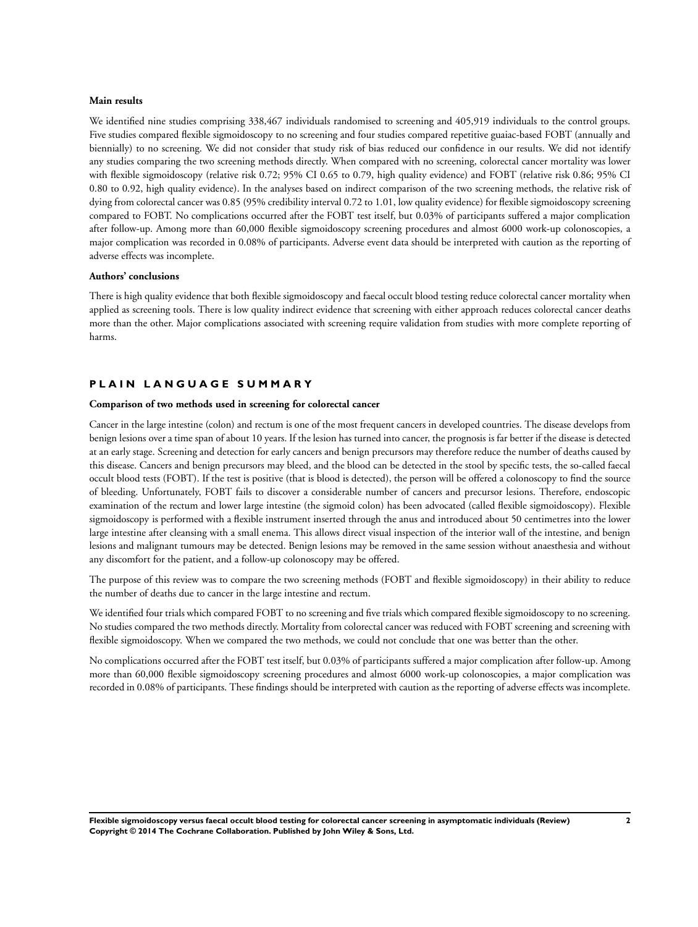#### **Main results**

We identified nine studies comprising 338,467 individuals randomised to screening and 405,919 individuals to the control groups. Five studies compared flexible sigmoidoscopy to no screening and four studies compared repetitive guaiac-based FOBT (annually and biennially) to no screening. We did not consider that study risk of bias reduced our confidence in our results. We did not identify any studies comparing the two screening methods directly. When compared with no screening, colorectal cancer mortality was lower with flexible sigmoidoscopy (relative risk 0.72; 95% CI 0.65 to 0.79, high quality evidence) and FOBT (relative risk 0.86; 95% CI 0.80 to 0.92, high quality evidence). In the analyses based on indirect comparison of the two screening methods, the relative risk of dying from colorectal cancer was 0.85 (95% credibility interval 0.72 to 1.01, low quality evidence) for flexible sigmoidoscopy screening compared to FOBT. No complications occurred after the FOBT test itself, but 0.03% of participants suffered a major complication after follow-up. Among more than 60,000 flexible sigmoidoscopy screening procedures and almost 6000 work-up colonoscopies, a major complication was recorded in 0.08% of participants. Adverse event data should be interpreted with caution as the reporting of adverse effects was incomplete.

### **Authors' conclusions**

There is high quality evidence that both flexible sigmoidoscopy and faecal occult blood testing reduce colorectal cancer mortality when applied as screening tools. There is low quality indirect evidence that screening with either approach reduces colorectal cancer deaths more than the other. Major complications associated with screening require validation from studies with more complete reporting of harms.

## **P L A I N L A N G U A G E S U M M A R Y**

#### **Comparison of two methods used in screening for colorectal cancer**

Cancer in the large intestine (colon) and rectum is one of the most frequent cancers in developed countries. The disease develops from benign lesions over a time span of about 10 years. If the lesion has turned into cancer, the prognosis is far better if the disease is detected at an early stage. Screening and detection for early cancers and benign precursors may therefore reduce the number of deaths caused by this disease. Cancers and benign precursors may bleed, and the blood can be detected in the stool by specific tests, the so-called faecal occult blood tests (FOBT). If the test is positive (that is blood is detected), the person will be offered a colonoscopy to find the source of bleeding. Unfortunately, FOBT fails to discover a considerable number of cancers and precursor lesions. Therefore, endoscopic examination of the rectum and lower large intestine (the sigmoid colon) has been advocated (called flexible sigmoidoscopy). Flexible sigmoidoscopy is performed with a flexible instrument inserted through the anus and introduced about 50 centimetres into the lower large intestine after cleansing with a small enema. This allows direct visual inspection of the interior wall of the intestine, and benign lesions and malignant tumours may be detected. Benign lesions may be removed in the same session without anaesthesia and without any discomfort for the patient, and a follow-up colonoscopy may be offered.

The purpose of this review was to compare the two screening methods (FOBT and flexible sigmoidoscopy) in their ability to reduce the number of deaths due to cancer in the large intestine and rectum.

We identified four trials which compared FOBT to no screening and five trials which compared flexible sigmoidoscopy to no screening. No studies compared the two methods directly. Mortality from colorectal cancer was reduced with FOBT screening and screening with flexible sigmoidoscopy. When we compared the two methods, we could not conclude that one was better than the other.

No complications occurred after the FOBT test itself, but 0.03% of participants suffered a major complication after follow-up. Among more than 60,000 flexible sigmoidoscopy screening procedures and almost 6000 work-up colonoscopies, a major complication was recorded in 0.08% of participants. These findings should be interpreted with caution as the reporting of adverse effects was incomplete.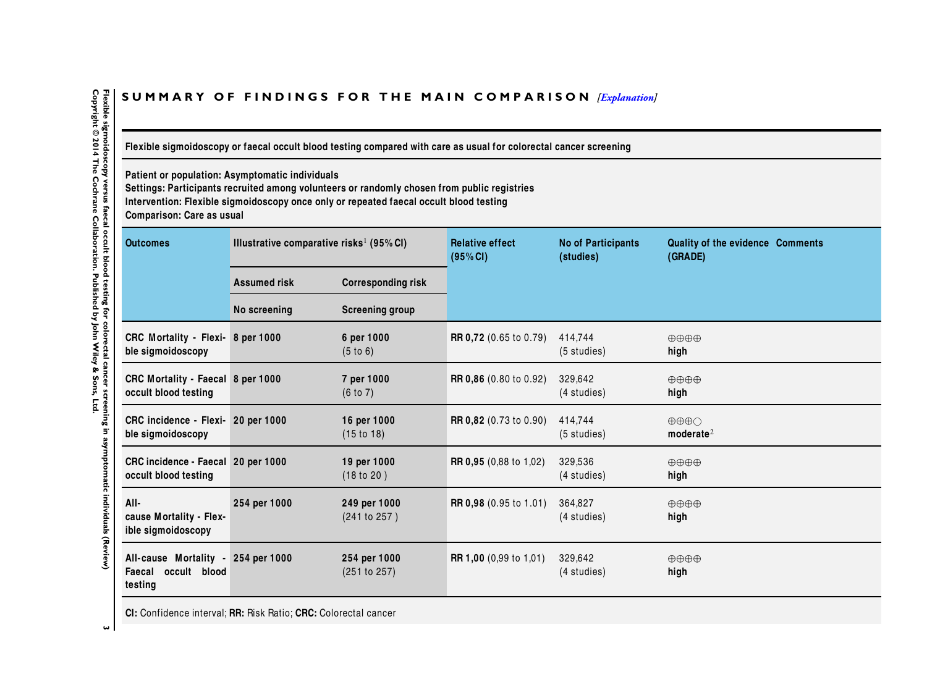# <span id="page-4-0"></span>SUMMARY OF FINDINGS FOR THE MAIN COMPARISON *[\[Explanation\]](http://www.thecochranelibrary.com/view/0/SummaryFindings.html)*

Flexible sigmoidoscopy or faecal occult blood testing compared with care as usual for colorectal cancer screening

**Patient or population: Asymptomatic individuals**

Settings: Participants recruited among volunteers or randomly chosen from public registries

Intervention: Flexible sigmoidoscopy once only or repeated faecal occult blood testing

**Comparison: Care as usual**

| <b>Outcomes</b>                                                         | Illustrative comparative risks <sup>1</sup> (95% CI) |                              | <b>Relative effect</b><br>(95% CI) | <b>No of Participants</b><br>(studies) | Quality of the evidence Comments<br>(GRADE)     |
|-------------------------------------------------------------------------|------------------------------------------------------|------------------------------|------------------------------------|----------------------------------------|-------------------------------------------------|
|                                                                         | <b>Assumed risk</b>                                  | <b>Corresponding risk</b>    |                                    |                                        |                                                 |
|                                                                         | No screening                                         | <b>Screening group</b>       |                                    |                                        |                                                 |
| CRC Mortality - Flexi- 8 per 1000<br>ble sigmoidoscopy                  |                                                      | 6 per 1000<br>(5 to 6)       | <b>RR 0,72</b> (0.65 to 0.79)      | 414,744<br>(5 studies)                 | $\oplus \oplus \oplus \oplus$<br>high           |
| CRC Mortality - Faecal 8 per 1000<br>occult blood testing               |                                                      | 7 per 1000<br>(6 to 7)       | <b>RR 0.86</b> (0.80 to 0.92)      | 329,642<br>(4 studies)                 | $\oplus \oplus \oplus \oplus$<br>high           |
| CRC incidence - Flexi- 20 per 1000<br>ble sigmoidoscopy                 |                                                      | 16 per 1000<br>(15 to 18)    | <b>RR 0.82</b> (0.73 to 0.90)      | 414,744<br>(5 studies)                 | $\oplus \oplus \oplus \bigcirc$<br>moderate $2$ |
| CRC incidence - Faecal 20 per 1000<br>occult blood testing              |                                                      | 19 per 1000<br>(18 to 20)    | <b>RR 0,95</b> (0,88 to 1,02)      | 329,536<br>(4 studies)                 | $\oplus \oplus \oplus \oplus$<br>high           |
| All-<br>cause Mortality - Flex-<br>ible sigmoidoscopy                   | 254 per 1000                                         | 249 per 1000<br>(241 to 257) | <b>RR 0.98</b> (0.95 to 1.01)      | 364,827<br>(4 studies)                 | $\oplus \oplus \oplus \oplus$<br>high           |
| All-cause Mortality - 254 per 1000<br>occult blood<br>Faecal<br>testing |                                                      | 254 per 1000<br>(251 to 257) | <b>RR 1,00</b> (0,99 to 1,01)      | 329,642<br>(4 studies)                 | $\oplus \oplus \oplus \oplus$<br>high           |

**CI:** Confidence interval; **RR:** Risk Ratio; **CRC:** Colorectal cancer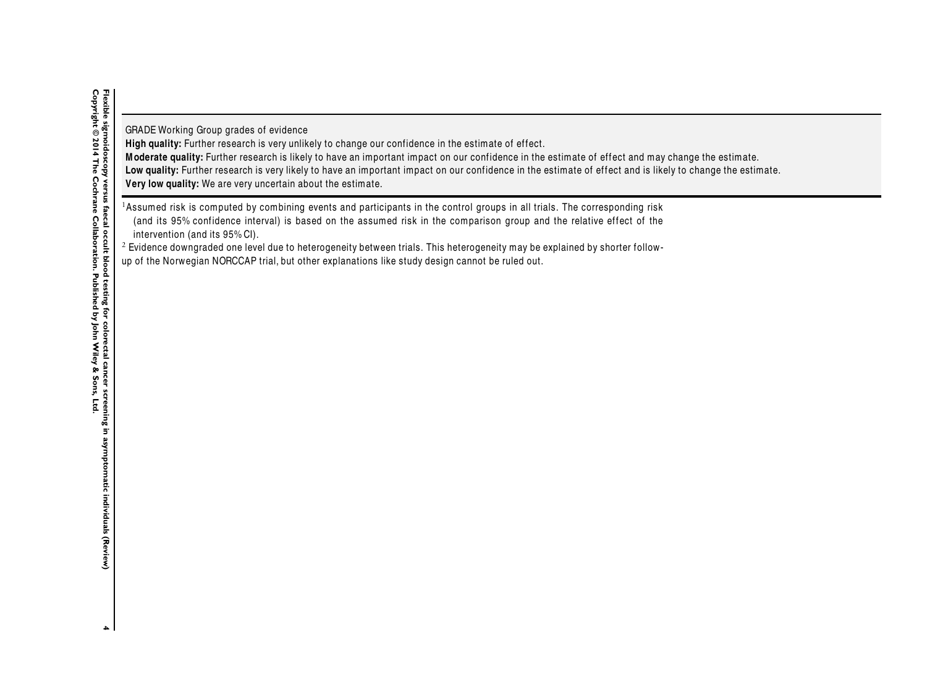GRADE Working Group grades of evidence

**High quality:** Further research is very unlikely to change our confidence in the estimate of effect.

**M oderate quality:** Further research is likely to have an important impact on our confidence in the estimate of effect and may change the estimate.

**Low quality:** Further research is very likely to have an important impact on our confidence in the estimate of effect and is likely to change the estimate.

**Very low quality:** We are very uncertain about the estimate.

<sup>1</sup>Assumed risk is computed by combining events and participants in the control groups in all trials. The corresponding risk (and its 95% confidence interval) is based on the assumed risk in the comparison group and the relative effect of theintervention (and its 95% CI).

 $^{\rm 2}$  Evidence downgraded one level due to heterogeneity between trials. This heterogeneity may be explained by shorter follow-

up of the Norwegian NORCCAP trial, but other explanations like study design cannot be ruled out.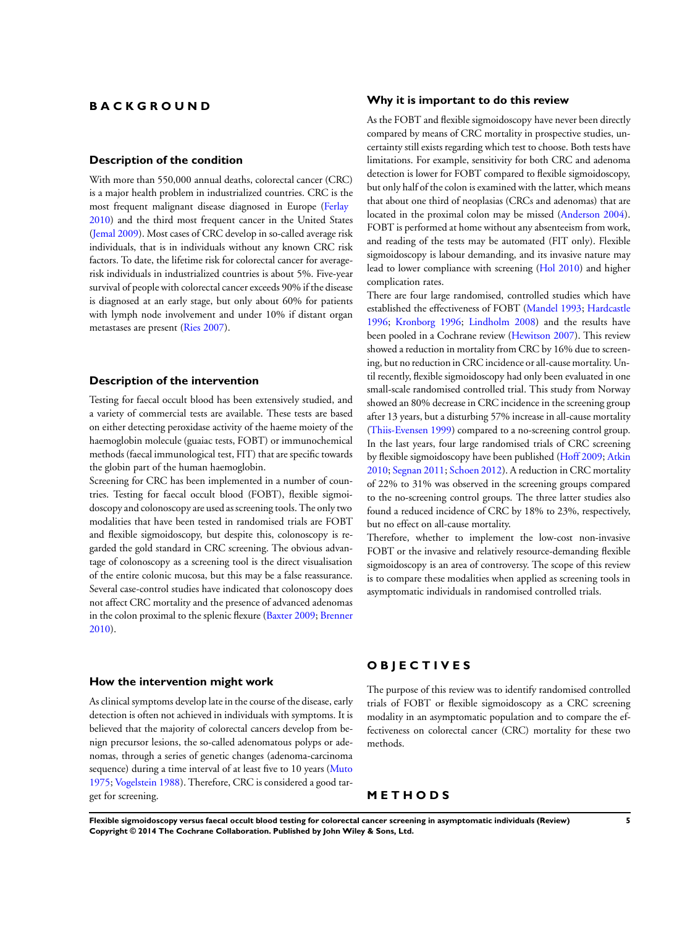## **B A C K G R O U N D**

### **Description of the condition**

With more than 550,000 annual deaths, colorectal cancer (CRC) is a major health problem in industrialized countries. CRC is the most frequent malignant disease diagnosed in Europe ([Ferlay](#page-18-0) [2010](#page-18-0)) and the third most frequent cancer in the United States [\(Jemal 2009](#page-18-0)). Most cases of CRC develop in so-called average risk individuals, that is in individuals without any known CRC risk factors. To date, the lifetime risk for colorectal cancer for averagerisk individuals in industrialized countries is about 5%. Five-year survival of people with colorectal cancer exceeds 90% if the disease is diagnosed at an early stage, but only about 60% for patients with lymph node involvement and under 10% if distant organ metastases are present ([Ries 2007\)](#page-18-0).

#### **Description of the intervention**

Testing for faecal occult blood has been extensively studied, and a variety of commercial tests are available. These tests are based on either detecting peroxidase activity of the haeme moiety of the haemoglobin molecule (guaiac tests, FOBT) or immunochemical methods (faecal immunological test, FIT) that are specific towards the globin part of the human haemoglobin.

Screening for CRC has been implemented in a number of countries. Testing for faecal occult blood (FOBT), flexible sigmoidoscopy and colonoscopy are used as screening tools. The only two modalities that have been tested in randomised trials are FOBT and flexible sigmoidoscopy, but despite this, colonoscopy is regarded the gold standard in CRC screening. The obvious advantage of colonoscopy as a screening tool is the direct visualisation of the entire colonic mucosa, but this may be a false reassurance. Several case-control studies have indicated that colonoscopy does not affect CRC mortality and the presence of advanced adenomas in the colon proximal to the splenic flexure [\(Baxter 2009](#page-18-0); [Brenner](#page-18-0) [2010](#page-18-0)).

#### **How the intervention might work**

As clinical symptoms develop late in the course of the disease, early detection is often not achieved in individuals with symptoms. It is believed that the majority of colorectal cancers develop from benign precursor lesions, the so-called adenomatous polyps or adenomas, through a series of genetic changes (adenoma-carcinoma sequence) during a time interval of at least five to 10 years ([Muto](#page-18-0) [1975](#page-18-0); [Vogelstein 1988\)](#page-18-0). Therefore, CRC is considered a good target for screening.

### **Why it is important to do this review**

As the FOBT and flexible sigmoidoscopy have never been directly compared by means of CRC mortality in prospective studies, uncertainty still exists regarding which test to choose. Both tests have limitations. For example, sensitivity for both CRC and adenoma detection is lower for FOBT compared to flexible sigmoidoscopy, but only half of the colon is examined with the latter, which means that about one third of neoplasias (CRCs and adenomas) that are located in the proximal colon may be missed ([Anderson 2004](#page-18-0)). FOBT is performed at home without any absenteeism from work, and reading of the tests may be automated (FIT only). Flexible sigmoidoscopy is labour demanding, and its invasive nature may lead to lower compliance with screening [\(Hol 2010\)](#page-18-0) and higher complication rates.

There are four large randomised, controlled studies which have established the effectiveness of FOBT [\(Mandel 1993;](#page-18-0) [Hardcastle](#page-18-0) [1996](#page-18-0); [Kronborg 1996;](#page-18-0) [Lindholm 2008](#page-18-0)) and the results have been pooled in a Cochrane review [\(Hewitson 2007](#page-18-0)). This review showed a reduction in mortality from CRC by 16% due to screening, but no reduction in CRC incidence or all-cause mortality. Until recently, flexible sigmoidoscopy had only been evaluated in one small-scale randomised controlled trial. This study from Norway showed an 80% decrease in CRC incidence in the screening group after 13 years, but a disturbing 57% increase in all-cause mortality [\(Thiis-Evensen 1999\)](#page-18-0) compared to a no-screening control group. In the last years, four large randomised trials of CRC screening by flexible sigmoidoscopy have been published ([Hoff 2009](#page-18-0); [Atkin](#page-18-0) [2010](#page-18-0); [Segnan 2011;](#page-18-0) [Schoen 2012\)](#page-18-0). A reduction in CRC mortality of 22% to 31% was observed in the screening groups compared to the no-screening control groups. The three latter studies also found a reduced incidence of CRC by 18% to 23%, respectively, but no effect on all-cause mortality.

Therefore, whether to implement the low-cost non-invasive FOBT or the invasive and relatively resource-demanding flexible sigmoidoscopy is an area of controversy. The scope of this review is to compare these modalities when applied as screening tools in asymptomatic individuals in randomised controlled trials.

## **O B J E C T I V E S**

The purpose of this review was to identify randomised controlled trials of FOBT or flexible sigmoidoscopy as a CRC screening modality in an asymptomatic population and to compare the effectiveness on colorectal cancer (CRC) mortality for these two methods.

## **M E T H O D S**

**Flexible sigmoidoscopy versus faecal occult blood testing for colorectal cancer screening in asymptomatic individuals (Review) 5 Copyright © 2014 The Cochrane Collaboration. Published by John Wiley & Sons, Ltd.**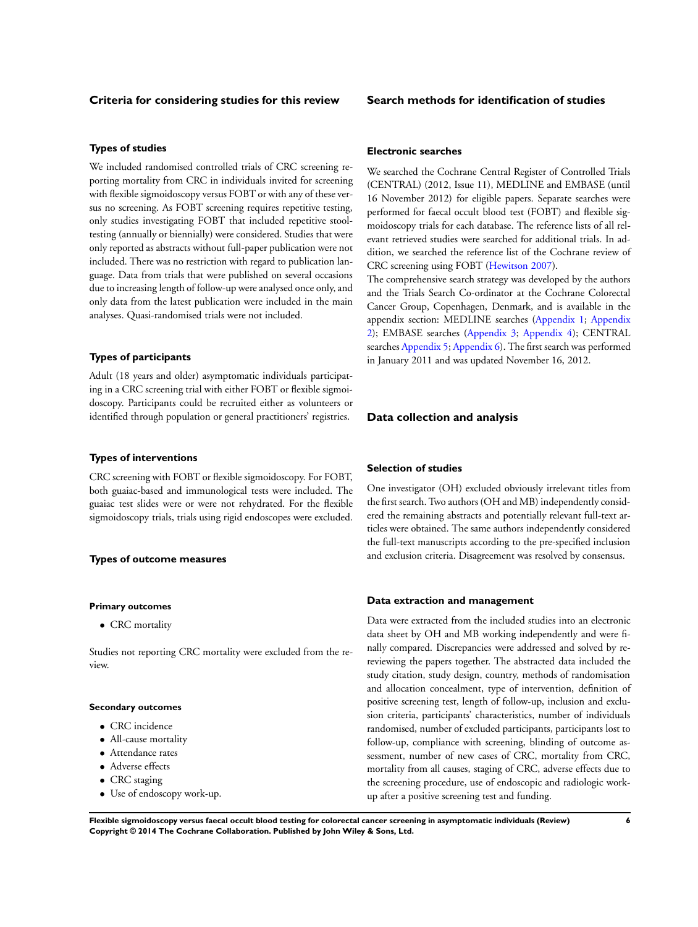## **Types of studies**

We included randomised controlled trials of CRC screening reporting mortality from CRC in individuals invited for screening with flexible sigmoidoscopy versus FOBT or with any of these versus no screening. As FOBT screening requires repetitive testing, only studies investigating FOBT that included repetitive stooltesting (annually or biennially) were considered. Studies that were only reported as abstracts without full-paper publication were not included. There was no restriction with regard to publication language. Data from trials that were published on several occasions due to increasing length of follow-up were analysed once only, and only data from the latest publication were included in the main analyses. Quasi-randomised trials were not included.

### **Types of participants**

Adult (18 years and older) asymptomatic individuals participating in a CRC screening trial with either FOBT or flexible sigmoidoscopy. Participants could be recruited either as volunteers or identified through population or general practitioners' registries.

#### **Types of interventions**

CRC screening with FOBT or flexible sigmoidoscopy. For FOBT, both guaiac-based and immunological tests were included. The guaiac test slides were or were not rehydrated. For the flexible sigmoidoscopy trials, trials using rigid endoscopes were excluded.

#### **Types of outcome measures**

#### **Primary outcomes**

• CRC mortality

Studies not reporting CRC mortality were excluded from the review.

### **Secondary outcomes**

- CRC incidence
- All-cause mortality
- Attendance rates
- Adverse effects
- CRC staging
- Use of endoscopy work-up.

### **Search methods for identification of studies**

### **Electronic searches**

We searched the Cochrane Central Register of Controlled Trials (CENTRAL) (2012, Issue 11), MEDLINE and EMBASE (until 16 November 2012) for eligible papers. Separate searches were performed for faecal occult blood test (FOBT) and flexible sigmoidoscopy trials for each database. The reference lists of all relevant retrieved studies were searched for additional trials. In addition, we searched the reference list of the Cochrane review of CRC screening using FOBT [\(Hewitson 2007](#page-18-0)).

The comprehensive search strategy was developed by the authors and the Trials Search Co-ordinator at the Cochrane Colorectal Cancer Group, Copenhagen, Denmark, and is available in the appendix section: MEDLINE searches [\(Appendix 1;](#page-61-0) [Appendix](#page-61-0) [2\)](#page-61-0); EMBASE searches ([Appendix 3;](#page-62-0) [Appendix 4](#page-63-0)); CENTRAL searches [Appendix 5;](#page-64-0) [Appendix 6\)](#page-64-0). The first search was performed in January 2011 and was updated November 16, 2012.

### **Data collection and analysis**

#### **Selection of studies**

One investigator (OH) excluded obviously irrelevant titles from the first search. Two authors (OH and MB) independently considered the remaining abstracts and potentially relevant full-text articles were obtained. The same authors independently considered the full-text manuscripts according to the pre-specified inclusion and exclusion criteria. Disagreement was resolved by consensus.

#### **Data extraction and management**

Data were extracted from the included studies into an electronic data sheet by OH and MB working independently and were finally compared. Discrepancies were addressed and solved by rereviewing the papers together. The abstracted data included the study citation, study design, country, methods of randomisation and allocation concealment, type of intervention, definition of positive screening test, length of follow-up, inclusion and exclusion criteria, participants' characteristics, number of individuals randomised, number of excluded participants, participants lost to follow-up, compliance with screening, blinding of outcome assessment, number of new cases of CRC, mortality from CRC, mortality from all causes, staging of CRC, adverse effects due to the screening procedure, use of endoscopic and radiologic workup after a positive screening test and funding.

**Flexible sigmoidoscopy versus faecal occult blood testing for colorectal cancer screening in asymptomatic individuals (Review) 6 Copyright © 2014 The Cochrane Collaboration. Published by John Wiley & Sons, Ltd.**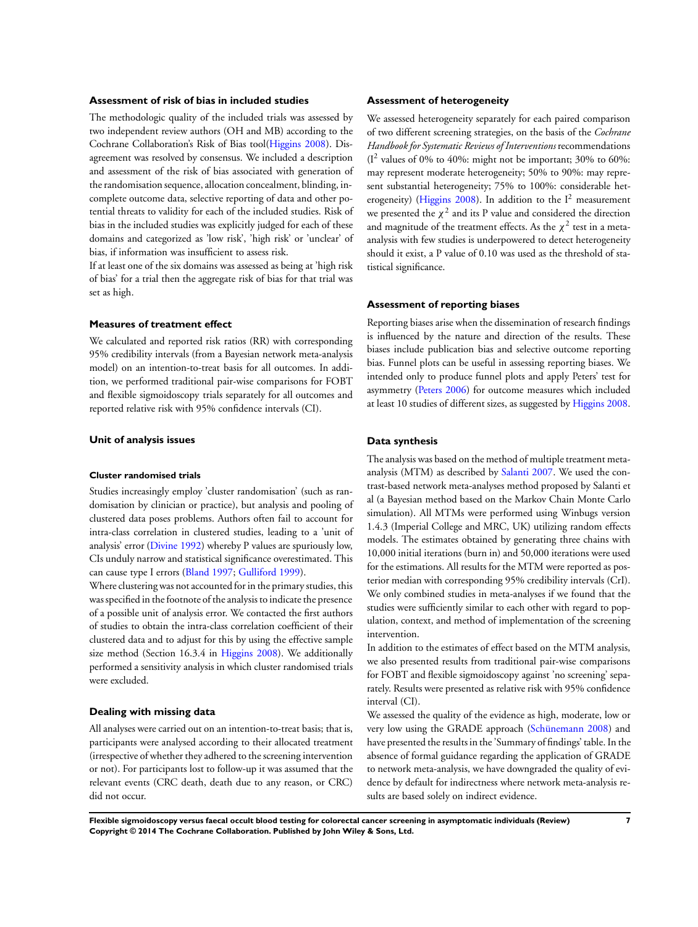#### **Assessment of risk of bias in included studies**

The methodologic quality of the included trials was assessed by two independent review authors (OH and MB) according to the Cochrane Collaboration's Risk of Bias tool([Higgins 2008](#page-18-0)). Disagreement was resolved by consensus. We included a description and assessment of the risk of bias associated with generation of the randomisation sequence, allocation concealment, blinding, incomplete outcome data, selective reporting of data and other potential threats to validity for each of the included studies. Risk of bias in the included studies was explicitly judged for each of these domains and categorized as 'low risk', 'high risk' or 'unclear' of bias, if information was insufficient to assess risk.

If at least one of the six domains was assessed as being at 'high risk of bias' for a trial then the aggregate risk of bias for that trial was set as high.

### **Measures of treatment effect**

We calculated and reported risk ratios (RR) with corresponding 95% credibility intervals (from a Bayesian network meta-analysis model) on an intention-to-treat basis for all outcomes. In addition, we performed traditional pair-wise comparisons for FOBT and flexible sigmoidoscopy trials separately for all outcomes and reported relative risk with 95% confidence intervals (CI).

### **Unit of analysis issues**

#### **Cluster randomised trials**

Studies increasingly employ 'cluster randomisation' (such as randomisation by clinician or practice), but analysis and pooling of clustered data poses problems. Authors often fail to account for intra-class correlation in clustered studies, leading to a 'unit of analysis' error [\(Divine 1992\)](#page-18-0) whereby P values are spuriously low, CIs unduly narrow and statistical significance overestimated. This can cause type I errors [\(Bland 1997;](#page-18-0) [Gulliford 1999](#page-18-0)).

Where clustering was not accounted for in the primary studies, this was specified in the footnote of the analysis to indicate the presence of a possible unit of analysis error. We contacted the first authors of studies to obtain the intra-class correlation coefficient of their clustered data and to adjust for this by using the effective sample size method (Section 16.3.4 in [Higgins 2008](#page-18-0)). We additionally performed a sensitivity analysis in which cluster randomised trials were excluded.

## **Dealing with missing data**

All analyses were carried out on an intention-to-treat basis; that is, participants were analysed according to their allocated treatment (irrespective of whether they adhered to the screening intervention or not). For participants lost to follow-up it was assumed that the relevant events (CRC death, death due to any reason, or CRC) did not occur.

#### **Assessment of heterogeneity**

We assessed heterogeneity separately for each paired comparison of two different screening strategies, on the basis of the *Cochrane Handbook for Systematic Reviews of Interventions*recommendations  $(I<sup>2</sup>$  values of 0% to 40%: might not be important; 30% to 60%: may represent moderate heterogeneity; 50% to 90%: may represent substantial heterogeneity; 75% to 100%: considerable het-erogeneity) ([Higgins 2008](#page-18-0)). In addition to the  $I^2$  measurement we presented the  $\chi^2$  and its P value and considered the direction and magnitude of the treatment effects. As the  $\chi^2$  test in a metaanalysis with few studies is underpowered to detect heterogeneity should it exist, a P value of 0.10 was used as the threshold of statistical significance.

#### **Assessment of reporting biases**

Reporting biases arise when the dissemination of research findings is influenced by the nature and direction of the results. These biases include publication bias and selective outcome reporting bias. Funnel plots can be useful in assessing reporting biases. We intended only to produce funnel plots and apply Peters' test for asymmetry [\(Peters 2006](#page-18-0)) for outcome measures which included at least 10 studies of different sizes, as suggested by [Higgins 2008.](#page-18-0)

#### **Data synthesis**

The analysis was based on the method of multiple treatment metaanalysis (MTM) as described by [Salanti 2007](#page-18-0). We used the contrast-based network meta-analyses method proposed by Salanti et al (a Bayesian method based on the Markov Chain Monte Carlo simulation). All MTMs were performed using Winbugs version 1.4.3 (Imperial College and MRC, UK) utilizing random effects models. The estimates obtained by generating three chains with 10,000 initial iterations (burn in) and 50,000 iterations were used for the estimations. All results for the MTM were reported as posterior median with corresponding 95% credibility intervals (CrI). We only combined studies in meta-analyses if we found that the studies were sufficiently similar to each other with regard to population, context, and method of implementation of the screening intervention.

In addition to the estimates of effect based on the MTM analysis, we also presented results from traditional pair-wise comparisons for FOBT and flexible sigmoidoscopy against 'no screening' separately. Results were presented as relative risk with 95% confidence interval (CI).

We assessed the quality of the evidence as high, moderate, low or very low using the GRADE approach ([Schünemann 2008](#page-18-0)) and have presented the results in the 'Summary of findings' table. In the absence of formal guidance regarding the application of GRADE to network meta-analysis, we have downgraded the quality of evidence by default for indirectness where network meta-analysis results are based solely on indirect evidence.

**Flexible sigmoidoscopy versus faecal occult blood testing for colorectal cancer screening in asymptomatic individuals (Review) 7 Copyright © 2014 The Cochrane Collaboration. Published by John Wiley & Sons, Ltd.**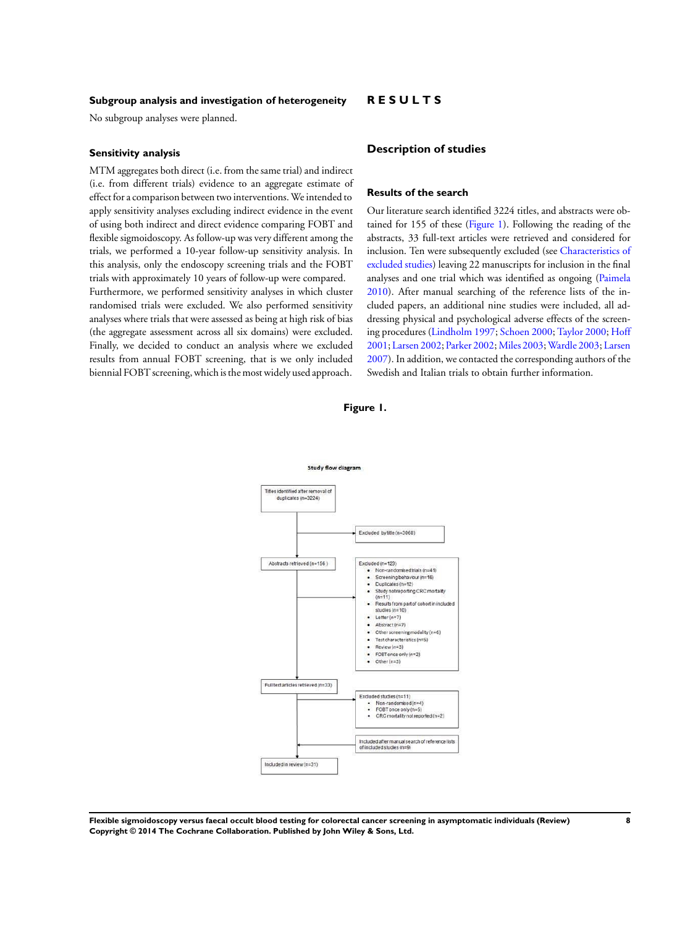### **Subgroup analysis and investigation of heterogeneity**

No subgroup analyses were planned.

### **Sensitivity analysis**

MTM aggregates both direct (i.e. from the same trial) and indirect (i.e. from different trials) evidence to an aggregate estimate of effect for a comparison between two interventions. We intended to apply sensitivity analyses excluding indirect evidence in the event of using both indirect and direct evidence comparing FOBT and flexible sigmoidoscopy. As follow-up was very different among the trials, we performed a 10-year follow-up sensitivity analysis. In this analysis, only the endoscopy screening trials and the FOBT trials with approximately 10 years of follow-up were compared. Furthermore, we performed sensitivity analyses in which cluster randomised trials were excluded. We also performed sensitivity analyses where trials that were assessed as being at high risk of bias (the aggregate assessment across all six domains) were excluded. Finally, we decided to conduct an analysis where we excluded results from annual FOBT screening, that is we only included biennial FOBT screening, which is the most widely used approach.

## **R E S U L T S**

### **Description of studies**

#### **Results of the search**

Our literature search identified 3224 titles, and abstracts were obtained for 155 of these (Figure 1). Following the reading of the abstracts, 33 full-text articles were retrieved and considered for inclusion. Ten were subsequently excluded (see [Characteristics of](#page-50-0) [excluded studies](#page-50-0)) leaving 22 manuscripts for inclusion in the final analyses and one trial which was identified as ongoing [\(Paimela](#page-18-0) [2010](#page-18-0)). After manual searching of the reference lists of the included papers, an additional nine studies were included, all addressing physical and psychological adverse effects of the screening procedures [\(Lindholm 1997;](#page-18-0) [Schoen 2000;](#page-18-0) [Taylor 2000;](#page-18-0) [Hoff](#page-18-0) [2001](#page-18-0); [Larsen 2002;](#page-18-0) [Parker 2002](#page-18-0); [Miles 2003](#page-18-0); [Wardle 2003;](#page-18-0) [Larsen](#page-18-0) [2007](#page-18-0)). In addition, we contacted the corresponding authors of the Swedish and Italian trials to obtain further information.

## **Figure 1.**



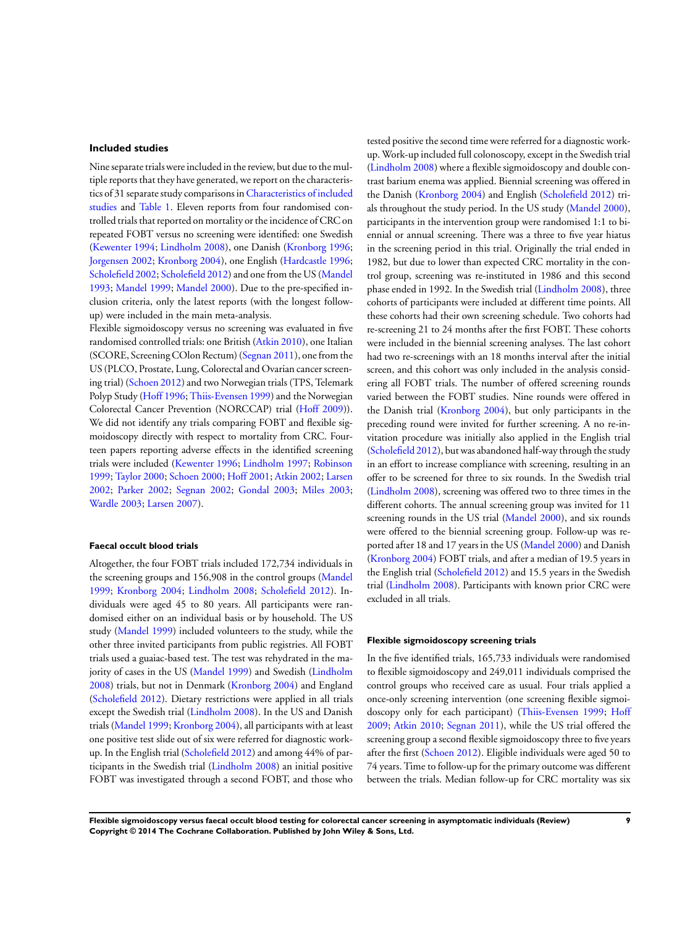### **Included studies**

Nine separate trials were included in the review, but due to the multiple reports that they have generated, we report on the characteristics of 31 separate study comparisons in[Characteristics of included](#page-23-0) [studies](#page-23-0) and [Table 1](#page-55-0). Eleven reports from four randomised controlled trials that reported on mortality or the incidence of CRC on repeated FOBT versus no screening were identified: one Swedish [\(Kewenter 1994](#page-18-0); [Lindholm 2008](#page-18-0)), one Danish ([Kronborg 1996;](#page-18-0) [Jorgensen 2002](#page-18-0); [Kronborg 2004\)](#page-18-0), one English ([Hardcastle 1996;](#page-18-0) [Scholefield 2002;](#page-18-0) [Scholefield 2012\)](#page-18-0) and one from the US [\(Mandel](#page-18-0) [1993](#page-18-0); [Mandel 1999;](#page-18-0) [Mandel 2000\)](#page-18-0). Due to the pre-specified inclusion criteria, only the latest reports (with the longest followup) were included in the main meta-analysis.

Flexible sigmoidoscopy versus no screening was evaluated in five randomised controlled trials: one British ([Atkin 2010\)](#page-18-0), one Italian (SCORE, Screening COlon Rectum) ([Segnan 2011](#page-18-0)), one from the US (PLCO, Prostate, Lung, Colorectal and Ovarian cancer screening trial) [\(Schoen 2012\)](#page-18-0) and two Norwegian trials (TPS, Telemark Polyp Study ([Hoff 1996](#page-18-0); [Thiis-Evensen 1999](#page-18-0)) and the Norwegian Colorectal Cancer Prevention (NORCCAP) trial [\(Hoff 2009](#page-18-0))). We did not identify any trials comparing FOBT and flexible sigmoidoscopy directly with respect to mortality from CRC. Fourteen papers reporting adverse effects in the identified screening trials were included [\(Kewenter 1996;](#page-18-0) [Lindholm 1997;](#page-18-0) [Robinson](#page-18-0) [1999](#page-18-0); [Taylor 2000](#page-18-0); [Schoen 2000;](#page-18-0) [Hoff 2001;](#page-18-0) [Atkin 2002](#page-18-0); [Larsen](#page-18-0) [2002](#page-18-0); [Parker 2002](#page-18-0); [Segnan 2002](#page-18-0); [Gondal 2003;](#page-18-0) [Miles 2003;](#page-18-0) [Wardle 2003](#page-18-0); [Larsen 2007\)](#page-18-0).

#### **Faecal occult blood trials**

Altogether, the four FOBT trials included 172,734 individuals in the screening groups and 156,908 in the control groups [\(Mandel](#page-18-0) [1999](#page-18-0); [Kronborg 2004](#page-18-0); [Lindholm 2008](#page-18-0); [Scholefield 2012](#page-18-0)). Individuals were aged 45 to 80 years. All participants were randomised either on an individual basis or by household. The US study [\(Mandel 1999\)](#page-18-0) included volunteers to the study, while the other three invited participants from public registries. All FOBT trials used a guaiac-based test. The test was rehydrated in the majority of cases in the US [\(Mandel 1999](#page-18-0)) and Swedish [\(Lindholm](#page-18-0) [2008](#page-18-0)) trials, but not in Denmark [\(Kronborg 2004\)](#page-18-0) and England [\(Scholefield 2012\)](#page-18-0). Dietary restrictions were applied in all trials except the Swedish trial [\(Lindholm 2008](#page-18-0)). In the US and Danish trials ([Mandel 1999](#page-18-0); [Kronborg 2004\)](#page-18-0), all participants with at least one positive test slide out of six were referred for diagnostic workup. In the English trial ([Scholefield 2012](#page-18-0)) and among 44% of participants in the Swedish trial ([Lindholm 2008\)](#page-18-0) an initial positive FOBT was investigated through a second FOBT, and those who

tested positive the second time were referred for a diagnostic workup. Work-up included full colonoscopy, except in the Swedish trial [\(Lindholm 2008\)](#page-18-0) where a flexible sigmoidoscopy and double contrast barium enema was applied. Biennial screening was offered in the Danish [\(Kronborg 2004\)](#page-18-0) and English ([Scholefield 2012\)](#page-18-0) trials throughout the study period. In the US study [\(Mandel 2000](#page-18-0)), participants in the intervention group were randomised 1:1 to biennial or annual screening. There was a three to five year hiatus in the screening period in this trial. Originally the trial ended in 1982, but due to lower than expected CRC mortality in the control group, screening was re-instituted in 1986 and this second phase ended in 1992. In the Swedish trial ([Lindholm 2008\)](#page-18-0), three cohorts of participants were included at different time points. All these cohorts had their own screening schedule. Two cohorts had re-screening 21 to 24 months after the first FOBT. These cohorts were included in the biennial screening analyses. The last cohort had two re-screenings with an 18 months interval after the initial screen, and this cohort was only included in the analysis considering all FOBT trials. The number of offered screening rounds varied between the FOBT studies. Nine rounds were offered in the Danish trial ([Kronborg 2004](#page-18-0)), but only participants in the preceding round were invited for further screening. A no re-invitation procedure was initially also applied in the English trial [\(Scholefield 2012](#page-18-0)), but was abandoned half-way through the study in an effort to increase compliance with screening, resulting in an offer to be screened for three to six rounds. In the Swedish trial [\(Lindholm 2008](#page-18-0)), screening was offered two to three times in the different cohorts. The annual screening group was invited for 11 screening rounds in the US trial [\(Mandel 2000\)](#page-18-0), and six rounds were offered to the biennial screening group. Follow-up was reported after 18 and 17 years in the US [\(Mandel 2000\)](#page-18-0) and Danish [\(Kronborg 2004\)](#page-18-0) FOBT trials, and after a median of 19.5 years in the English trial [\(Scholefield 2012](#page-18-0)) and 15.5 years in the Swedish trial [\(Lindholm 2008\)](#page-18-0). Participants with known prior CRC were excluded in all trials.

#### **Flexible sigmoidoscopy screening trials**

In the five identified trials, 165,733 individuals were randomised to flexible sigmoidoscopy and 249,011 individuals comprised the control groups who received care as usual. Four trials applied a once-only screening intervention (one screening flexible sigmoidoscopy only for each participant) [\(Thiis-Evensen 1999;](#page-18-0) [Hoff](#page-18-0) [2009](#page-18-0); [Atkin 2010;](#page-18-0) [Segnan 2011](#page-18-0)), while the US trial offered the screening group a second flexible sigmoidoscopy three to five years after the first [\(Schoen 2012\)](#page-18-0). Eligible individuals were aged 50 to 74 years. Time to follow-up for the primary outcome was different between the trials. Median follow-up for CRC mortality was six

**Flexible sigmoidoscopy versus faecal occult blood testing for colorectal cancer screening in asymptomatic individuals (Review) 9 Copyright © 2014 The Cochrane Collaboration. Published by John Wiley & Sons, Ltd.**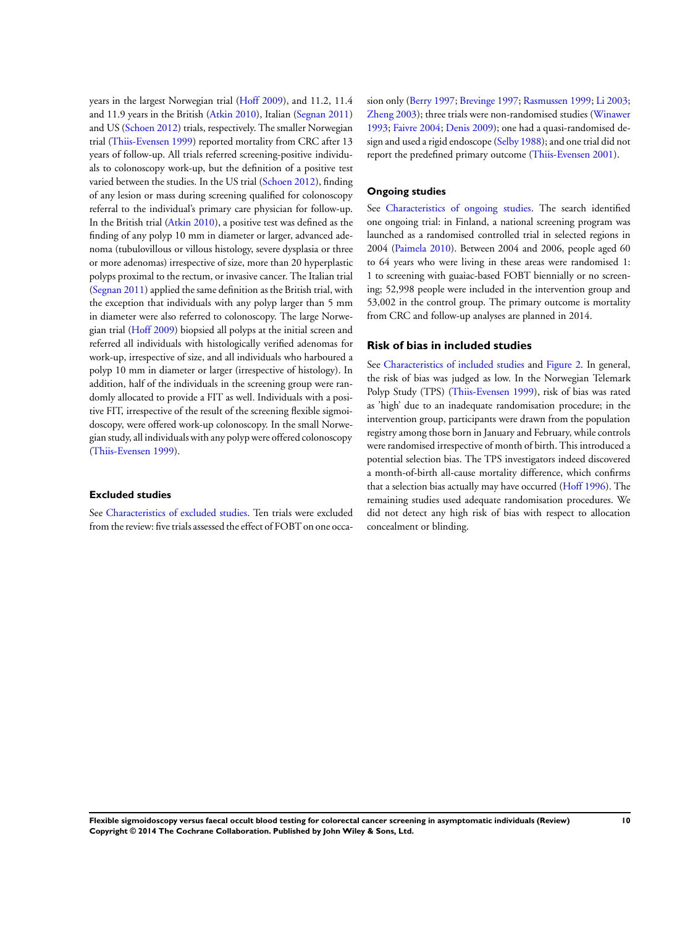years in the largest Norwegian trial [\(Hoff 2009\)](#page-18-0), and 11.2, 11.4 and 11.9 years in the British ([Atkin 2010\)](#page-18-0), Italian [\(Segnan 2011](#page-18-0)) and US ([Schoen 2012\)](#page-18-0) trials, respectively. The smaller Norwegian trial [\(Thiis-Evensen 1999\)](#page-18-0) reported mortality from CRC after 13 years of follow-up. All trials referred screening-positive individuals to colonoscopy work-up, but the definition of a positive test varied between the studies. In the US trial [\(Schoen 2012](#page-18-0)), finding of any lesion or mass during screening qualified for colonoscopy referral to the individual's primary care physician for follow-up. In the British trial [\(Atkin 2010](#page-18-0)), a positive test was defined as the finding of any polyp 10 mm in diameter or larger, advanced adenoma (tubulovillous or villous histology, severe dysplasia or three or more adenomas) irrespective of size, more than 20 hyperplastic polyps proximal to the rectum, or invasive cancer. The Italian trial [\(Segnan 2011\)](#page-18-0) applied the same definition as the British trial, with the exception that individuals with any polyp larger than 5 mm in diameter were also referred to colonoscopy. The large Norwegian trial [\(Hoff 2009](#page-18-0)) biopsied all polyps at the initial screen and referred all individuals with histologically verified adenomas for work-up, irrespective of size, and all individuals who harboured a polyp 10 mm in diameter or larger (irrespective of histology). In addition, half of the individuals in the screening group were randomly allocated to provide a FIT as well. Individuals with a positive FIT, irrespective of the result of the screening flexible sigmoidoscopy, were offered work-up colonoscopy. In the small Norwegian study, all individuals with any polyp were offered colonoscopy [\(Thiis-Evensen 1999\)](#page-18-0).

### **Excluded studies**

See [Characteristics of excluded studies](#page-50-0). Ten trials were excluded from the review: five trials assessed the effect of FOBT on one occasion only [\(Berry 1997](#page-18-0); [Brevinge 1997;](#page-18-0) [Rasmussen 1999;](#page-18-0) [Li 2003;](#page-18-0) [Zheng 2003\)](#page-18-0); three trials were non-randomised studies ([Winawer](#page-18-0) [1993](#page-18-0); [Faivre 2004](#page-18-0); [Denis 2009](#page-18-0)); one had a quasi-randomised de-sign and used a rigid endoscope [\(Selby 1988](#page-18-0)); and one trial did not report the predefined primary outcome [\(Thiis-Evensen 2001\)](#page-18-0).

### **Ongoing studies**

See [Characteristics of ongoing studies](#page-50-0). The search identified one ongoing trial: in Finland, a national screening program was launched as a randomised controlled trial in selected regions in 2004 ([Paimela 2010\)](#page-18-0). Between 2004 and 2006, people aged 60 to 64 years who were living in these areas were randomised 1: 1 to screening with guaiac-based FOBT biennially or no screening; 52,998 people were included in the intervention group and 53,002 in the control group. The primary outcome is mortality from CRC and follow-up analyses are planned in 2014.

### **Risk of bias in included studies**

See [Characteristics of included studies](#page-23-0) and [Figure 2.](#page-12-0) In general, the risk of bias was judged as low. In the Norwegian Telemark Polyp Study (TPS) ([Thiis-Evensen 1999\)](#page-18-0), risk of bias was rated as 'high' due to an inadequate randomisation procedure; in the intervention group, participants were drawn from the population registry among those born in January and February, while controls were randomised irrespective of month of birth. This introduced a potential selection bias. The TPS investigators indeed discovered a month-of-birth all-cause mortality difference, which confirms that a selection bias actually may have occurred [\(Hoff 1996\)](#page-18-0). The remaining studies used adequate randomisation procedures. We did not detect any high risk of bias with respect to allocation concealment or blinding.

**Flexible sigmoidoscopy versus faecal occult blood testing for colorectal cancer screening in asymptomatic individuals (Review) 10 Copyright © 2014 The Cochrane Collaboration. Published by John Wiley & Sons, Ltd.**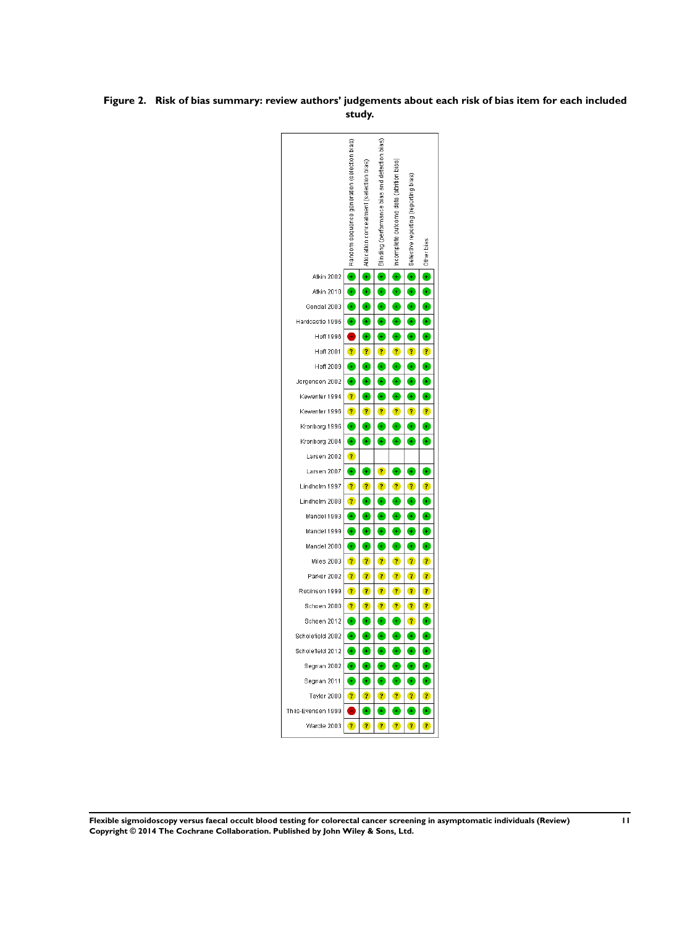## <span id="page-12-0"></span>**Figure 2. Risk of bias summary: review authors' judgements about each risk of bias item for each included study.**



**Flexible sigmoidoscopy versus faecal occult blood testing for colorectal cancer screening in asymptomatic individuals (Review) 11 Copyright © 2014 The Cochrane Collaboration. Published by John Wiley & Sons, Ltd.**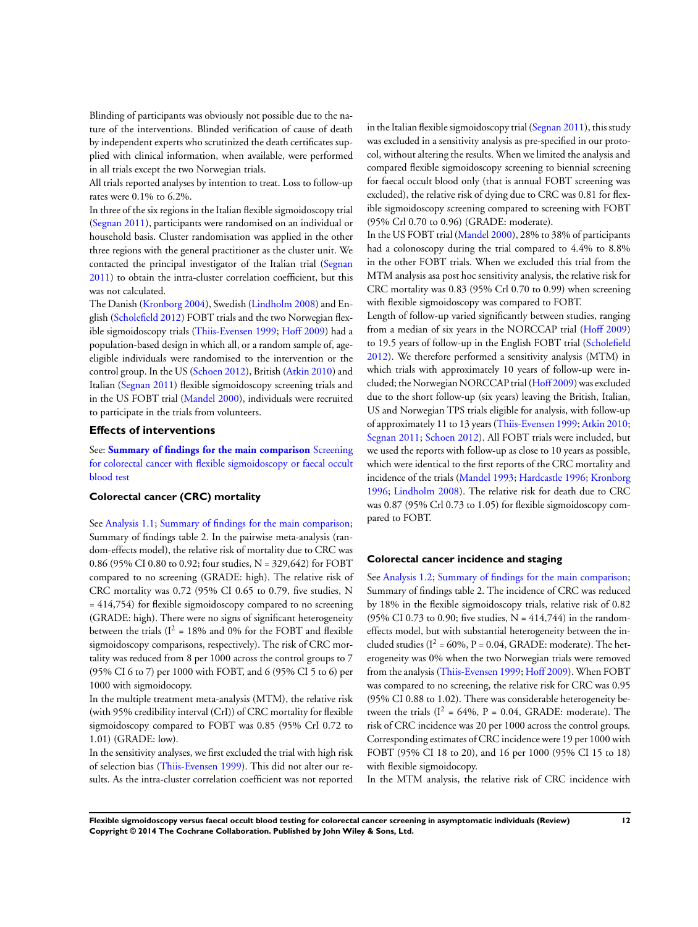Blinding of participants was obviously not possible due to the nature of the interventions. Blinded verification of cause of death by independent experts who scrutinized the death certificates supplied with clinical information, when available, were performed in all trials except the two Norwegian trials.

All trials reported analyses by intention to treat. Loss to follow-up rates were 0.1% to 6.2%.

In three of the six regions in the Italian flexible sigmoidoscopy trial [\(Segnan 2011](#page-18-0)), participants were randomised on an individual or household basis. Cluster randomisation was applied in the other three regions with the general practitioner as the cluster unit. We contacted the principal investigator of the Italian trial [\(Segnan](#page-18-0) [2011](#page-18-0)) to obtain the intra-cluster correlation coefficient, but this was not calculated.

The Danish ([Kronborg 2004](#page-18-0)), Swedish ([Lindholm 2008](#page-18-0)) and English [\(Scholefield 2012\)](#page-18-0) FOBT trials and the two Norwegian flexible sigmoidoscopy trials ([Thiis-Evensen 1999](#page-18-0); [Hoff 2009](#page-18-0)) had a population-based design in which all, or a random sample of, ageeligible individuals were randomised to the intervention or the control group. In the US ([Schoen 2012\)](#page-18-0), British [\(Atkin 2010\)](#page-18-0) and Italian [\(Segnan 2011\)](#page-18-0) flexible sigmoidoscopy screening trials and in the US FOBT trial ([Mandel 2000](#page-18-0)), individuals were recruited to participate in the trials from volunteers.

### **Effects of interventions**

See: **[Summary of findings for the main comparison](#page-4-0)** [Screening](#page-4-0) [for colorectal cancer with flexible sigmoidoscopy or faecal occult](#page-4-0) [blood test](#page-4-0)

#### **Colorectal cancer (CRC) mortality**

See [Analysis 1.1](#page-53-0); [Summary of findings for the main comparison;](#page-4-0) Summary of findings table 2. In the pairwise meta-analysis (random-effects model), the relative risk of mortality due to CRC was 0.86 (95% CI 0.80 to 0.92; four studies, N = 329,642) for FOBT compared to no screening (GRADE: high). The relative risk of CRC mortality was 0.72 (95% CI 0.65 to 0.79, five studies, N = 414,754) for flexible sigmoidoscopy compared to no screening (GRADE: high). There were no signs of significant heterogeneity between the trials ( $I^2 = 18\%$  and 0% for the FOBT and flexible sigmoidoscopy comparisons, respectively). The risk of CRC mortality was reduced from 8 per 1000 across the control groups to 7 (95% CI 6 to 7) per 1000 with FOBT, and 6 (95% CI 5 to 6) per 1000 with sigmoidocopy.

In the multiple treatment meta-analysis (MTM), the relative risk (with 95% credibility interval (CrI)) of CRC mortality for flexible sigmoidoscopy compared to FOBT was 0.85 (95% CrI 0.72 to 1.01) (GRADE: low).

In the sensitivity analyses, we first excluded the trial with high risk of selection bias ([Thiis-Evensen 1999](#page-18-0)). This did not alter our results. As the intra-cluster correlation coefficient was not reported in the Italian flexible sigmoidoscopy trial [\(Segnan 2011\)](#page-18-0), this study was excluded in a sensitivity analysis as pre-specified in our protocol, without altering the results. When we limited the analysis and compared flexible sigmoidoscopy screening to biennial screening for faecal occult blood only (that is annual FOBT screening was excluded), the relative risk of dying due to CRC was 0.81 for flexible sigmoidoscopy screening compared to screening with FOBT (95% Crl 0.70 to 0.96) (GRADE: moderate).

In the US FOBT trial ([Mandel 2000](#page-18-0)), 28% to 38% of participants had a colonoscopy during the trial compared to 4.4% to 8.8% in the other FOBT trials. When we excluded this trial from the MTM analysis asa post hoc sensitivity analysis, the relative risk for CRC mortality was 0.83 (95% Crl 0.70 to 0.99) when screening with flexible sigmoidoscopy was compared to FOBT.

Length of follow-up varied significantly between studies, ranging from a median of six years in the NORCCAP trial ([Hoff 2009](#page-18-0)) to 19.5 years of follow-up in the English FOBT trial [\(Scholefield](#page-18-0) [2012](#page-18-0)). We therefore performed a sensitivity analysis (MTM) in which trials with approximately 10 years of follow-up were included; the Norwegian NORCCAP trial ([Hoff 2009\)](#page-18-0) was excluded due to the short follow-up (six years) leaving the British, Italian, US and Norwegian TPS trials eligible for analysis, with follow-up of approximately 11 to 13 years ([Thiis-Evensen 1999;](#page-18-0) [Atkin 2010;](#page-18-0) [Segnan 2011](#page-18-0); [Schoen 2012\)](#page-18-0). All FOBT trials were included, but we used the reports with follow-up as close to 10 years as possible, which were identical to the first reports of the CRC mortality and incidence of the trials ([Mandel 1993;](#page-18-0) [Hardcastle 1996;](#page-18-0) [Kronborg](#page-18-0) [1996](#page-18-0); [Lindholm 2008](#page-18-0)). The relative risk for death due to CRC was 0.87 (95% Crl 0.73 to 1.05) for flexible sigmoidoscopy compared to FOBT.

#### **Colorectal cancer incidence and staging**

See [Analysis 1.2](#page-53-0); [Summary of findings for the main comparison;](#page-4-0) Summary of findings table 2. The incidence of CRC was reduced by 18% in the flexible sigmoidoscopy trials, relative risk of 0.82 (95% CI 0.73 to 0.90; five studies,  $N = 414,744$ ) in the randomeffects model, but with substantial heterogeneity between the included studies ( $I^2 = 60\%$ ,  $P = 0.04$ , GRADE: moderate). The heterogeneity was 0% when the two Norwegian trials were removed from the analysis [\(Thiis-Evensen 1999](#page-18-0); [Hoff 2009\)](#page-18-0). When FOBT was compared to no screening, the relative risk for CRC was 0.95 (95% CI 0.88 to 1.02). There was considerable heterogeneity between the trials ( $I^2 = 64\%$ ,  $P = 0.04$ , GRADE: moderate). The risk of CRC incidence was 20 per 1000 across the control groups. Corresponding estimates of CRC incidence were 19 per 1000 with FOBT (95% CI 18 to 20), and 16 per 1000 (95% CI 15 to 18) with flexible sigmoidocopy.

In the MTM analysis, the relative risk of CRC incidence with

**Flexible sigmoidoscopy versus faecal occult blood testing for colorectal cancer screening in asymptomatic individuals (Review) 12 Copyright © 2014 The Cochrane Collaboration. Published by John Wiley & Sons, Ltd.**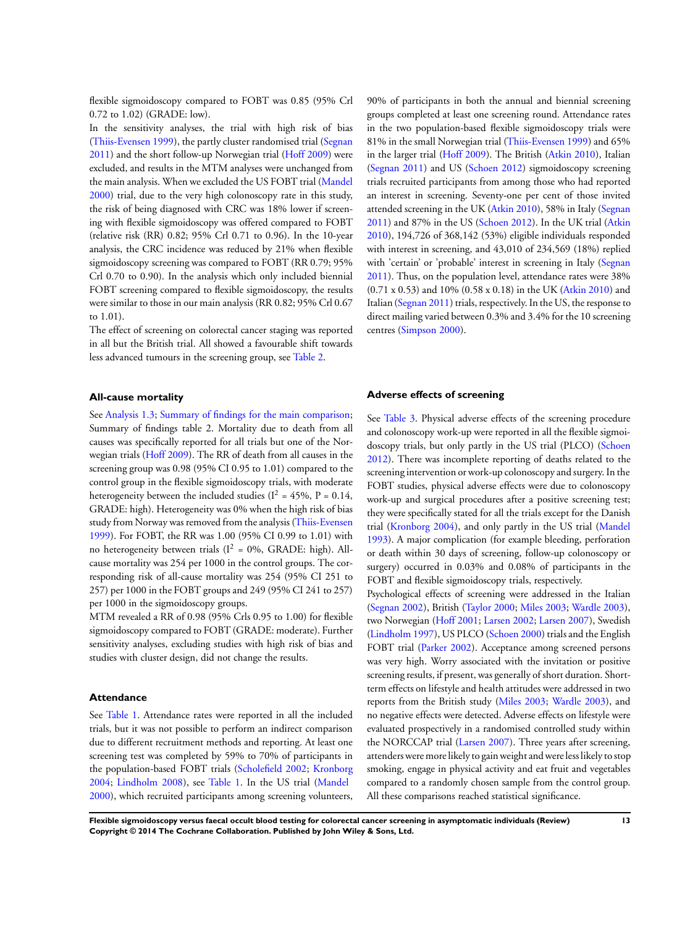flexible sigmoidoscopy compared to FOBT was 0.85 (95% Crl 0.72 to 1.02) (GRADE: low).

In the sensitivity analyses, the trial with high risk of bias [\(Thiis-Evensen 1999](#page-18-0)), the partly cluster randomised trial [\(Segnan](#page-18-0) [2011](#page-18-0)) and the short follow-up Norwegian trial [\(Hoff 2009](#page-18-0)) were excluded, and results in the MTM analyses were unchanged from the main analysis. When we excluded the US FOBT trial [\(Mandel](#page-18-0) [2000](#page-18-0)) trial, due to the very high colonoscopy rate in this study, the risk of being diagnosed with CRC was 18% lower if screening with flexible sigmoidoscopy was offered compared to FOBT (relative risk (RR) 0.82; 95% Crl 0.71 to 0.96). In the 10-year analysis, the CRC incidence was reduced by 21% when flexible sigmoidoscopy screening was compared to FOBT (RR 0.79; 95% Crl 0.70 to 0.90). In the analysis which only included biennial FOBT screening compared to flexible sigmoidoscopy, the results were similar to those in our main analysis (RR 0.82; 95% Crl 0.67 to 1.01).

The effect of screening on colorectal cancer staging was reported in all but the British trial. All showed a favourable shift towards less advanced tumours in the screening group, see [Table 2.](#page-56-0)

#### **All-cause mortality**

See [Analysis 1.3](#page-54-0); [Summary of findings for the main comparison;](#page-4-0) Summary of findings table 2. Mortality due to death from all causes was specifically reported for all trials but one of the Norwegian trials [\(Hoff 2009](#page-18-0)). The RR of death from all causes in the screening group was 0.98 (95% CI 0.95 to 1.01) compared to the control group in the flexible sigmoidoscopy trials, with moderate heterogeneity between the included studies ( $I^2 = 45\%$ ,  $P = 0.14$ , GRADE: high). Heterogeneity was 0% when the high risk of bias study from Norway was removed from the analysis ([Thiis-Evensen](#page-18-0) [1999](#page-18-0)). For FOBT, the RR was 1.00 (95% CI 0.99 to 1.01) with no heterogeneity between trials ( $I^2 = 0\%$ , GRADE: high). Allcause mortality was 254 per 1000 in the control groups. The corresponding risk of all-cause mortality was 254 (95% CI 251 to 257) per 1000 in the FOBT groups and 249 (95% CI 241 to 257) per 1000 in the sigmoidoscopy groups.

MTM revealed a RR of 0.98 (95% Crls 0.95 to 1.00) for flexible sigmoidoscopy compared to FOBT (GRADE: moderate). Further sensitivity analyses, excluding studies with high risk of bias and studies with cluster design, did not change the results.

#### **Attendance**

See [Table 1](#page-55-0). Attendance rates were reported in all the included trials, but it was not possible to perform an indirect comparison due to different recruitment methods and reporting. At least one screening test was completed by 59% to 70% of participants in the population-based FOBT trials ([Scholefield 2002;](#page-18-0) [Kronborg](#page-18-0) [2004](#page-18-0); [Lindholm 2008](#page-18-0)), see [Table 1](#page-55-0). In the US trial ([Mandel](#page-18-0) [2000](#page-18-0)), which recruited participants among screening volunteers, 90% of participants in both the annual and biennial screening groups completed at least one screening round. Attendance rates in the two population-based flexible sigmoidoscopy trials were 81% in the small Norwegian trial ([Thiis-Evensen 1999\)](#page-18-0) and 65% in the larger trial ([Hoff 2009\)](#page-18-0). The British [\(Atkin 2010](#page-18-0)), Italian [\(Segnan 2011\)](#page-18-0) and US ([Schoen 2012](#page-18-0)) sigmoidoscopy screening trials recruited participants from among those who had reported an interest in screening. Seventy-one per cent of those invited attended screening in the UK ([Atkin 2010\)](#page-18-0), 58% in Italy [\(Segnan](#page-18-0) [2011](#page-18-0)) and 87% in the US ([Schoen 2012](#page-18-0)). In the UK trial ([Atkin](#page-18-0) [2010](#page-18-0)), 194,726 of 368,142 (53%) eligible individuals responded with interest in screening, and 43,010 of 234,569 (18%) replied with 'certain' or 'probable' interest in screening in Italy [\(Segnan](#page-18-0) [2011](#page-18-0)). Thus, on the population level, attendance rates were 38% (0.71 x 0.53) and 10% (0.58 x 0.18) in the UK ([Atkin 2010](#page-18-0)) and Italian [\(Segnan 2011](#page-18-0)) trials, respectively. In the US, the response to direct mailing varied between 0.3% and 3.4% for the 10 screening centres [\(Simpson 2000\)](#page-18-0).

#### **Adverse effects of screening**

See [Table 3](#page-58-0). Physical adverse effects of the screening procedure and colonoscopy work-up were reported in all the flexible sigmoi-doscopy trials, but only partly in the US trial (PLCO) ([Schoen](#page-18-0) [2012](#page-18-0)). There was incomplete reporting of deaths related to the screening intervention or work-up colonoscopy and surgery. In the FOBT studies, physical adverse effects were due to colonoscopy work-up and surgical procedures after a positive screening test; they were specifically stated for all the trials except for the Danish trial ([Kronborg 2004\)](#page-18-0), and only partly in the US trial [\(Mandel](#page-18-0) [1993](#page-18-0)). A major complication (for example bleeding, perforation or death within 30 days of screening, follow-up colonoscopy or surgery) occurred in 0.03% and 0.08% of participants in the FOBT and flexible sigmoidoscopy trials, respectively.

Psychological effects of screening were addressed in the Italian [\(Segnan 2002](#page-18-0)), British [\(Taylor 2000;](#page-18-0) [Miles 2003](#page-18-0); [Wardle 2003](#page-18-0)), two Norwegian ([Hoff 2001](#page-18-0); [Larsen 2002;](#page-18-0) [Larsen 2007\)](#page-18-0), Swedish [\(Lindholm 1997\)](#page-18-0), US PLCO [\(Schoen 2000](#page-18-0)) trials and the English FOBT trial [\(Parker 2002](#page-18-0)). Acceptance among screened persons was very high. Worry associated with the invitation or positive screening results, if present, was generally of short duration. Shortterm effects on lifestyle and health attitudes were addressed in two reports from the British study ([Miles 2003;](#page-18-0) [Wardle 2003](#page-18-0)), and no negative effects were detected. Adverse effects on lifestyle were evaluated prospectively in a randomised controlled study within the NORCCAP trial ([Larsen 2007\)](#page-18-0). Three years after screening, attenders were more likely to gain weight and were less likely to stop smoking, engage in physical activity and eat fruit and vegetables compared to a randomly chosen sample from the control group. All these comparisons reached statistical significance.

**Flexible sigmoidoscopy versus faecal occult blood testing for colorectal cancer screening in asymptomatic individuals (Review) 13 Copyright © 2014 The Cochrane Collaboration. Published by John Wiley & Sons, Ltd.**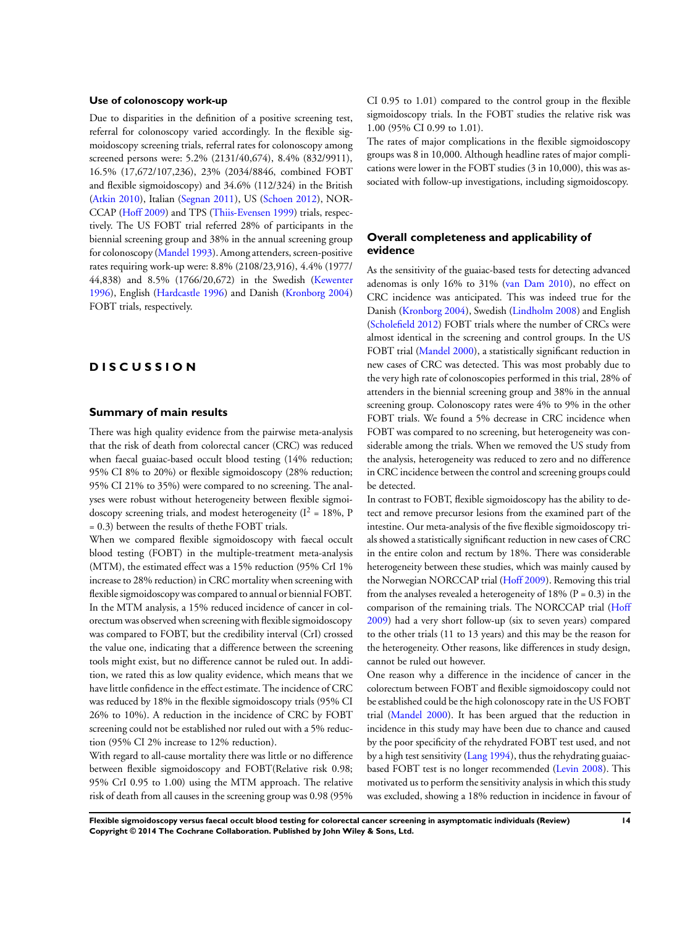#### **Use of colonoscopy work-up**

Due to disparities in the definition of a positive screening test, referral for colonoscopy varied accordingly. In the flexible sigmoidoscopy screening trials, referral rates for colonoscopy among screened persons were: 5.2% (2131/40,674), 8.4% (832/9911), 16.5% (17,672/107,236), 23% (2034/8846, combined FOBT and flexible sigmoidoscopy) and 34.6% (112/324) in the British [\(Atkin 2010](#page-18-0)), Italian ([Segnan 2011](#page-18-0)), US ([Schoen 2012\)](#page-18-0), NOR-CCAP [\(Hoff 2009](#page-18-0)) and TPS ([Thiis-Evensen 1999\)](#page-18-0) trials, respectively. The US FOBT trial referred 28% of participants in the biennial screening group and 38% in the annual screening group for colonoscopy ([Mandel 1993](#page-18-0)). Among attenders, screen-positive rates requiring work-up were: 8.8% (2108/23,916), 4.4% (1977/ 44,838) and 8.5% (1766/20,672) in the Swedish [\(Kewenter](#page-18-0) [1996](#page-18-0)), English ([Hardcastle 1996](#page-18-0)) and Danish ([Kronborg 2004](#page-18-0)) FOBT trials, respectively.

## **D I S C U S S I O N**

#### **Summary of main results**

There was high quality evidence from the pairwise meta-analysis that the risk of death from colorectal cancer (CRC) was reduced when faecal guaiac-based occult blood testing (14% reduction; 95% CI 8% to 20%) or flexible sigmoidoscopy (28% reduction; 95% CI 21% to 35%) were compared to no screening. The analyses were robust without heterogeneity between flexible sigmoidoscopy screening trials, and modest heterogeneity ( $I^2 = 18\%$ , P = 0.3) between the results of thethe FOBT trials.

When we compared flexible sigmoidoscopy with faecal occult blood testing (FOBT) in the multiple-treatment meta-analysis (MTM), the estimated effect was a 15% reduction (95% CrI 1% increase to 28% reduction) in CRC mortality when screening with flexible sigmoidoscopy was compared to annual or biennial FOBT. In the MTM analysis, a 15% reduced incidence of cancer in colorectum was observed when screening with flexible sigmoidoscopy was compared to FOBT, but the credibility interval (CrI) crossed the value one, indicating that a difference between the screening tools might exist, but no difference cannot be ruled out. In addition, we rated this as low quality evidence, which means that we have little confidence in the effect estimate. The incidence of CRC was reduced by 18% in the flexible sigmoidoscopy trials (95% CI 26% to 10%). A reduction in the incidence of CRC by FOBT screening could not be established nor ruled out with a 5% reduction (95% CI 2% increase to 12% reduction).

With regard to all-cause mortality there was little or no difference between flexible sigmoidoscopy and FOBT(Relative risk 0.98; 95% CrI 0.95 to 1.00) using the MTM approach. The relative risk of death from all causes in the screening group was 0.98 (95% CI 0.95 to 1.01) compared to the control group in the flexible sigmoidoscopy trials. In the FOBT studies the relative risk was 1.00 (95% CI 0.99 to 1.01).

The rates of major complications in the flexible sigmoidoscopy groups was 8 in 10,000. Although headline rates of major complications were lower in the FOBT studies (3 in 10,000), this was associated with follow-up investigations, including sigmoidoscopy.

### **Overall completeness and applicability of evidence**

As the sensitivity of the guaiac-based tests for detecting advanced adenomas is only 16% to 31% ([van Dam 2010](#page-18-0)), no effect on CRC incidence was anticipated. This was indeed true for the Danish [\(Kronborg 2004](#page-18-0)), Swedish [\(Lindholm 2008](#page-18-0)) and English [\(Scholefield 2012](#page-18-0)) FOBT trials where the number of CRCs were almost identical in the screening and control groups. In the US FOBT trial ([Mandel 2000\)](#page-18-0), a statistically significant reduction in new cases of CRC was detected. This was most probably due to the very high rate of colonoscopies performed in this trial, 28% of attenders in the biennial screening group and 38% in the annual screening group. Colonoscopy rates were 4% to 9% in the other FOBT trials. We found a 5% decrease in CRC incidence when FOBT was compared to no screening, but heterogeneity was considerable among the trials. When we removed the US study from the analysis, heterogeneity was reduced to zero and no difference in CRC incidence between the control and screening groups could be detected.

In contrast to FOBT, flexible sigmoidoscopy has the ability to detect and remove precursor lesions from the examined part of the intestine. Our meta-analysis of the five flexible sigmoidoscopy trials showed a statistically significant reduction in new cases of CRC in the entire colon and rectum by 18%. There was considerable heterogeneity between these studies, which was mainly caused by the Norwegian NORCCAP trial [\(Hoff 2009\)](#page-18-0). Removing this trial from the analyses revealed a heterogeneity of  $18\%$  (P = 0.3) in the comparison of the remaining trials. The NORCCAP trial ([Hoff](#page-18-0) [2009](#page-18-0)) had a very short follow-up (six to seven years) compared to the other trials (11 to 13 years) and this may be the reason for the heterogeneity. Other reasons, like differences in study design, cannot be ruled out however.

One reason why a difference in the incidence of cancer in the colorectum between FOBT and flexible sigmoidoscopy could not be established could be the high colonoscopy rate in the US FOBT trial ([Mandel 2000](#page-18-0)). It has been argued that the reduction in incidence in this study may have been due to chance and caused by the poor specificity of the rehydrated FOBT test used, and not by a high test sensitivity ([Lang 1994\)](#page-18-0), thus the rehydrating guaiacbased FOBT test is no longer recommended ([Levin 2008\)](#page-18-0). This motivated us to perform the sensitivity analysis in which this study was excluded, showing a 18% reduction in incidence in favour of

**Flexible sigmoidoscopy versus faecal occult blood testing for colorectal cancer screening in asymptomatic individuals (Review) 14 Copyright © 2014 The Cochrane Collaboration. Published by John Wiley & Sons, Ltd.**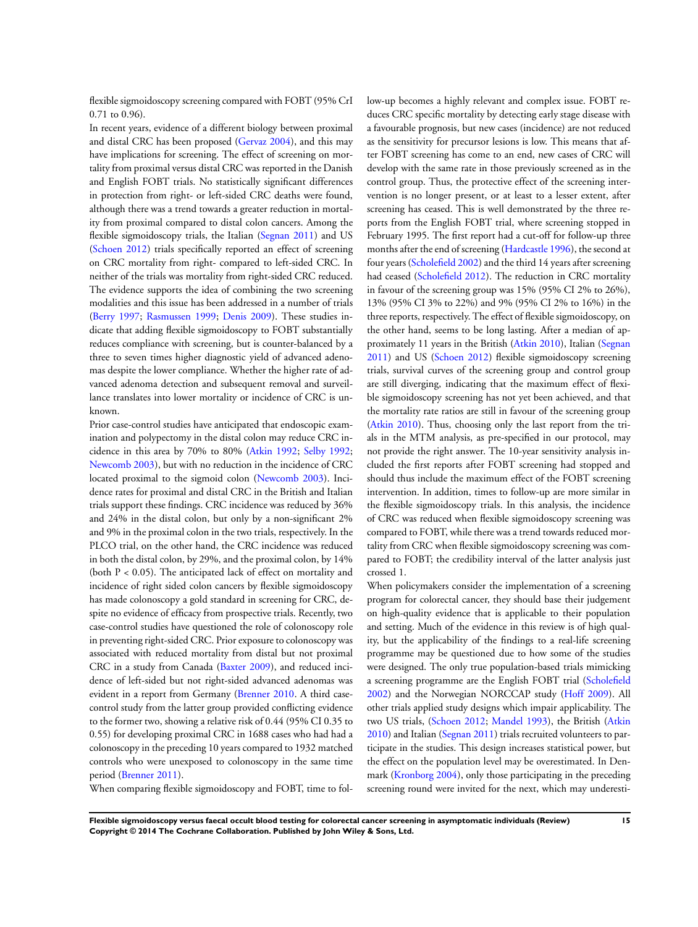flexible sigmoidoscopy screening compared with FOBT (95% CrI 0.71 to 0.96).

In recent years, evidence of a different biology between proximal and distal CRC has been proposed [\(Gervaz 2004](#page-18-0)), and this may have implications for screening. The effect of screening on mortality from proximal versus distal CRC was reported in the Danish and English FOBT trials. No statistically significant differences in protection from right- or left-sided CRC deaths were found, although there was a trend towards a greater reduction in mortality from proximal compared to distal colon cancers. Among the flexible sigmoidoscopy trials, the Italian [\(Segnan 2011](#page-18-0)) and US [\(Schoen 2012\)](#page-18-0) trials specifically reported an effect of screening on CRC mortality from right- compared to left-sided CRC. In neither of the trials was mortality from right-sided CRC reduced. The evidence supports the idea of combining the two screening modalities and this issue has been addressed in a number of trials [\(Berry 1997](#page-18-0); [Rasmussen 1999;](#page-18-0) [Denis 2009\)](#page-18-0). These studies indicate that adding flexible sigmoidoscopy to FOBT substantially reduces compliance with screening, but is counter-balanced by a three to seven times higher diagnostic yield of advanced adenomas despite the lower compliance. Whether the higher rate of advanced adenoma detection and subsequent removal and surveillance translates into lower mortality or incidence of CRC is unknown.

Prior case-control studies have anticipated that endoscopic examination and polypectomy in the distal colon may reduce CRC incidence in this area by 70% to 80% ([Atkin 1992;](#page-18-0) [Selby 1992;](#page-18-0) [Newcomb 2003](#page-18-0)), but with no reduction in the incidence of CRC located proximal to the sigmoid colon [\(Newcomb 2003](#page-18-0)). Incidence rates for proximal and distal CRC in the British and Italian trials support these findings. CRC incidence was reduced by 36% and 24% in the distal colon, but only by a non-significant 2% and 9% in the proximal colon in the two trials, respectively. In the PLCO trial, on the other hand, the CRC incidence was reduced in both the distal colon, by 29%, and the proximal colon, by 14% (both P < 0.05). The anticipated lack of effect on mortality and incidence of right sided colon cancers by flexible sigmoidoscopy has made colonoscopy a gold standard in screening for CRC, despite no evidence of efficacy from prospective trials. Recently, two case-control studies have questioned the role of colonoscopy role in preventing right-sided CRC. Prior exposure to colonoscopy was associated with reduced mortality from distal but not proximal CRC in a study from Canada ([Baxter 2009](#page-18-0)), and reduced incidence of left-sided but not right-sided advanced adenomas was evident in a report from Germany ([Brenner 2010](#page-18-0). A third casecontrol study from the latter group provided conflicting evidence to the former two, showing a relative risk of 0.44 (95% CI 0.35 to 0.55) for developing proximal CRC in 1688 cases who had had a colonoscopy in the preceding 10 years compared to 1932 matched controls who were unexposed to colonoscopy in the same time period ([Brenner 2011\)](#page-18-0).

low-up becomes a highly relevant and complex issue. FOBT reduces CRC specific mortality by detecting early stage disease with a favourable prognosis, but new cases (incidence) are not reduced as the sensitivity for precursor lesions is low. This means that after FOBT screening has come to an end, new cases of CRC will develop with the same rate in those previously screened as in the control group. Thus, the protective effect of the screening intervention is no longer present, or at least to a lesser extent, after screening has ceased. This is well demonstrated by the three reports from the English FOBT trial, where screening stopped in February 1995. The first report had a cut-off for follow-up three months after the end of screening ([Hardcastle 1996](#page-18-0)), the second at four years ([Scholefield 2002\)](#page-18-0) and the third 14 years after screening had ceased [\(Scholefield 2012\)](#page-18-0). The reduction in CRC mortality in favour of the screening group was 15% (95% CI 2% to 26%), 13% (95% CI 3% to 22%) and 9% (95% CI 2% to 16%) in the three reports, respectively. The effect of flexible sigmoidoscopy, on the other hand, seems to be long lasting. After a median of approximately 11 years in the British [\(Atkin 2010](#page-18-0)), Italian [\(Segnan](#page-18-0) [2011](#page-18-0)) and US ([Schoen 2012](#page-18-0)) flexible sigmoidoscopy screening trials, survival curves of the screening group and control group are still diverging, indicating that the maximum effect of flexible sigmoidoscopy screening has not yet been achieved, and that the mortality rate ratios are still in favour of the screening group [\(Atkin 2010\)](#page-18-0). Thus, choosing only the last report from the trials in the MTM analysis, as pre-specified in our protocol, may not provide the right answer. The 10-year sensitivity analysis included the first reports after FOBT screening had stopped and should thus include the maximum effect of the FOBT screening intervention. In addition, times to follow-up are more similar in the flexible sigmoidoscopy trials. In this analysis, the incidence of CRC was reduced when flexible sigmoidoscopy screening was compared to FOBT, while there was a trend towards reduced mortality from CRC when flexible sigmoidoscopy screening was compared to FOBT; the credibility interval of the latter analysis just crossed 1.

When policymakers consider the implementation of a screening program for colorectal cancer, they should base their judgement on high-quality evidence that is applicable to their population and setting. Much of the evidence in this review is of high quality, but the applicability of the findings to a real-life screening programme may be questioned due to how some of the studies were designed. The only true population-based trials mimicking a screening programme are the English FOBT trial [\(Scholefield](#page-18-0) [2002](#page-18-0)) and the Norwegian NORCCAP study [\(Hoff 2009\)](#page-18-0). All other trials applied study designs which impair applicability. The two US trials, [\(Schoen 2012](#page-18-0); [Mandel 1993](#page-18-0)), the British ([Atkin](#page-18-0) [2010](#page-18-0)) and Italian [\(Segnan 2011](#page-18-0)) trials recruited volunteers to participate in the studies. This design increases statistical power, but the effect on the population level may be overestimated. In Denmark [\(Kronborg 2004](#page-18-0)), only those participating in the preceding screening round were invited for the next, which may underesti-

When comparing flexible sigmoidoscopy and FOBT, time to fol-

**Flexible sigmoidoscopy versus faecal occult blood testing for colorectal cancer screening in asymptomatic individuals (Review) 15 Copyright © 2014 The Cochrane Collaboration. Published by John Wiley & Sons, Ltd.**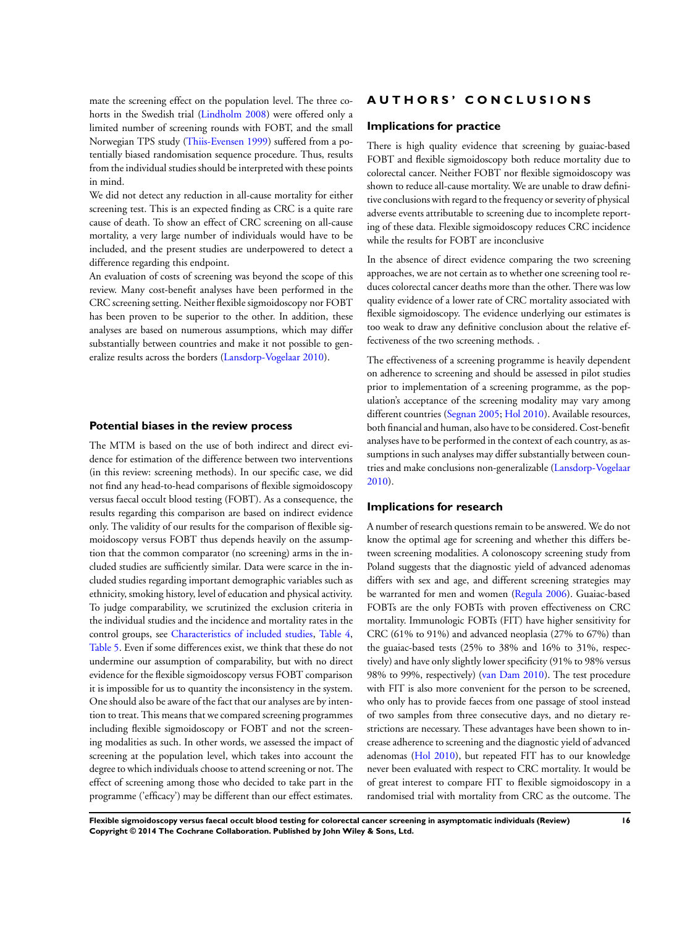mate the screening effect on the population level. The three cohorts in the Swedish trial ([Lindholm 2008](#page-18-0)) were offered only a limited number of screening rounds with FOBT, and the small Norwegian TPS study ([Thiis-Evensen 1999\)](#page-18-0) suffered from a potentially biased randomisation sequence procedure. Thus, results from the individual studies should be interpreted with these points in mind.

We did not detect any reduction in all-cause mortality for either screening test. This is an expected finding as CRC is a quite rare cause of death. To show an effect of CRC screening on all-cause mortality, a very large number of individuals would have to be included, and the present studies are underpowered to detect a difference regarding this endpoint.

An evaluation of costs of screening was beyond the scope of this review. Many cost-benefit analyses have been performed in the CRC screening setting. Neither flexible sigmoidoscopy nor FOBT has been proven to be superior to the other. In addition, these analyses are based on numerous assumptions, which may differ substantially between countries and make it not possible to generalize results across the borders ([Lansdorp-Vogelaar 2010](#page-18-0)).

#### **Potential biases in the review process**

The MTM is based on the use of both indirect and direct evidence for estimation of the difference between two interventions (in this review: screening methods). In our specific case, we did not find any head-to-head comparisons of flexible sigmoidoscopy versus faecal occult blood testing (FOBT). As a consequence, the results regarding this comparison are based on indirect evidence only. The validity of our results for the comparison of flexible sigmoidoscopy versus FOBT thus depends heavily on the assumption that the common comparator (no screening) arms in the included studies are sufficiently similar. Data were scarce in the included studies regarding important demographic variables such as ethnicity, smoking history, level of education and physical activity. To judge comparability, we scrutinized the exclusion criteria in the individual studies and the incidence and mortality rates in the control groups, see [Characteristics of included studies](#page-23-0), [Table 4,](#page-59-0) [Table 5.](#page-60-0) Even if some differences exist, we think that these do not undermine our assumption of comparability, but with no direct evidence for the flexible sigmoidoscopy versus FOBT comparison it is impossible for us to quantity the inconsistency in the system. One should also be aware of the fact that our analyses are by intention to treat. This means that we compared screening programmes including flexible sigmoidoscopy or FOBT and not the screening modalities as such. In other words, we assessed the impact of screening at the population level, which takes into account the degree to which individuals choose to attend screening or not. The effect of screening among those who decided to take part in the programme ('efficacy') may be different than our effect estimates.

## **A U T H O R S ' C O N C L U S I O N S**

### **Implications for practice**

There is high quality evidence that screening by guaiac-based FOBT and flexible sigmoidoscopy both reduce mortality due to colorectal cancer. Neither FOBT nor flexible sigmoidoscopy was shown to reduce all-cause mortality. We are unable to draw definitive conclusions with regard to the frequency or severity of physical adverse events attributable to screening due to incomplete reporting of these data. Flexible sigmoidoscopy reduces CRC incidence while the results for FOBT are inconclusive

In the absence of direct evidence comparing the two screening approaches, we are not certain as to whether one screening tool reduces colorectal cancer deaths more than the other. There was low quality evidence of a lower rate of CRC mortality associated with flexible sigmoidoscopy. The evidence underlying our estimates is too weak to draw any definitive conclusion about the relative effectiveness of the two screening methods. .

The effectiveness of a screening programme is heavily dependent on adherence to screening and should be assessed in pilot studies prior to implementation of a screening programme, as the population's acceptance of the screening modality may vary among different countries [\(Segnan 2005](#page-18-0); [Hol 2010](#page-18-0)). Available resources, both financial and human, also have to be considered. Cost-benefit analyses have to be performed in the context of each country, as assumptions in such analyses may differ substantially between countries and make conclusions non-generalizable ([Lansdorp-Vogelaar](#page-18-0) [2010](#page-18-0)).

### **Implications for research**

A number of research questions remain to be answered. We do not know the optimal age for screening and whether this differs between screening modalities. A colonoscopy screening study from Poland suggests that the diagnostic yield of advanced adenomas differs with sex and age, and different screening strategies may be warranted for men and women [\(Regula 2006\)](#page-18-0). Guaiac-based FOBTs are the only FOBTs with proven effectiveness on CRC mortality. Immunologic FOBTs (FIT) have higher sensitivity for CRC (61% to 91%) and advanced neoplasia (27% to 67%) than the guaiac-based tests (25% to 38% and 16% to 31%, respectively) and have only slightly lower specificity (91% to 98% versus 98% to 99%, respectively) [\(van Dam 2010\)](#page-18-0). The test procedure with FIT is also more convenient for the person to be screened, who only has to provide faeces from one passage of stool instead of two samples from three consecutive days, and no dietary restrictions are necessary. These advantages have been shown to increase adherence to screening and the diagnostic yield of advanced adenomas ([Hol 2010\)](#page-18-0), but repeated FIT has to our knowledge never been evaluated with respect to CRC mortality. It would be of great interest to compare FIT to flexible sigmoidoscopy in a randomised trial with mortality from CRC as the outcome. The

**Flexible sigmoidoscopy versus faecal occult blood testing for colorectal cancer screening in asymptomatic individuals (Review) 16 Copyright © 2014 The Cochrane Collaboration. Published by John Wiley & Sons, Ltd.**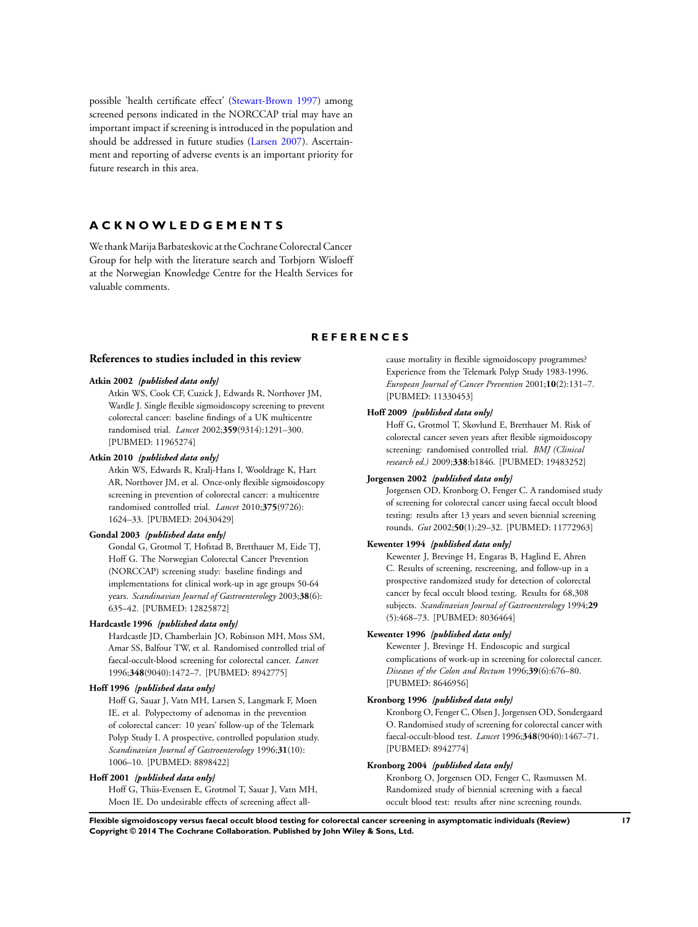<span id="page-18-0"></span>possible 'health certificate effect' (Stewart-Brown 1997) among screened persons indicated in the NORCCAP trial may have an important impact if screening is introduced in the population and should be addressed in future studies (Larsen 2007). Ascertainment and reporting of adverse events is an important priority for future research in this area.

## **A C K N O W L E D G E M E N T S**

We thank Marija Barbateskovic at the Cochrane Colorectal Cancer Group for help with the literature search and Torbjorn Wisloeff at the Norwegian Knowledge Centre for the Health Services for valuable comments.

### **R E F E R E N C E S**

## **References to studies included in this review**

#### **Atkin 2002** *{published data only}*

Atkin WS, Cook CF, Cuzick J, Edwards R, Northover JM, Wardle J. Single flexible sigmoidoscopy screening to prevent colorectal cancer: baseline findings of a UK multicentre randomised trial. *Lancet* 2002;**359**(9314):1291–300. [PUBMED: 11965274]

### **Atkin 2010** *{published data only}*

Atkin WS, Edwards R, Kralj-Hans I, Wooldrage K, Hart AR, Northover JM, et al. Once-only flexible sigmoidoscopy screening in prevention of colorectal cancer: a multicentre randomised controlled trial. *Lancet* 2010;**375**(9726): 1624–33. [PUBMED: 20430429]

#### **Gondal 2003** *{published data only}*

Gondal G, Grotmol T, Hofstad B, Bretthauer M, Eide TJ, Hoff G. The Norwegian Colorectal Cancer Prevention (NORCCAP) screening study: baseline findings and implementations for clinical work-up in age groups 50-64 years. *Scandinavian Journal of Gastroenterology* 2003;**38**(6): 635–42. [PUBMED: 12825872]

## **Hardcastle 1996** *{published data only}*

Hardcastle JD, Chamberlain JO, Robinson MH, Moss SM, Amar SS, Balfour TW, et al. Randomised controlled trial of faecal-occult-blood screening for colorectal cancer. *Lancet* 1996;**348**(9040):1472–7. [PUBMED: 8942775]

### **Hoff 1996** *{published data only}*

Hoff G, Sauar J, Vatn MH, Larsen S, Langmark F, Moen IE, et al. Polypectomy of adenomas in the prevention of colorectal cancer: 10 years' follow-up of the Telemark Polyp Study I. A prospective, controlled population study. *Scandinavian Journal of Gastroenterology* 1996;**31**(10): 1006–10. [PUBMED: 8898422]

### **Hoff 2001** *{published data only}*

Hoff G, Thiis-Evensen E, Grotmol T, Sauar J, Vatn MH, Moen IE. Do undesirable effects of screening affect allcause mortality in flexible sigmoidoscopy programmes? Experience from the Telemark Polyp Study 1983-1996. *European Journal of Cancer Prevention* 2001;**10**(2):131–7. [PUBMED: 11330453]

#### **Hoff 2009** *{published data only}*

Hoff G, Grotmol T, Skovlund E, Bretthauer M. Risk of colorectal cancer seven years after flexible sigmoidoscopy screening: randomised controlled trial. *BMJ (Clinical research ed.)* 2009;**338**:b1846. [PUBMED: 19483252]

### **Jorgensen 2002** *{published data only}*

Jorgensen OD, Kronborg O, Fenger C. A randomised study of screening for colorectal cancer using faecal occult blood testing: results after 13 years and seven biennial screening rounds. *Gut* 2002;**50**(1):29–32. [PUBMED: 11772963]

### **Kewenter 1994** *{published data only}*

Kewenter J, Brevinge H, Engaras B, Haglind E, Ahren C. Results of screening, rescreening, and follow-up in a prospective randomized study for detection of colorectal cancer by fecal occult blood testing. Results for 68,308 subjects. *Scandinavian Journal of Gastroenterology* 1994;**29** (5):468–73. [PUBMED: 8036464]

### **Kewenter 1996** *{published data only}*

Kewenter J, Brevinge H. Endoscopic and surgical complications of work-up in screening for colorectal cancer. *Diseases of the Colon and Rectum* 1996;**39**(6):676–80. [PUBMED: 8646956]

#### **Kronborg 1996** *{published data only}*

Kronborg O, Fenger C, Olsen J, Jorgensen OD, Sondergaard O. Randomised study of screening for colorectal cancer with faecal-occult-blood test. *Lancet* 1996;**348**(9040):1467–71. [PUBMED: 8942774]

#### **Kronborg 2004** *{published data only}*

Kronborg O, Jorgensen OD, Fenger C, Rasmussen M. Randomized study of biennial screening with a faecal occult blood test: results after nine screening rounds.

**Flexible sigmoidoscopy versus faecal occult blood testing for colorectal cancer screening in asymptomatic individuals (Review) 17 Copyright © 2014 The Cochrane Collaboration. Published by John Wiley & Sons, Ltd.**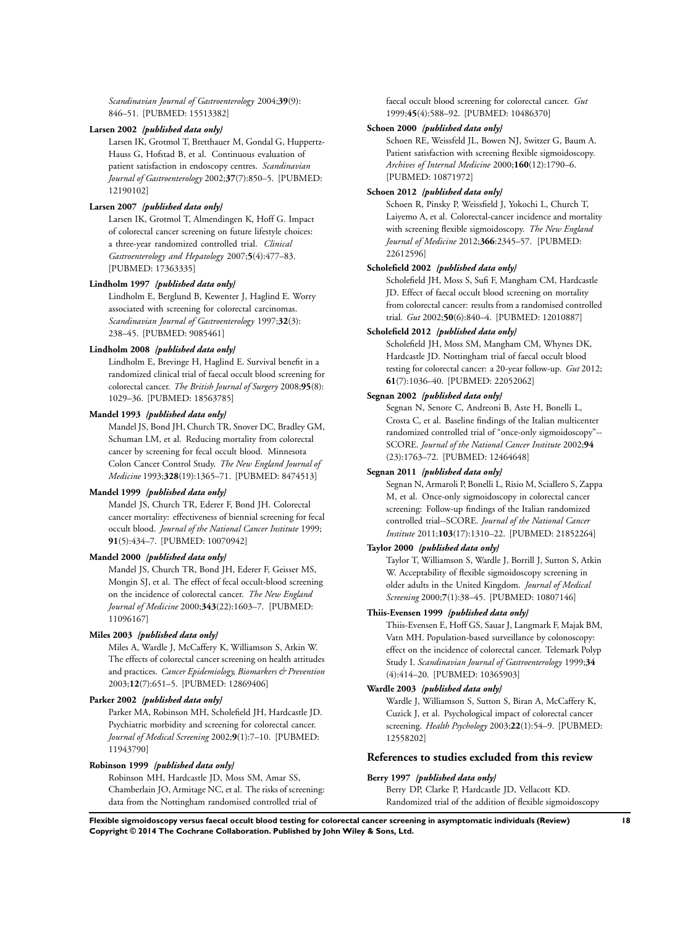*Scandinavian Journal of Gastroenterology* 2004;**39**(9): 846–51. [PUBMED: 15513382]

#### **Larsen 2002** *{published data only}*

Larsen IK, Grotmol T, Bretthauer M, Gondal G, Huppertz-Hauss G, Hofstad B, et al. Continuous evaluation of patient satisfaction in endoscopy centres. *Scandinavian Journal of Gastroenterology* 2002;**37**(7):850–5. [PUBMED: 12190102]

### **Larsen 2007** *{published data only}*

Larsen IK, Grotmol T, Almendingen K, Hoff G. Impact of colorectal cancer screening on future lifestyle choices: a three-year randomized controlled trial. *Clinical Gastroenterology and Hepatology* 2007;**5**(4):477–83. [PUBMED: 17363335]

### **Lindholm 1997** *{published data only}*

Lindholm E, Berglund B, Kewenter J, Haglind E. Worry associated with screening for colorectal carcinomas. *Scandinavian Journal of Gastroenterology* 1997;**32**(3): 238–45. [PUBMED: 9085461]

### **Lindholm 2008** *{published data only}*

Lindholm E, Brevinge H, Haglind E. Survival benefit in a randomized clinical trial of faecal occult blood screening for colorectal cancer. *The British Journal of Surgery* 2008;**95**(8): 1029–36. [PUBMED: 18563785]

### **Mandel 1993** *{published data only}*

Mandel JS, Bond JH, Church TR, Snover DC, Bradley GM, Schuman LM, et al. Reducing mortality from colorectal cancer by screening for fecal occult blood. Minnesota Colon Cancer Control Study. *The New England Journal of Medicine* 1993;**328**(19):1365–71. [PUBMED: 8474513]

### **Mandel 1999** *{published data only}*

Mandel JS, Church TR, Ederer F, Bond JH. Colorectal cancer mortality: effectiveness of biennial screening for fecal occult blood. *Journal of the National Cancer Institute* 1999; **91**(5):434–7. [PUBMED: 10070942]

### **Mandel 2000** *{published data only}*

Mandel JS, Church TR, Bond JH, Ederer F, Geisser MS, Mongin SJ, et al. The effect of fecal occult-blood screening on the incidence of colorectal cancer. *The New England Journal of Medicine* 2000;**343**(22):1603–7. [PUBMED: 11096167]

### **Miles 2003** *{published data only}*

Miles A, Wardle J, McCaffery K, Williamson S, Atkin W. The effects of colorectal cancer screening on health attitudes and practices. *Cancer Epidemiology, Biomarkers & Prevention* 2003;**12**(7):651–5. [PUBMED: 12869406]

#### **Parker 2002** *{published data only}*

Parker MA, Robinson MH, Scholefield JH, Hardcastle JD. Psychiatric morbidity and screening for colorectal cancer. *Journal of Medical Screening* 2002;**9**(1):7–10. [PUBMED: 11943790]

#### **Robinson 1999** *{published data only}*

Robinson MH, Hardcastle JD, Moss SM, Amar SS, Chamberlain JO, Armitage NC, et al. The risks of screening: data from the Nottingham randomised controlled trial of

faecal occult blood screening for colorectal cancer. *Gut* 1999;**45**(4):588–92. [PUBMED: 10486370]

#### **Schoen 2000** *{published data only}*

Schoen RE, Weissfeld JL, Bowen NJ, Switzer G, Baum A. Patient satisfaction with screening flexible sigmoidoscopy. *Archives of Internal Medicine* 2000;**160**(12):1790–6. [PUBMED: 10871972]

### **Schoen 2012** *{published data only}*

Schoen R, Pinsky P, Weissfield J, Yokochi L, Church T, Laiyemo A, et al. Colorectal-cancer incidence and mortality with screening flexible sigmoidoscopy. *The New England Journal of Medicine* 2012;**366**:2345–57. [PUBMED: 22612596]

#### **Scholefield 2002** *{published data only}*

Scholefield JH, Moss S, Sufi F, Mangham CM, Hardcastle JD. Effect of faecal occult blood screening on mortality from colorectal cancer: results from a randomised controlled trial. *Gut* 2002;**50**(6):840–4. [PUBMED: 12010887]

#### **Scholefield 2012** *{published data only}*

Scholefield JH, Moss SM, Mangham CM, Whynes DK, Hardcastle JD. Nottingham trial of faecal occult blood testing for colorectal cancer: a 20-year follow-up. *Gut* 2012; **61**(7):1036–40. [PUBMED: 22052062]

### **Segnan 2002** *{published data only}*

Segnan N, Senore C, Andreoni B, Aste H, Bonelli L, Crosta C, et al. Baseline findings of the Italian multicenter randomized controlled trial of "once-only sigmoidoscopy"-- SCORE. *Journal of the National Cancer Institute* 2002;**94** (23):1763–72. [PUBMED: 12464648]

#### **Segnan 2011** *{published data only}*

Segnan N, Armaroli P, Bonelli L, Risio M, Sciallero S, Zappa M, et al. Once-only sigmoidoscopy in colorectal cancer screening: Follow-up findings of the Italian randomized controlled trial--SCORE. *Journal of the National Cancer Institute* 2011;**103**(17):1310–22. [PUBMED: 21852264]

#### **Taylor 2000** *{published data only}*

Taylor T, Williamson S, Wardle J, Borrill J, Sutton S, Atkin W. Acceptability of flexible sigmoidoscopy screening in older adults in the United Kingdom. *Journal of Medical Screening* 2000;**7**(1):38–45. [PUBMED: 10807146]

### **Thiis-Evensen 1999** *{published data only}*

Thiis-Evensen E, Hoff GS, Sauar J, Langmark F, Majak BM, Vatn MH. Population-based surveillance by colonoscopy: effect on the incidence of colorectal cancer. Telemark Polyp Study I. *Scandinavian Journal of Gastroenterology* 1999;**34** (4):414–20. [PUBMED: 10365903]

### **Wardle 2003** *{published data only}*

Wardle J, Williamson S, Sutton S, Biran A, McCaffery K, Cuzick J, et al. Psychological impact of colorectal cancer screening. *Health Psychology* 2003;**22**(1):54–9. [PUBMED: 12558202]

#### **References to studies excluded from this review**

#### **Berry 1997** *{published data only}*

Berry DP, Clarke P, Hardcastle JD, Vellacott KD. Randomized trial of the addition of flexible sigmoidoscopy

**Flexible sigmoidoscopy versus faecal occult blood testing for colorectal cancer screening in asymptomatic individuals (Review) 18 Copyright © 2014 The Cochrane Collaboration. Published by John Wiley & Sons, Ltd.**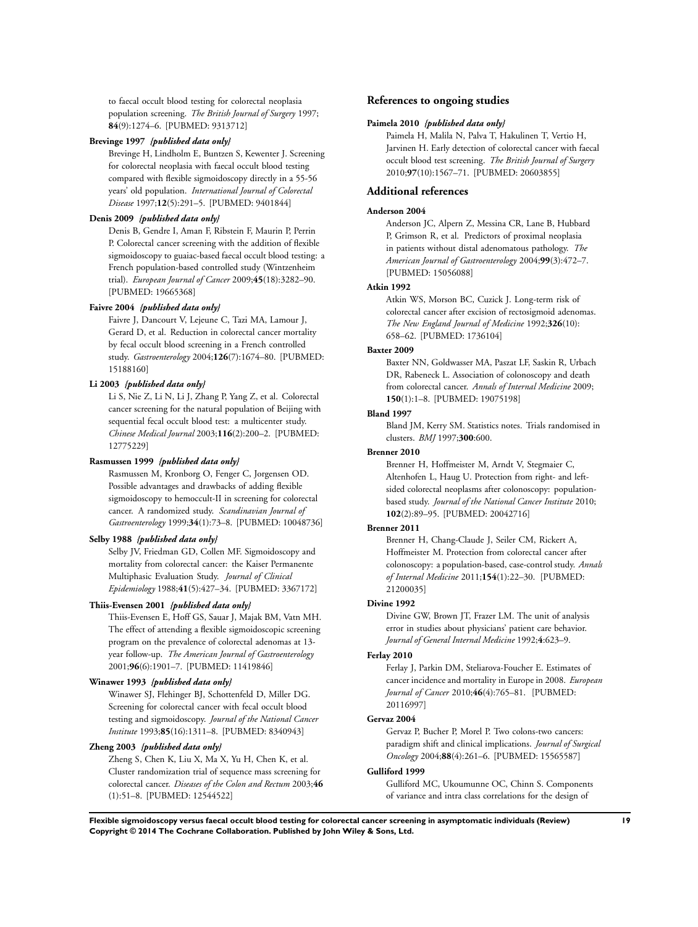to faecal occult blood testing for colorectal neoplasia population screening. *The British Journal of Surgery* 1997; **84**(9):1274–6. [PUBMED: 9313712]

#### **Brevinge 1997** *{published data only}*

Brevinge H, Lindholm E, Buntzen S, Kewenter J. Screening for colorectal neoplasia with faecal occult blood testing compared with flexible sigmoidoscopy directly in a 55-56 years' old population. *International Journal of Colorectal Disease* 1997;**12**(5):291–5. [PUBMED: 9401844]

#### **Denis 2009** *{published data only}*

Denis B, Gendre I, Aman F, Ribstein F, Maurin P, Perrin P. Colorectal cancer screening with the addition of flexible sigmoidoscopy to guaiac-based faecal occult blood testing: a French population-based controlled study (Wintzenheim trial). *European Journal of Cancer* 2009;**45**(18):3282–90. [PUBMED: 19665368]

### **Faivre 2004** *{published data only}*

Faivre J, Dancourt V, Lejeune C, Tazi MA, Lamour J, Gerard D, et al. Reduction in colorectal cancer mortality by fecal occult blood screening in a French controlled study. *Gastroenterology* 2004;**126**(7):1674–80. [PUBMED: 15188160]

## **Li 2003** *{published data only}*

Li S, Nie Z, Li N, Li J, Zhang P, Yang Z, et al. Colorectal cancer screening for the natural population of Beijing with sequential fecal occult blood test: a multicenter study. *Chinese Medical Journal* 2003;**116**(2):200–2. [PUBMED: 12775229]

#### **Rasmussen 1999** *{published data only}*

Rasmussen M, Kronborg O, Fenger C, Jorgensen OD. Possible advantages and drawbacks of adding flexible sigmoidoscopy to hemoccult-II in screening for colorectal cancer. A randomized study. *Scandinavian Journal of Gastroenterology* 1999;**34**(1):73–8. [PUBMED: 10048736]

#### **Selby 1988** *{published data only}*

Selby JV, Friedman GD, Collen MF. Sigmoidoscopy and mortality from colorectal cancer: the Kaiser Permanente Multiphasic Evaluation Study. *Journal of Clinical Epidemiology* 1988;**41**(5):427–34. [PUBMED: 3367172]

#### **Thiis-Evensen 2001** *{published data only}*

Thiis-Evensen E, Hoff GS, Sauar J, Majak BM, Vatn MH. The effect of attending a flexible sigmoidoscopic screening program on the prevalence of colorectal adenomas at 13 year follow-up. *The American Journal of Gastroenterology* 2001;**96**(6):1901–7. [PUBMED: 11419846]

### **Winawer 1993** *{published data only}*

Winawer SJ, Flehinger BJ, Schottenfeld D, Miller DG. Screening for colorectal cancer with fecal occult blood testing and sigmoidoscopy. *Journal of the National Cancer Institute* 1993;**85**(16):1311–8. [PUBMED: 8340943]

### **Zheng 2003** *{published data only}*

Zheng S, Chen K, Liu X, Ma X, Yu H, Chen K, et al. Cluster randomization trial of sequence mass screening for colorectal cancer. *Diseases of the Colon and Rectum* 2003;**46** (1):51–8. [PUBMED: 12544522]

### **References to ongoing studies**

#### **Paimela 2010** *{published data only}*

Paimela H, Malila N, Palva T, Hakulinen T, Vertio H, Jarvinen H. Early detection of colorectal cancer with faecal occult blood test screening. *The British Journal of Surgery* 2010;**97**(10):1567–71. [PUBMED: 20603855]

### **Additional references**

### **Anderson 2004**

Anderson JC, Alpern Z, Messina CR, Lane B, Hubbard P, Grimson R, et al. Predictors of proximal neoplasia in patients without distal adenomatous pathology. *The American Journal of Gastroenterology* 2004;**99**(3):472–7. [PUBMED: 15056088]

#### **Atkin 1992**

Atkin WS, Morson BC, Cuzick J. Long-term risk of colorectal cancer after excision of rectosigmoid adenomas. *The New England Journal of Medicine* 1992;**326**(10): 658–62. [PUBMED: 1736104]

#### **Baxter 2009**

Baxter NN, Goldwasser MA, Paszat LF, Saskin R, Urbach DR, Rabeneck L. Association of colonoscopy and death from colorectal cancer. *Annals of Internal Medicine* 2009; **150**(1):1–8. [PUBMED: 19075198]

#### **Bland 1997**

Bland JM, Kerry SM. Statistics notes. Trials randomised in clusters. *BMJ* 1997;**300**:600.

### **Brenner 2010**

Brenner H, Hoffmeister M, Arndt V, Stegmaier C, Altenhofen L, Haug U. Protection from right- and leftsided colorectal neoplasms after colonoscopy: populationbased study. *Journal of the National Cancer Institute* 2010; **102**(2):89–95. [PUBMED: 20042716]

#### **Brenner 2011**

Brenner H, Chang-Claude J, Seiler CM, Rickert A, Hoffmeister M. Protection from colorectal cancer after colonoscopy: a population-based, case-control study. *Annals of Internal Medicine* 2011;**154**(1):22–30. [PUBMED: 21200035]

#### **Divine 1992**

Divine GW, Brown JT, Frazer LM. The unit of analysis error in studies about physicians' patient care behavior. *Journal of General Internal Medicine* 1992;**4**:623–9.

### **Ferlay 2010**

Ferlay J, Parkin DM, Steliarova-Foucher E. Estimates of cancer incidence and mortality in Europe in 2008. *European Journal of Cancer* 2010;**46**(4):765–81. [PUBMED: 20116997]

#### **Gervaz 2004**

Gervaz P, Bucher P, Morel P. Two colons-two cancers: paradigm shift and clinical implications. *Journal of Surgical Oncology* 2004;**88**(4):261–6. [PUBMED: 15565587]

#### **Gulliford 1999**

Gulliford MC, Ukoumunne OC, Chinn S. Components of variance and intra class correlations for the design of

**Flexible sigmoidoscopy versus faecal occult blood testing for colorectal cancer screening in asymptomatic individuals (Review) 19 Copyright © 2014 The Cochrane Collaboration. Published by John Wiley & Sons, Ltd.**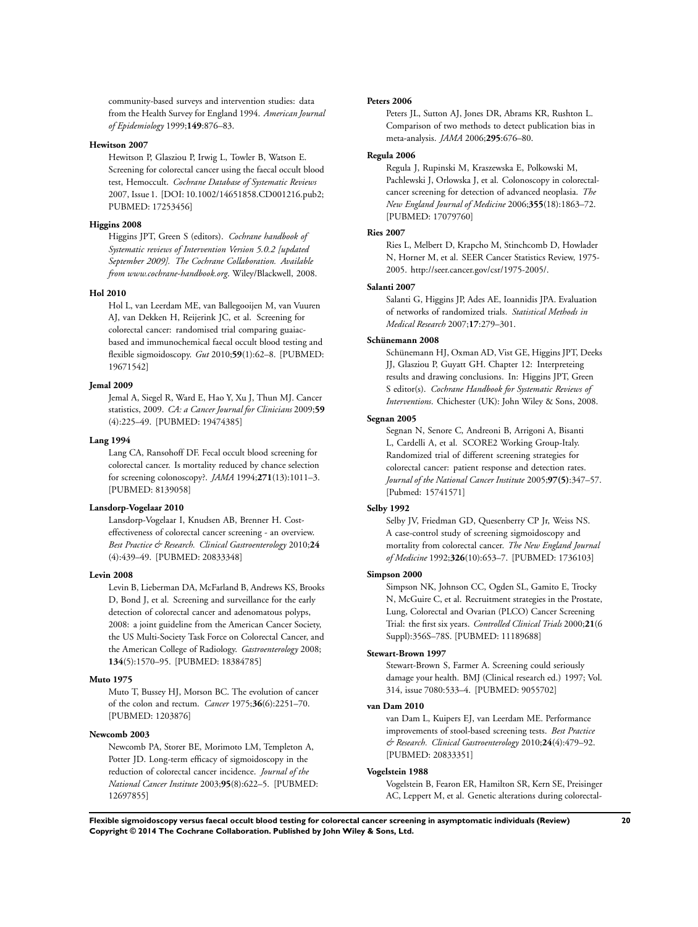community-based surveys and intervention studies: data from the Health Survey for England 1994. *American Journal of Epidemiology* 1999;**149**:876–83.

#### **Hewitson 2007**

Hewitson P, Glasziou P, Irwig L, Towler B, Watson E. Screening for colorectal cancer using the faecal occult blood test, Hemoccult. *Cochrane Database of Systematic Reviews* 2007, Issue 1. [DOI: 10.1002/14651858.CD001216.pub2; PUBMED: 17253456]

#### **Higgins 2008**

Higgins JPT, Green S (editors). *Cochrane handbook of Systematic reviews of Intervention Version 5.0.2 [updated September 2009]. The Cochrane Collaboration. Available from www.cochrane-handbook.org*. Wiley/Blackwell, 2008.

#### **Hol 2010**

Hol L, van Leerdam ME, van Ballegooijen M, van Vuuren AJ, van Dekken H, Reijerink JC, et al. Screening for colorectal cancer: randomised trial comparing guaiacbased and immunochemical faecal occult blood testing and flexible sigmoidoscopy. *Gut* 2010;**59**(1):62–8. [PUBMED: 19671542]

#### **Jemal 2009**

Jemal A, Siegel R, Ward E, Hao Y, Xu J, Thun MJ. Cancer statistics, 2009. *CA: a Cancer Journal for Clinicians* 2009;**59** (4):225–49. [PUBMED: 19474385]

#### **Lang 1994**

Lang CA, Ransohoff DF. Fecal occult blood screening for colorectal cancer. Is mortality reduced by chance selection for screening colonoscopy?. *JAMA* 1994;**271**(13):1011–3. [PUBMED: 8139058]

#### **Lansdorp-Vogelaar 2010**

Lansdorp-Vogelaar I, Knudsen AB, Brenner H. Costeffectiveness of colorectal cancer screening - an overview. *Best Practice & Research. Clinical Gastroenterology* 2010;**24** (4):439–49. [PUBMED: 20833348]

#### **Levin 2008**

Levin B, Lieberman DA, McFarland B, Andrews KS, Brooks D, Bond J, et al. Screening and surveillance for the early detection of colorectal cancer and adenomatous polyps, 2008: a joint guideline from the American Cancer Society, the US Multi-Society Task Force on Colorectal Cancer, and the American College of Radiology. *Gastroenterology* 2008; **134**(5):1570–95. [PUBMED: 18384785]

#### **Muto 1975**

Muto T, Bussey HJ, Morson BC. The evolution of cancer of the colon and rectum. *Cancer* 1975;**36**(6):2251–70. [PUBMED: 1203876]

### **Newcomb 2003**

Newcomb PA, Storer BE, Morimoto LM, Templeton A, Potter JD. Long-term efficacy of sigmoidoscopy in the reduction of colorectal cancer incidence. *Journal of the National Cancer Institute* 2003;**95**(8):622–5. [PUBMED: 12697855]

#### **Peters 2006**

Peters JL, Sutton AJ, Jones DR, Abrams KR, Rushton L. Comparison of two methods to detect publication bias in meta-analysis. *JAMA* 2006;**295**:676–80.

### **Regula 2006**

Regula J, Rupinski M, Kraszewska E, Polkowski M, Pachlewski J, Orlowska J, et al. Colonoscopy in colorectalcancer screening for detection of advanced neoplasia. *The New England Journal of Medicine* 2006;**355**(18):1863–72. [PUBMED: 17079760]

#### **Ries 2007**

Ries L, Melbert D, Krapcho M, Stinchcomb D, Howlader N, Horner M, et al. SEER Cancer Statistics Review, 1975- 2005. http://seer.cancer.gov/csr/1975-2005/.

#### **Salanti 2007**

Salanti G, Higgins JP, Ades AE, Ioannidis JPA. Evaluation of networks of randomized trials. *Statistical Methods in Medical Research* 2007;**17**:279–301.

#### **Schünemann 2008**

Schünemann HJ, Oxman AD, Vist GE, Higgins JPT, Deeks JJ, Glasziou P, Guyatt GH. Chapter 12: Interpreteing results and drawing conclusions. In: Higgins JPT, Green S editor(s). *Cochrane Handbook for Systematic Reviews of Interventions*. Chichester (UK): John Wiley & Sons, 2008.

#### **Segnan 2005**

Segnan N, Senore C, Andreoni B, Arrigoni A, Bisanti L, Cardelli A, et al. SCORE2 Working Group-Italy. Randomized trial of different screening strategies for colorectal cancer: patient response and detection rates. *Journal of the National Cancer Institute* 2005;**97(5)**:347–57. [Pubmed: 15741571]

### **Selby 1992**

Selby JV, Friedman GD, Quesenberry CP Jr, Weiss NS. A case-control study of screening sigmoidoscopy and mortality from colorectal cancer. *The New England Journal of Medicine* 1992;**326**(10):653–7. [PUBMED: 1736103]

#### **Simpson 2000**

Simpson NK, Johnson CC, Ogden SL, Gamito E, Trocky N, McGuire C, et al. Recruitment strategies in the Prostate, Lung, Colorectal and Ovarian (PLCO) Cancer Screening Trial: the first six years. *Controlled Clinical Trials* 2000;**21**(6 Suppl):356S–78S. [PUBMED: 11189688]

### **Stewart-Brown 1997**

Stewart-Brown S, Farmer A. Screening could seriously damage your health. BMJ (Clinical research ed.) 1997; Vol. 314, issue 7080:533–4. [PUBMED: 9055702]

#### **van Dam 2010**

van Dam L, Kuipers EJ, van Leerdam ME. Performance improvements of stool-based screening tests. *Best Practice & Research. Clinical Gastroenterology* 2010;**24**(4):479–92. [PUBMED: 20833351]

### **Vogelstein 1988**

Vogelstein B, Fearon ER, Hamilton SR, Kern SE, Preisinger AC, Leppert M, et al. Genetic alterations during colorectal-

**Flexible sigmoidoscopy versus faecal occult blood testing for colorectal cancer screening in asymptomatic individuals (Review) 20 Copyright © 2014 The Cochrane Collaboration. Published by John Wiley & Sons, Ltd.**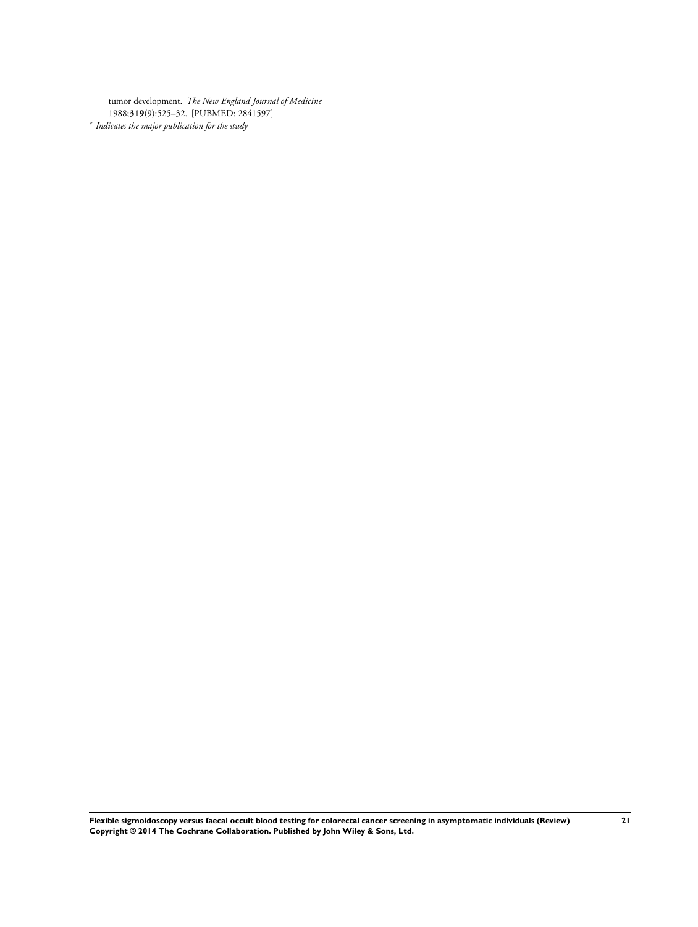tumor development. *The New England Journal of Medicine* 1988;**319**(9):525–32. [PUBMED: 2841597] ∗ *Indicates the major publication for the study*

**Flexible sigmoidoscopy versus faecal occult blood testing for colorectal cancer screening in asymptomatic individuals (Review) 21 Copyright © 2014 The Cochrane Collaboration. Published by John Wiley & Sons, Ltd.**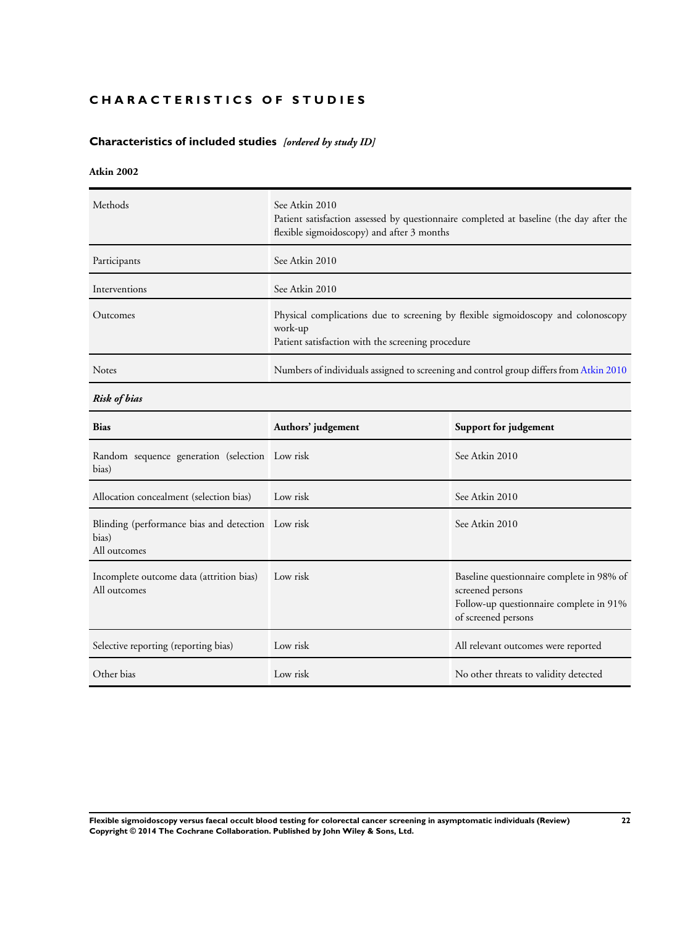## <span id="page-23-0"></span>**CHARACTERISTICS OF STUDIES**

# **Characteristics of included studies** *[ordered by study ID]*

## **Atkin 2002**

| Methods       | See Atkin 2010<br>Patient satisfaction assessed by questionnaire completed at baseline (the day after the<br>flexible sigmoidoscopy) and after 3 months |
|---------------|---------------------------------------------------------------------------------------------------------------------------------------------------------|
| Participants  | See Atkin 2010                                                                                                                                          |
| Interventions | See Atkin 2010                                                                                                                                          |
| Outcomes      | Physical complications due to screening by flexible sigmoidoscopy and colonoscopy<br>work-up<br>Patient satisfaction with the screening procedure       |
| <b>Notes</b>  | Numbers of individuals assigned to screening and control group differs from Atkin 2010                                                                  |

## *Risk of bias*

| <b>Bias</b>                                                                | Authors' judgement | Support for judgement                                                                                                           |
|----------------------------------------------------------------------------|--------------------|---------------------------------------------------------------------------------------------------------------------------------|
| Random sequence generation (selection Low risk<br>bias)                    |                    | See Atkin 2010                                                                                                                  |
| Allocation concealment (selection bias)                                    | Low risk           | See Atkin 2010                                                                                                                  |
| Blinding (performance bias and detection Low risk<br>bias)<br>All outcomes |                    | See Atkin 2010                                                                                                                  |
| Incomplete outcome data (attrition bias)<br>All outcomes                   | Low risk           | Baseline questionnaire complete in 98% of<br>screened persons<br>Follow-up questionnaire complete in 91%<br>of screened persons |
| Selective reporting (reporting bias)                                       | Low risk           | All relevant outcomes were reported                                                                                             |
| Other bias                                                                 | Low risk           | No other threats to validity detected                                                                                           |

**Flexible sigmoidoscopy versus faecal occult blood testing for colorectal cancer screening in asymptomatic individuals (Review) 22 Copyright © 2014 The Cochrane Collaboration. Published by John Wiley & Sons, Ltd.**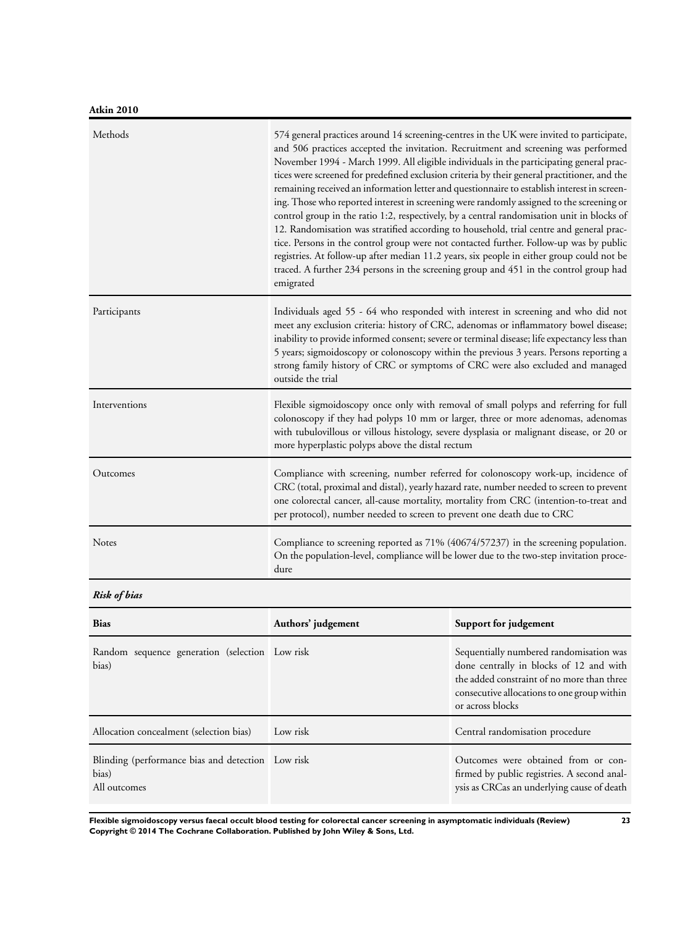| Methods       | 574 general practices around 14 screening-centres in the UK were invited to participate,<br>and 506 practices accepted the invitation. Recruitment and screening was performed<br>November 1994 - March 1999. All eligible individuals in the participating general prac-<br>tices were screened for predefined exclusion criteria by their general practitioner, and the<br>remaining received an information letter and questionnaire to establish interest in screen-<br>ing. Those who reported interest in screening were randomly assigned to the screening or<br>control group in the ratio 1:2, respectively, by a central randomisation unit in blocks of<br>12. Randomisation was stratified according to household, trial centre and general prac-<br>tice. Persons in the control group were not contacted further. Follow-up was by public<br>registries. At follow-up after median 11.2 years, six people in either group could not be<br>traced. A further 234 persons in the screening group and 451 in the control group had<br>emigrated |
|---------------|------------------------------------------------------------------------------------------------------------------------------------------------------------------------------------------------------------------------------------------------------------------------------------------------------------------------------------------------------------------------------------------------------------------------------------------------------------------------------------------------------------------------------------------------------------------------------------------------------------------------------------------------------------------------------------------------------------------------------------------------------------------------------------------------------------------------------------------------------------------------------------------------------------------------------------------------------------------------------------------------------------------------------------------------------------|
| Participants  | Individuals aged 55 - 64 who responded with interest in screening and who did not<br>meet any exclusion criteria: history of CRC, adenomas or inflammatory bowel disease;<br>inability to provide informed consent; severe or terminal disease; life expectancy less than<br>5 years; sigmoidoscopy or colonoscopy within the previous 3 years. Persons reporting a<br>strong family history of CRC or symptoms of CRC were also excluded and managed<br>outside the trial                                                                                                                                                                                                                                                                                                                                                                                                                                                                                                                                                                                 |
| Interventions | Flexible sigmoidoscopy once only with removal of small polyps and referring for full<br>colonoscopy if they had polyps 10 mm or larger, three or more adenomas, adenomas<br>with tubulovillous or villous histology, severe dysplasia or malignant disease, or 20 or<br>more hyperplastic polyps above the distal rectum                                                                                                                                                                                                                                                                                                                                                                                                                                                                                                                                                                                                                                                                                                                                   |
| Outcomes      | Compliance with screening, number referred for colonoscopy work-up, incidence of<br>CRC (total, proximal and distal), yearly hazard rate, number needed to screen to prevent<br>one colorectal cancer, all-cause mortality, mortality from CRC (intention-to-treat and<br>per protocol), number needed to screen to prevent one death due to CRC                                                                                                                                                                                                                                                                                                                                                                                                                                                                                                                                                                                                                                                                                                           |
| Notes         | Compliance to screening reported as 71% (40674/57237) in the screening population.<br>On the population-level, compliance will be lower due to the two-step invitation proce-<br>dure                                                                                                                                                                                                                                                                                                                                                                                                                                                                                                                                                                                                                                                                                                                                                                                                                                                                      |

*Risk of bias*

| <b>Bias</b>                                                                | Authors' judgement | Support for judgement                                                                                                                                                                               |
|----------------------------------------------------------------------------|--------------------|-----------------------------------------------------------------------------------------------------------------------------------------------------------------------------------------------------|
| Random sequence generation (selection Low risk<br>bias)                    |                    | Sequentially numbered randomisation was<br>done centrally in blocks of 12 and with<br>the added constraint of no more than three<br>consecutive allocations to one group within<br>or across blocks |
| Allocation concealment (selection bias)                                    | Low risk           | Central randomisation procedure                                                                                                                                                                     |
| Blinding (performance bias and detection Low risk<br>bias)<br>All outcomes |                    | Outcomes were obtained from or con-<br>firmed by public registries. A second anal-<br>ysis as CRCas an underlying cause of death                                                                    |

**Flexible sigmoidoscopy versus faecal occult blood testing for colorectal cancer screening in asymptomatic individuals (Review) 23 Copyright © 2014 The Cochrane Collaboration. Published by John Wiley & Sons, Ltd.**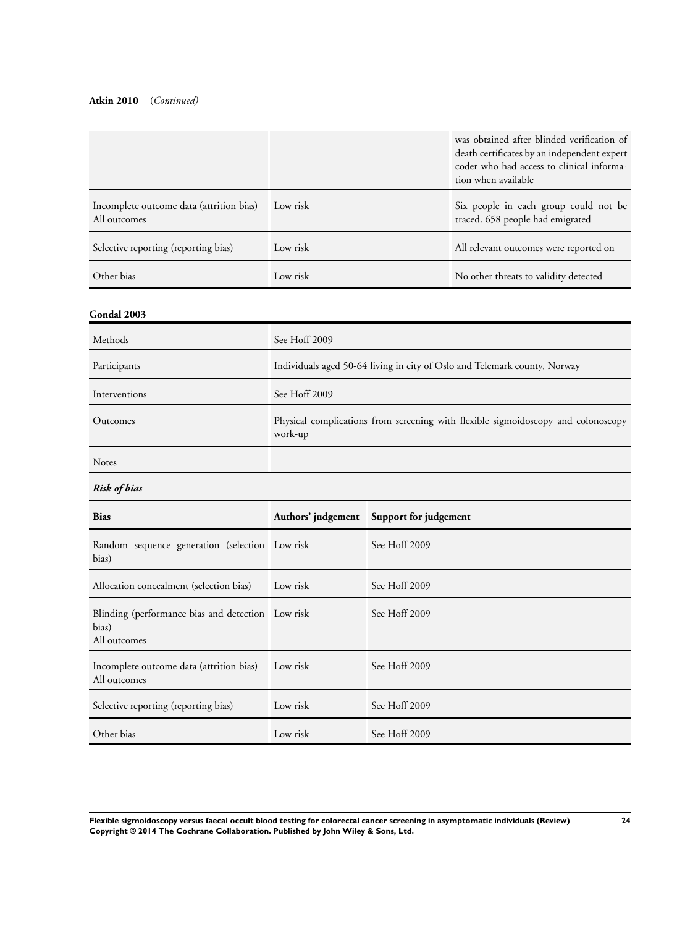## **Atkin 2010** (*Continued)*

|                                                          |          | was obtained after blinded verification of<br>death certificates by an independent expert<br>coder who had access to clinical informa-<br>tion when available |
|----------------------------------------------------------|----------|---------------------------------------------------------------------------------------------------------------------------------------------------------------|
| Incomplete outcome data (attrition bias)<br>All outcomes | Low risk | Six people in each group could not be<br>traced. 658 people had emigrated                                                                                     |
| Selective reporting (reporting bias)                     | Low risk | All relevant outcomes were reported on                                                                                                                        |
| Other bias                                               | Low risk | No other threats to validity detected                                                                                                                         |

## **Gondal 2003**

| Methods         | See Hoff 2009                                                                                |
|-----------------|----------------------------------------------------------------------------------------------|
| Participants    | Individuals aged 50-64 living in city of Oslo and Telemark county, Norway                    |
| Interventions   | See Hoff 2009                                                                                |
| <b>Outcomes</b> | Physical complications from screening with flexible sigmoidoscopy and colonoscopy<br>work-up |
| <b>Notes</b>    |                                                                                              |

## *Risk of bias*

| <b>Bias</b>                                                                |          | Authors' judgement Support for judgement |
|----------------------------------------------------------------------------|----------|------------------------------------------|
| Random sequence generation (selection Low risk<br>bias)                    |          | See Hoff 2009                            |
| Allocation concealment (selection bias)                                    | Low risk | See Hoff 2009                            |
| Blinding (performance bias and detection Low risk<br>bias)<br>All outcomes |          | See Hoff 2009                            |
| Incomplete outcome data (attrition bias)<br>All outcomes                   | Low risk | See Hoff 2009                            |
| Selective reporting (reporting bias)                                       | Low risk | See Hoff 2009                            |
| Other bias                                                                 | Low risk | See Hoff 2009                            |

**Flexible sigmoidoscopy versus faecal occult blood testing for colorectal cancer screening in asymptomatic individuals (Review) 24 Copyright © 2014 The Cochrane Collaboration. Published by John Wiley & Sons, Ltd.**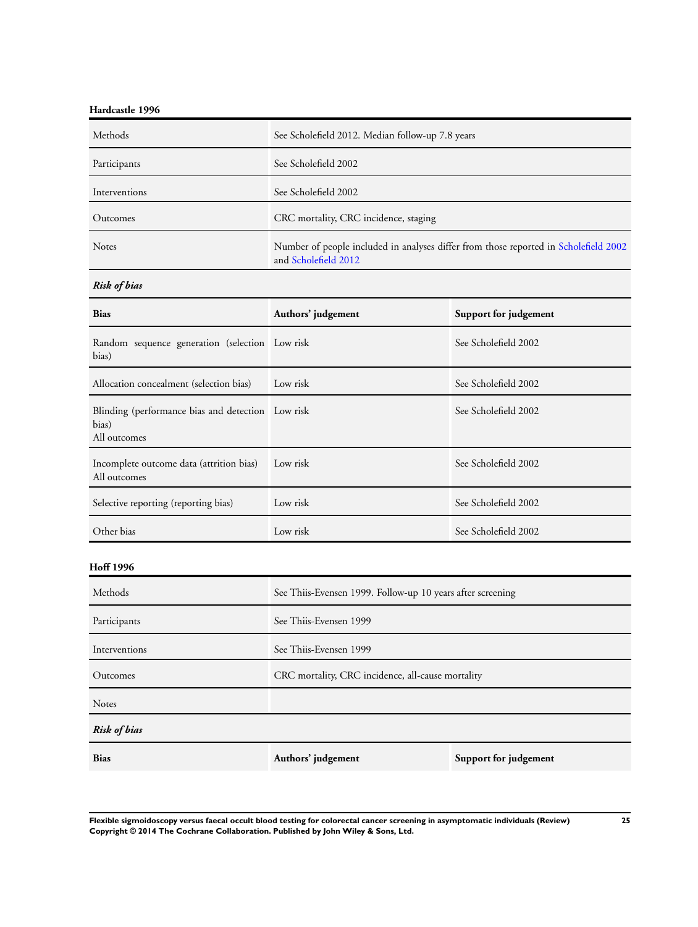## **Hardcastle 1996**

| Methods         | See Scholefield 2012. Median follow-up 7.8 years                                                             |
|-----------------|--------------------------------------------------------------------------------------------------------------|
| Participants    | See Scholefield 2002                                                                                         |
| Interventions   | See Scholefield 2002                                                                                         |
| <b>Outcomes</b> | CRC mortality, CRC incidence, staging                                                                        |
| <b>Notes</b>    | Number of people included in analyses differ from those reported in Scholefield 2002<br>and Scholefield 2012 |

## *Risk of bias*

| <b>Bias</b>                                                                | Authors' judgement | Support for judgement |
|----------------------------------------------------------------------------|--------------------|-----------------------|
| Random sequence generation (selection Low risk<br>bias)                    |                    | See Scholefield 2002  |
| Allocation concealment (selection bias)                                    | Low risk           | See Scholefield 2002  |
| Blinding (performance bias and detection Low risk<br>bias)<br>All outcomes |                    | See Scholefield 2002  |
| Incomplete outcome data (attrition bias)<br>All outcomes                   | Low risk           | See Scholefield 2002  |
| Selective reporting (reporting bias)                                       | Low risk           | See Scholefield 2002  |
| Other bias                                                                 | Low risk           | See Scholefield 2002  |

## **Hoff 1996**

| <b>Methods</b>      | See Thiis-Evensen 1999. Follow-up 10 years after screening |                       |  |
|---------------------|------------------------------------------------------------|-----------------------|--|
| Participants        | See Thiis-Evensen 1999                                     |                       |  |
| Interventions       | See Thiis-Evensen 1999                                     |                       |  |
| Outcomes            | CRC mortality, CRC incidence, all-cause mortality          |                       |  |
| <b>Notes</b>        |                                                            |                       |  |
| <b>Risk of bias</b> |                                                            |                       |  |
| <b>Bias</b>         | Authors' judgement                                         | Support for judgement |  |

**Flexible sigmoidoscopy versus faecal occult blood testing for colorectal cancer screening in asymptomatic individuals (Review) 25 Copyright © 2014 The Cochrane Collaboration. Published by John Wiley & Sons, Ltd.**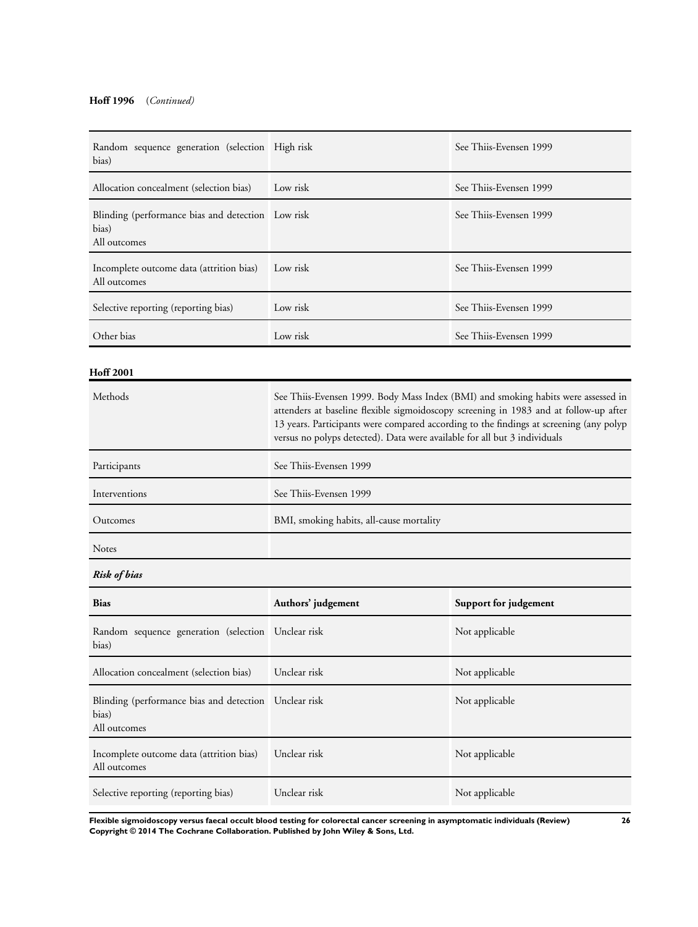## **Hoff 1996** (*Continued)*

| Random sequence generation (selection High risk<br>bias)                       |                                                                                                                                                                                                                                                                                                                                                   | See Thiis-Evensen 1999 |
|--------------------------------------------------------------------------------|---------------------------------------------------------------------------------------------------------------------------------------------------------------------------------------------------------------------------------------------------------------------------------------------------------------------------------------------------|------------------------|
| Allocation concealment (selection bias)                                        | Low risk                                                                                                                                                                                                                                                                                                                                          | See Thiis-Evensen 1999 |
| Blinding (performance bias and detection Low risk<br>bias)<br>All outcomes     |                                                                                                                                                                                                                                                                                                                                                   | See Thiis-Evensen 1999 |
| Incomplete outcome data (attrition bias)<br>All outcomes                       | Low risk                                                                                                                                                                                                                                                                                                                                          | See Thiis-Evensen 1999 |
| Selective reporting (reporting bias)                                           | Low risk                                                                                                                                                                                                                                                                                                                                          | See Thiis-Evensen 1999 |
| Other bias                                                                     | Low risk                                                                                                                                                                                                                                                                                                                                          | See Thiis-Evensen 1999 |
| <b>Hoff 2001</b>                                                               |                                                                                                                                                                                                                                                                                                                                                   |                        |
| Methods                                                                        | See Thiis-Evensen 1999. Body Mass Index (BMI) and smoking habits were assessed in<br>attenders at baseline flexible sigmoidoscopy screening in 1983 and at follow-up after<br>13 years. Participants were compared according to the findings at screening (any polyp<br>versus no polyps detected). Data were available for all but 3 individuals |                        |
| Participants                                                                   | See Thiis-Evensen 1999                                                                                                                                                                                                                                                                                                                            |                        |
| Interventions                                                                  | See Thiis-Evensen 1999                                                                                                                                                                                                                                                                                                                            |                        |
| Outcomes                                                                       | BMI, smoking habits, all-cause mortality                                                                                                                                                                                                                                                                                                          |                        |
| Notes                                                                          |                                                                                                                                                                                                                                                                                                                                                   |                        |
| Risk of bias                                                                   |                                                                                                                                                                                                                                                                                                                                                   |                        |
| <b>Bias</b>                                                                    | Authors' judgement                                                                                                                                                                                                                                                                                                                                | Support for judgement  |
| Random sequence generation (selection Unclear risk<br>bias)                    |                                                                                                                                                                                                                                                                                                                                                   | Not applicable         |
| Allocation concealment (selection bias)                                        | Unclear risk                                                                                                                                                                                                                                                                                                                                      | Not applicable         |
| Blinding (performance bias and detection Unclear risk<br>bias)<br>All outcomes |                                                                                                                                                                                                                                                                                                                                                   | Not applicable         |
| Incomplete outcome data (attrition bias)<br>All outcomes                       | Unclear risk                                                                                                                                                                                                                                                                                                                                      | Not applicable         |
| Selective reporting (reporting bias)                                           | Unclear risk                                                                                                                                                                                                                                                                                                                                      | Not applicable         |

**Flexible sigmoidoscopy versus faecal occult blood testing for colorectal cancer screening in asymptomatic individuals (Review) 26 Copyright © 2014 The Cochrane Collaboration. Published by John Wiley & Sons, Ltd.**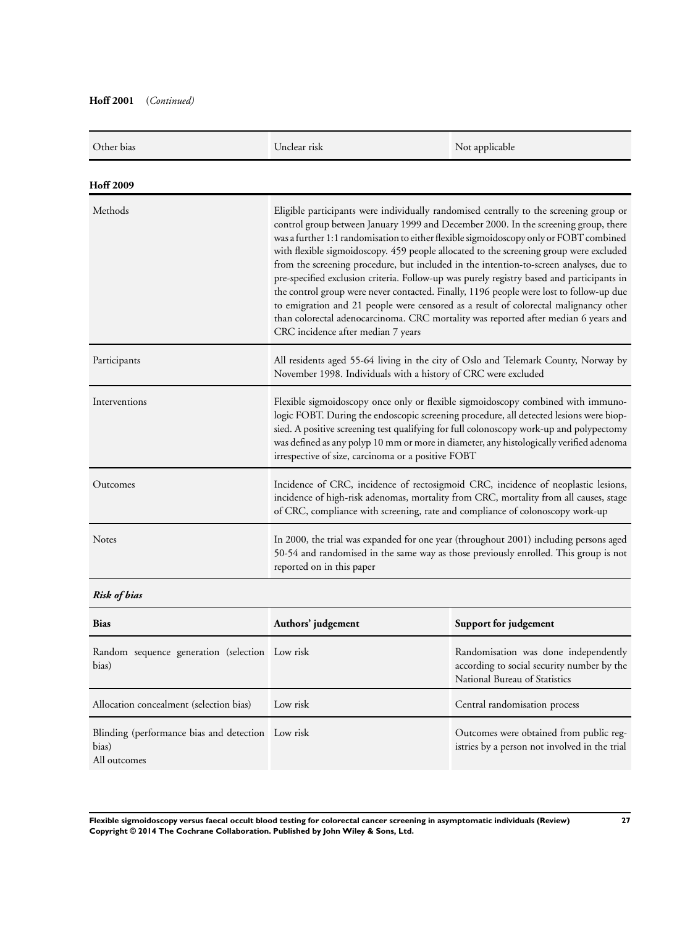## **Hoff 2001** (*Continued)*

| Other bias       | Unclear risk                                                                                                                                                                                                                                                                                                                                                                                                                                                                                                                                                                                                                                                                                                                                                                                                                                                             | Not applicable |
|------------------|--------------------------------------------------------------------------------------------------------------------------------------------------------------------------------------------------------------------------------------------------------------------------------------------------------------------------------------------------------------------------------------------------------------------------------------------------------------------------------------------------------------------------------------------------------------------------------------------------------------------------------------------------------------------------------------------------------------------------------------------------------------------------------------------------------------------------------------------------------------------------|----------------|
| <b>Hoff 2009</b> |                                                                                                                                                                                                                                                                                                                                                                                                                                                                                                                                                                                                                                                                                                                                                                                                                                                                          |                |
| Methods          | Eligible participants were individually randomised centrally to the screening group or<br>control group between January 1999 and December 2000. In the screening group, there<br>was a further 1:1 randomisation to either flexible sigmoidoscopy only or FOBT combined<br>with flexible sigmoidoscopy. 459 people allocated to the screening group were excluded<br>from the screening procedure, but included in the intention-to-screen analyses, due to<br>pre-specified exclusion criteria. Follow-up was purely registry based and participants in<br>the control group were never contacted. Finally, 1196 people were lost to follow-up due<br>to emigration and 21 people were censored as a result of colorectal malignancy other<br>than colorectal adenocarcinoma. CRC mortality was reported after median 6 years and<br>CRC incidence after median 7 years |                |
| Participants     | All residents aged 55-64 living in the city of Oslo and Telemark County, Norway by<br>November 1998. Individuals with a history of CRC were excluded                                                                                                                                                                                                                                                                                                                                                                                                                                                                                                                                                                                                                                                                                                                     |                |
| Interventions    | Flexible sigmoidoscopy once only or flexible sigmoidoscopy combined with immuno-<br>logic FOBT. During the endoscopic screening procedure, all detected lesions were biop-<br>sied. A positive screening test qualifying for full colonoscopy work-up and polypectomy<br>was defined as any polyp 10 mm or more in diameter, any histologically verified adenoma<br>irrespective of size, carcinoma or a positive FOBT                                                                                                                                                                                                                                                                                                                                                                                                                                                   |                |
| Outcomes         | Incidence of CRC, incidence of rectosigmoid CRC, incidence of neoplastic lesions,<br>incidence of high-risk adenomas, mortality from CRC, mortality from all causes, stage<br>of CRC, compliance with screening, rate and compliance of colonoscopy work-up                                                                                                                                                                                                                                                                                                                                                                                                                                                                                                                                                                                                              |                |
| <b>Notes</b>     | In 2000, the trial was expanded for one year (throughout 2001) including persons aged<br>50-54 and randomised in the same way as those previously enrolled. This group is not<br>reported on in this paper                                                                                                                                                                                                                                                                                                                                                                                                                                                                                                                                                                                                                                                               |                |

*Risk of bias*

| <b>Bias</b>                                                                | Authors' judgement | Support for judgement                                                                                               |
|----------------------------------------------------------------------------|--------------------|---------------------------------------------------------------------------------------------------------------------|
| Random sequence generation (selection Low risk<br>bias)                    |                    | Randomisation was done independently<br>according to social security number by the<br>National Bureau of Statistics |
| Allocation concealment (selection bias)                                    | Low risk           | Central randomisation process                                                                                       |
| Blinding (performance bias and detection Low risk<br>bias)<br>All outcomes |                    | Outcomes were obtained from public reg-<br>istries by a person not involved in the trial                            |

**Flexible sigmoidoscopy versus faecal occult blood testing for colorectal cancer screening in asymptomatic individuals (Review) 27 Copyright © 2014 The Cochrane Collaboration. Published by John Wiley & Sons, Ltd.**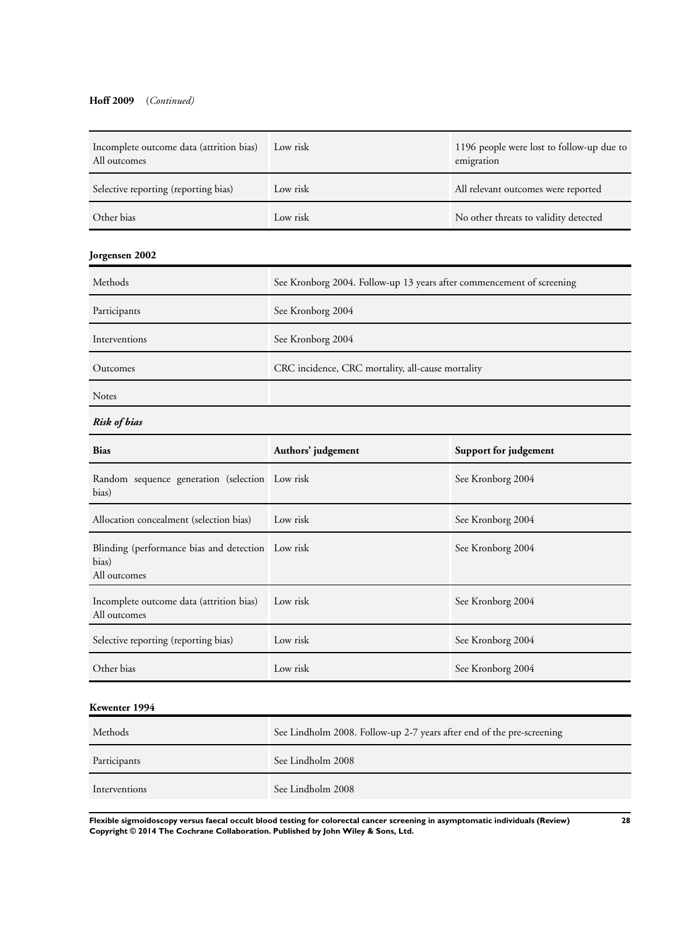## **Hoff 2009** (*Continued)*

| Incomplete outcome data (attrition bias)<br>All outcomes                   | Low risk                                                              | 1196 people were lost to follow-up due to<br>emigration |
|----------------------------------------------------------------------------|-----------------------------------------------------------------------|---------------------------------------------------------|
| Selective reporting (reporting bias)                                       | Low risk                                                              | All relevant outcomes were reported                     |
| Other bias                                                                 | Low risk                                                              | No other threats to validity detected                   |
| Jorgensen 2002                                                             |                                                                       |                                                         |
| Methods                                                                    | See Kronborg 2004. Follow-up 13 years after commencement of screening |                                                         |
| Participants                                                               | See Kronborg 2004                                                     |                                                         |
| Interventions                                                              | See Kronborg 2004                                                     |                                                         |
| Outcomes                                                                   | CRC incidence, CRC mortality, all-cause mortality                     |                                                         |
| Notes                                                                      |                                                                       |                                                         |
| Risk of bias                                                               |                                                                       |                                                         |
| <b>Bias</b>                                                                | Authors' judgement                                                    | Support for judgement                                   |
| Random sequence generation (selection Low risk<br>bias)                    |                                                                       | See Kronborg 2004                                       |
| Allocation concealment (selection bias)                                    | Low risk                                                              | See Kronborg 2004                                       |
| Blinding (performance bias and detection Low risk<br>bias)<br>All outcomes |                                                                       | See Kronborg 2004                                       |
| Incomplete outcome data (attrition bias)<br>All outcomes                   | Low risk                                                              | See Kronborg 2004                                       |
| Selective reporting (reporting bias)                                       | Low risk                                                              | See Kronborg 2004                                       |
| Other bias                                                                 | Low risk                                                              | See Kronborg 2004                                       |
| Kewenter 1994                                                              |                                                                       |                                                         |
| Methods                                                                    | See Lindholm 2008. Follow-up 2-7 years after end of the pre-screening |                                                         |
| Participants                                                               | See Lindholm 2008                                                     |                                                         |
| Interventions                                                              | See Lindholm 2008                                                     |                                                         |

**Flexible sigmoidoscopy versus faecal occult blood testing for colorectal cancer screening in asymptomatic individuals (Review) 28 Copyright © 2014 The Cochrane Collaboration. Published by John Wiley & Sons, Ltd.**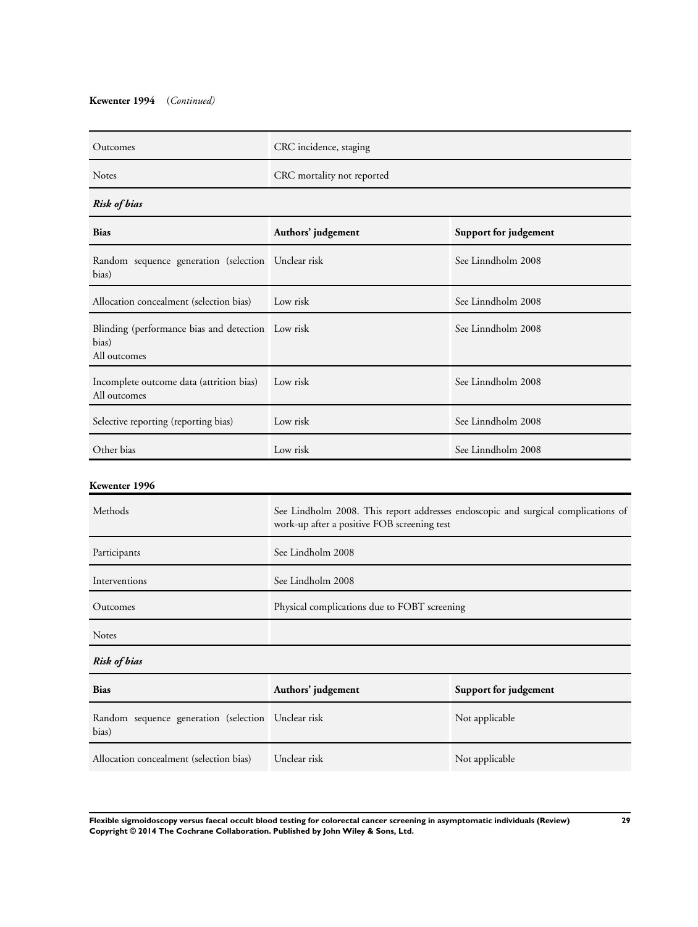## **Kewenter 1994** (*Continued)*

| Outcomes                                                                   | CRC incidence, staging                                                                                                           |                              |
|----------------------------------------------------------------------------|----------------------------------------------------------------------------------------------------------------------------------|------------------------------|
| Notes                                                                      | CRC mortality not reported                                                                                                       |                              |
| <b>Risk of bias</b>                                                        |                                                                                                                                  |                              |
| <b>Bias</b>                                                                | Authors' judgement                                                                                                               | Support for judgement        |
| Random sequence generation (selection Unclear risk<br>bias)                |                                                                                                                                  | See Linndholm 2008           |
| Allocation concealment (selection bias)                                    | Low risk                                                                                                                         | See Linndholm 2008           |
| Blinding (performance bias and detection Low risk<br>bias)<br>All outcomes |                                                                                                                                  | See Linndholm 2008           |
| Incomplete outcome data (attrition bias)<br>All outcomes                   | Low risk                                                                                                                         | See Linndholm 2008           |
| Selective reporting (reporting bias)                                       | Low risk                                                                                                                         | See Linndholm 2008           |
| Other bias                                                                 | Low risk                                                                                                                         | See Linndholm 2008           |
| Kewenter 1996                                                              |                                                                                                                                  |                              |
| Methods                                                                    | See Lindholm 2008. This report addresses endoscopic and surgical complications of<br>work-up after a positive FOB screening test |                              |
| Participants                                                               | See Lindholm 2008                                                                                                                |                              |
| Interventions                                                              | See Lindholm 2008                                                                                                                |                              |
| Outcomes                                                                   | Physical complications due to FOBT screening                                                                                     |                              |
| Notes                                                                      |                                                                                                                                  |                              |
| <b>Risk of bias</b>                                                        |                                                                                                                                  |                              |
| <b>Bias</b>                                                                | Authors' judgement                                                                                                               | <b>Support for judgement</b> |
| Random sequence generation (selection Unclear risk<br>bias)                |                                                                                                                                  | Not applicable               |
| Allocation concealment (selection bias)                                    | Unclear risk                                                                                                                     | Not applicable               |

**Flexible sigmoidoscopy versus faecal occult blood testing for colorectal cancer screening in asymptomatic individuals (Review) 29 Copyright © 2014 The Cochrane Collaboration. Published by John Wiley & Sons, Ltd.**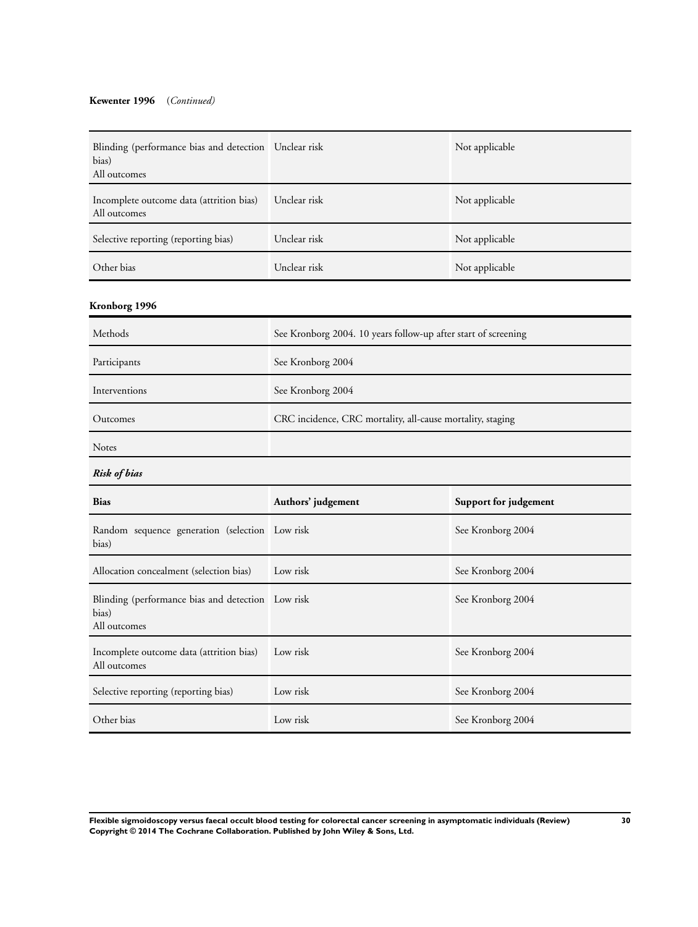## **Kewenter 1996** (*Continued)*

| Blinding (performance bias and detection Unclear risk<br>bias)<br>All outcomes |              | Not applicable |
|--------------------------------------------------------------------------------|--------------|----------------|
| Incomplete outcome data (attrition bias)<br>All outcomes                       | Unclear risk | Not applicable |
| Selective reporting (reporting bias)                                           | Unclear risk | Not applicable |
| Other bias                                                                     | Unclear risk | Not applicable |

## **Kronborg 1996**

| Methods       | See Kronborg 2004. 10 years follow-up after start of screening |
|---------------|----------------------------------------------------------------|
| Participants  | See Kronborg 2004                                              |
| Interventions | See Kronborg 2004                                              |
| Outcomes      | CRC incidence, CRC mortality, all-cause mortality, staging     |
| <b>Notes</b>  |                                                                |

## *Risk of bias*

| <b>Bias</b>                                                                | Authors' judgement | Support for judgement |
|----------------------------------------------------------------------------|--------------------|-----------------------|
| Random sequence generation (selection Low risk<br>bias)                    |                    | See Kronborg 2004     |
| Allocation concealment (selection bias)                                    | Low risk           | See Kronborg 2004     |
| Blinding (performance bias and detection Low risk<br>bias)<br>All outcomes |                    | See Kronborg 2004     |
| Incomplete outcome data (attrition bias)<br>All outcomes                   | Low risk           | See Kronborg 2004     |
| Selective reporting (reporting bias)                                       | Low risk           | See Kronborg 2004     |
| Other bias                                                                 | Low risk           | See Kronborg 2004     |

**Flexible sigmoidoscopy versus faecal occult blood testing for colorectal cancer screening in asymptomatic individuals (Review) 30 Copyright © 2014 The Cochrane Collaboration. Published by John Wiley & Sons, Ltd.**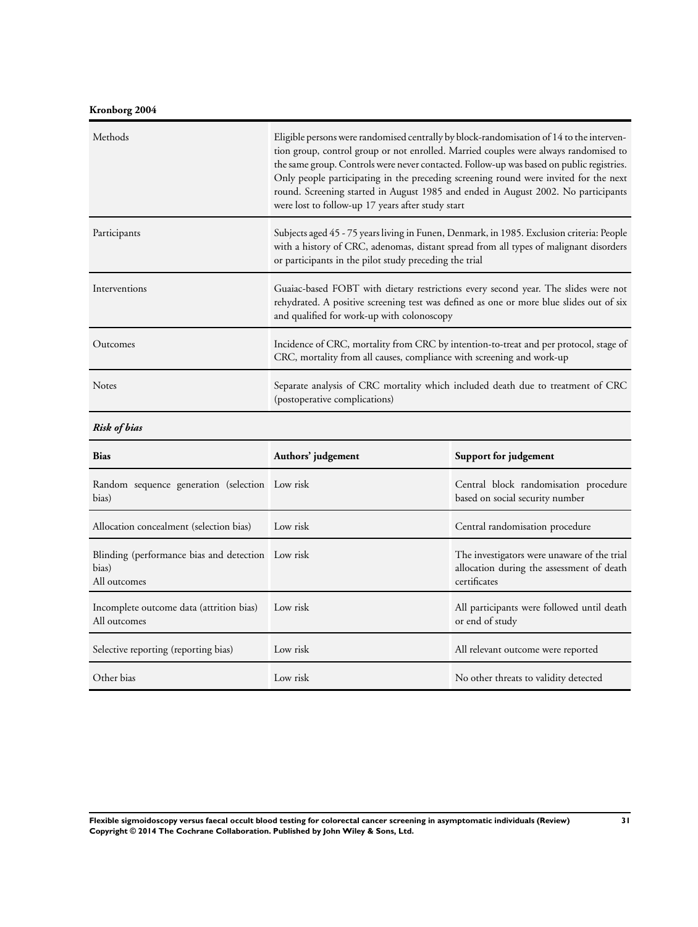## **Kronborg 2004**

| Methods       | Eligible persons were randomised centrally by block-randomisation of 14 to the interven-<br>tion group, control group or not enrolled. Married couples were always randomised to<br>the same group. Controls were never contacted. Follow-up was based on public registries.<br>Only people participating in the preceding screening round were invited for the next<br>round. Screening started in August 1985 and ended in August 2002. No participants<br>were lost to follow-up 17 years after study start |
|---------------|----------------------------------------------------------------------------------------------------------------------------------------------------------------------------------------------------------------------------------------------------------------------------------------------------------------------------------------------------------------------------------------------------------------------------------------------------------------------------------------------------------------|
| Participants  | Subjects aged 45 - 75 years living in Funen, Denmark, in 1985. Exclusion criteria: People<br>with a history of CRC, adenomas, distant spread from all types of malignant disorders<br>or participants in the pilot study preceding the trial                                                                                                                                                                                                                                                                   |
| Interventions | Guaiac-based FOBT with dietary restrictions every second year. The slides were not<br>rehydrated. A positive screening test was defined as one or more blue slides out of six<br>and qualified for work-up with colonoscopy                                                                                                                                                                                                                                                                                    |
| Outcomes      | Incidence of CRC, mortality from CRC by intention-to-treat and per protocol, stage of<br>CRC, mortality from all causes, compliance with screening and work-up                                                                                                                                                                                                                                                                                                                                                 |
| <b>Notes</b>  | Separate analysis of CRC mortality which included death due to treatment of CRC<br>(postoperative complications)                                                                                                                                                                                                                                                                                                                                                                                               |

*Risk of bias*

| <b>Bias</b>                                                                | Authors' judgement | Support for judgement                                                                                    |
|----------------------------------------------------------------------------|--------------------|----------------------------------------------------------------------------------------------------------|
| Random sequence generation (selection Low risk<br>bias)                    |                    | Central block randomisation procedure<br>based on social security number                                 |
| Allocation concealment (selection bias)                                    | Low risk           | Central randomisation procedure                                                                          |
| Blinding (performance bias and detection Low risk<br>bias)<br>All outcomes |                    | The investigators were unaware of the trial<br>allocation during the assessment of death<br>certificates |
| Incomplete outcome data (attrition bias)<br>All outcomes                   | Low risk           | All participants were followed until death<br>or end of study                                            |
| Selective reporting (reporting bias)                                       | Low risk           | All relevant outcome were reported                                                                       |
| Other bias                                                                 | Low risk           | No other threats to validity detected                                                                    |

**Flexible sigmoidoscopy versus faecal occult blood testing for colorectal cancer screening in asymptomatic individuals (Review) 31 Copyright © 2014 The Cochrane Collaboration. Published by John Wiley & Sons, Ltd.**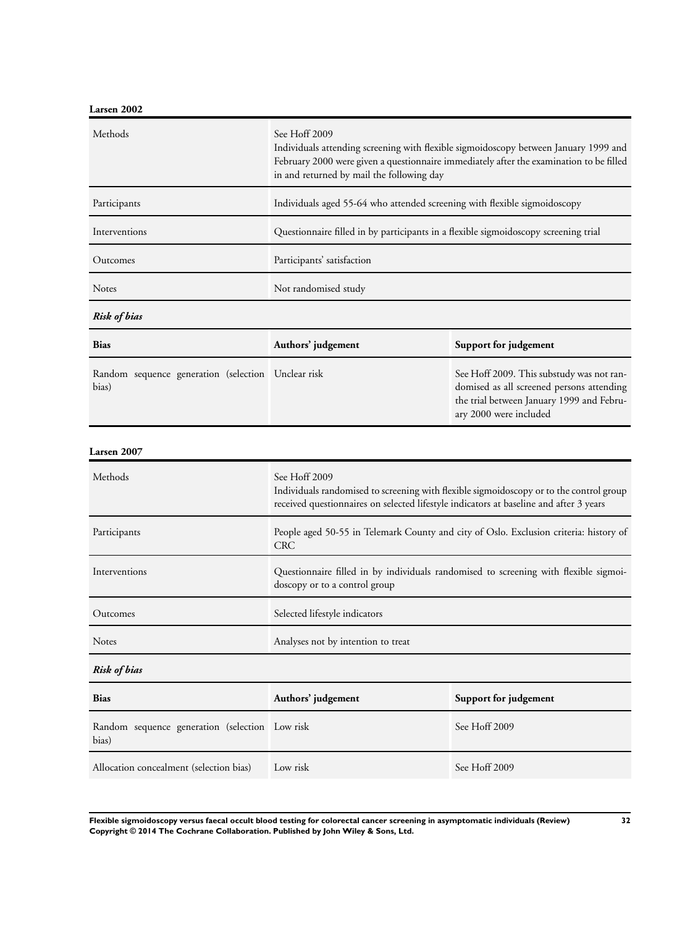| Larsen 2002 |
|-------------|
|             |

| Methods         | See Hoff 2009<br>Individuals attending screening with flexible sigmoidoscopy between January 1999 and<br>February 2000 were given a questionnaire immediately after the examination to be filled<br>in and returned by mail the following day |
|-----------------|-----------------------------------------------------------------------------------------------------------------------------------------------------------------------------------------------------------------------------------------------|
| Participants    | Individuals aged 55-64 who attended screening with flexible sigmoidoscopy                                                                                                                                                                     |
| Interventions   | Questionnaire filled in by participants in a flexible sigmoidoscopy screening trial                                                                                                                                                           |
| <b>Outcomes</b> | Participants' satisfaction                                                                                                                                                                                                                    |
| <b>Notes</b>    | Not randomised study                                                                                                                                                                                                                          |

*Risk of bias*

| <b>Bias</b>                                                 | Authors' judgement | Support for judgement                                                                                                                                         |
|-------------------------------------------------------------|--------------------|---------------------------------------------------------------------------------------------------------------------------------------------------------------|
| Random sequence generation (selection Unclear risk<br>bias) |                    | See Hoff 2009. This substudy was not ran-<br>domised as all screened persons attending<br>the trial between January 1999 and Febru-<br>ary 2000 were included |

| Larsen 2007 |  |
|-------------|--|
|-------------|--|

| Methods                                                 | See Hoff 2009<br>received questionnaires on selected lifestyle indicators at baseline and after 3 years               | Individuals randomised to screening with flexible sigmoidoscopy or to the control group |
|---------------------------------------------------------|-----------------------------------------------------------------------------------------------------------------------|-----------------------------------------------------------------------------------------|
| Participants                                            | People aged 50-55 in Telemark County and city of Oslo. Exclusion criteria: history of<br><b>CRC</b>                   |                                                                                         |
| Interventions                                           | Questionnaire filled in by individuals randomised to screening with flexible sigmoi-<br>doscopy or to a control group |                                                                                         |
| Outcomes                                                | Selected lifestyle indicators                                                                                         |                                                                                         |
| <b>Notes</b>                                            | Analyses not by intention to treat                                                                                    |                                                                                         |
| <b>Risk of bias</b>                                     |                                                                                                                       |                                                                                         |
| <b>Bias</b>                                             | Authors' judgement                                                                                                    | Support for judgement                                                                   |
| Random sequence generation (selection Low risk<br>bias) |                                                                                                                       | See Hoff 2009                                                                           |
|                                                         |                                                                                                                       |                                                                                         |

Allocation concealment (selection bias) Low risk See Hoff 2009

**Flexible sigmoidoscopy versus faecal occult blood testing for colorectal cancer screening in asymptomatic individuals (Review) 32 Copyright © 2014 The Cochrane Collaboration. Published by John Wiley & Sons, Ltd.**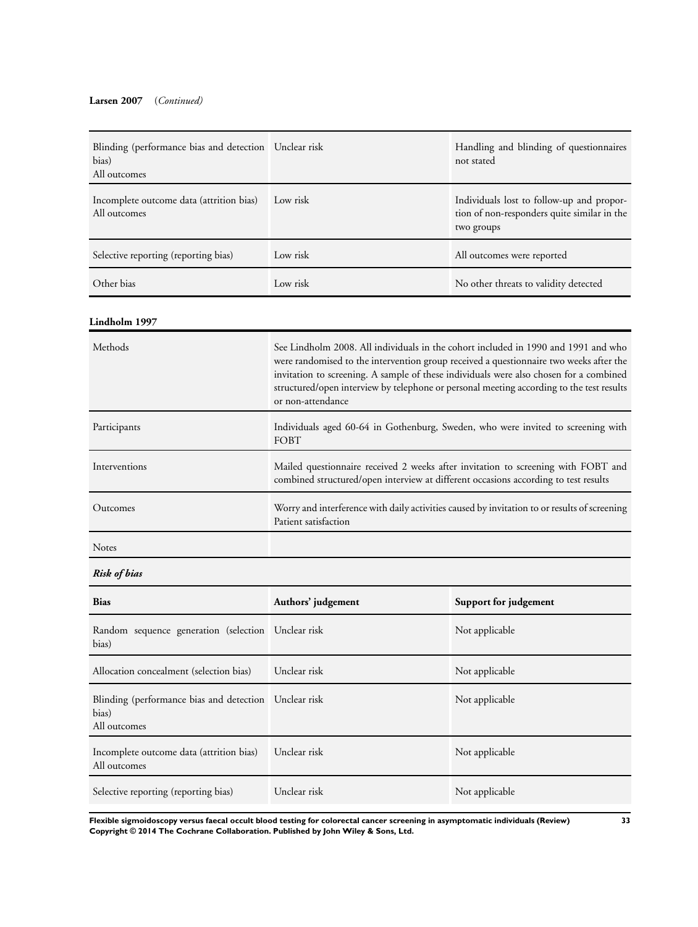## **Larsen 2007** (*Continued)*

| Blinding (performance bias and detection Unclear risk<br>bias)<br>All outcomes |                                                                                                                                                                                                                                                                                                                                                                                         | Handling and blinding of questionnaires<br>not stated                                                  |
|--------------------------------------------------------------------------------|-----------------------------------------------------------------------------------------------------------------------------------------------------------------------------------------------------------------------------------------------------------------------------------------------------------------------------------------------------------------------------------------|--------------------------------------------------------------------------------------------------------|
| Incomplete outcome data (attrition bias)<br>All outcomes                       | Low risk                                                                                                                                                                                                                                                                                                                                                                                | Individuals lost to follow-up and propor-<br>tion of non-responders quite similar in the<br>two groups |
| Selective reporting (reporting bias)                                           | Low risk                                                                                                                                                                                                                                                                                                                                                                                | All outcomes were reported                                                                             |
| Other bias                                                                     | Low risk                                                                                                                                                                                                                                                                                                                                                                                | No other threats to validity detected                                                                  |
| Lindholm 1997                                                                  |                                                                                                                                                                                                                                                                                                                                                                                         |                                                                                                        |
| Methods                                                                        | See Lindholm 2008. All individuals in the cohort included in 1990 and 1991 and who<br>were randomised to the intervention group received a questionnaire two weeks after the<br>invitation to screening. A sample of these individuals were also chosen for a combined<br>structured/open interview by telephone or personal meeting according to the test results<br>or non-attendance |                                                                                                        |
| Participants                                                                   | Individuals aged 60-64 in Gothenburg, Sweden, who were invited to screening with<br>FOBT                                                                                                                                                                                                                                                                                                |                                                                                                        |
| Interventions                                                                  | Mailed questionnaire received 2 weeks after invitation to screening with FOBT and<br>combined structured/open interview at different occasions according to test results                                                                                                                                                                                                                |                                                                                                        |
| Outcomes                                                                       | Worry and interference with daily activities caused by invitation to or results of screening<br>Patient satisfaction                                                                                                                                                                                                                                                                    |                                                                                                        |
| Notes                                                                          |                                                                                                                                                                                                                                                                                                                                                                                         |                                                                                                        |
| <b>Risk of bias</b>                                                            |                                                                                                                                                                                                                                                                                                                                                                                         |                                                                                                        |
| <b>Bias</b>                                                                    | Authors' judgement                                                                                                                                                                                                                                                                                                                                                                      | Support for judgement                                                                                  |
| Random sequence generation (selection Unclear risk<br>bias)                    |                                                                                                                                                                                                                                                                                                                                                                                         | Not applicable                                                                                         |
| Allocation concealment (selection bias)                                        | Unclear risk                                                                                                                                                                                                                                                                                                                                                                            | Not applicable                                                                                         |
| Blinding (performance bias and detection Unclear risk<br>bias)<br>All outcomes |                                                                                                                                                                                                                                                                                                                                                                                         | Not applicable                                                                                         |
| Incomplete outcome data (attrition bias)<br>All outcomes                       | Unclear risk                                                                                                                                                                                                                                                                                                                                                                            | Not applicable                                                                                         |
| Selective reporting (reporting bias)                                           | Unclear risk                                                                                                                                                                                                                                                                                                                                                                            | Not applicable                                                                                         |

**Flexible sigmoidoscopy versus faecal occult blood testing for colorectal cancer screening in asymptomatic individuals (Review) 33 Copyright © 2014 The Cochrane Collaboration. Published by John Wiley & Sons, Ltd.**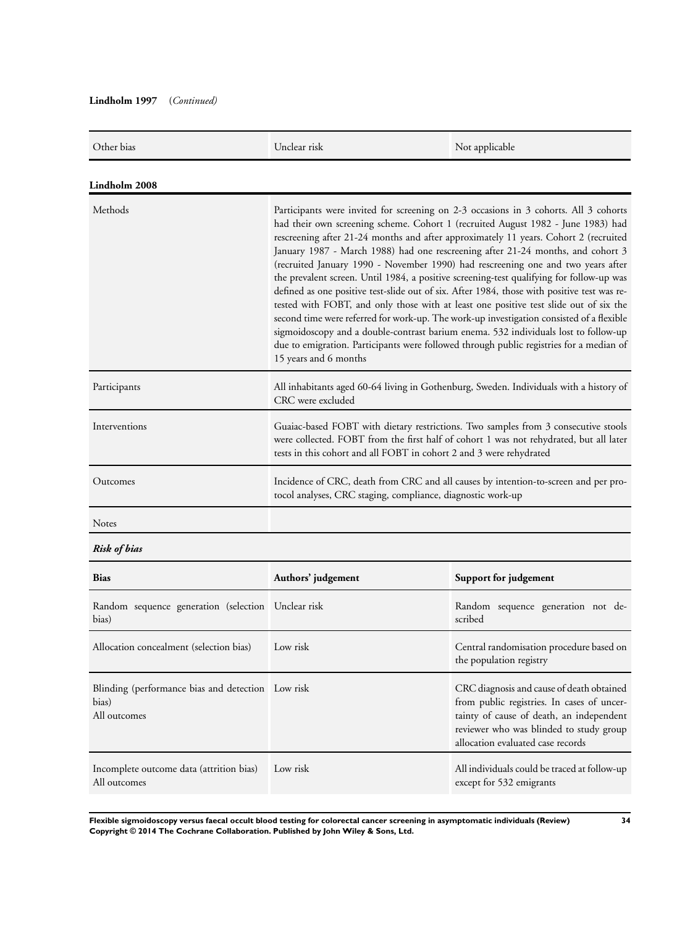## **Lindholm 1997** (*Continued)*

| Other bias    | Unclear risk                                                | Not applicable                                                                                                                                                                                                                                                                                                                                                                                                                                                                                                                                                                                                                                                                                                                                                                                                                                                                                                                                                                                            |  |
|---------------|-------------------------------------------------------------|-----------------------------------------------------------------------------------------------------------------------------------------------------------------------------------------------------------------------------------------------------------------------------------------------------------------------------------------------------------------------------------------------------------------------------------------------------------------------------------------------------------------------------------------------------------------------------------------------------------------------------------------------------------------------------------------------------------------------------------------------------------------------------------------------------------------------------------------------------------------------------------------------------------------------------------------------------------------------------------------------------------|--|
| Lindholm 2008 |                                                             |                                                                                                                                                                                                                                                                                                                                                                                                                                                                                                                                                                                                                                                                                                                                                                                                                                                                                                                                                                                                           |  |
| Methods       | 15 years and 6 months                                       | Participants were invited for screening on 2-3 occasions in 3 cohorts. All 3 cohorts<br>had their own screening scheme. Cohort 1 (recruited August 1982 - June 1983) had<br>rescreening after 21-24 months and after approximately 11 years. Cohort 2 (recruited<br>January 1987 - March 1988) had one rescreening after 21-24 months, and cohort 3<br>(recruited January 1990 - November 1990) had rescreening one and two years after<br>the prevalent screen. Until 1984, a positive screening-test qualifying for follow-up was<br>defined as one positive test-slide out of six. After 1984, those with positive test was re-<br>tested with FOBT, and only those with at least one positive test slide out of six the<br>second time were referred for work-up. The work-up investigation consisted of a flexible<br>sigmoidoscopy and a double-contrast barium enema. 532 individuals lost to follow-up<br>due to emigration. Participants were followed through public registries for a median of |  |
| Participants  | CRC were excluded                                           | All inhabitants aged 60-64 living in Gothenburg, Sweden. Individuals with a history of                                                                                                                                                                                                                                                                                                                                                                                                                                                                                                                                                                                                                                                                                                                                                                                                                                                                                                                    |  |
| Interventions |                                                             | Guaiac-based FOBT with dietary restrictions. Two samples from 3 consecutive stools<br>were collected. FOBT from the first half of cohort 1 was not rehydrated, but all later<br>tests in this cohort and all FOBT in cohort 2 and 3 were rehydrated                                                                                                                                                                                                                                                                                                                                                                                                                                                                                                                                                                                                                                                                                                                                                       |  |
| Outcomes      | tocol analyses, CRC staging, compliance, diagnostic work-up | Incidence of CRC, death from CRC and all causes by intention-to-screen and per pro-                                                                                                                                                                                                                                                                                                                                                                                                                                                                                                                                                                                                                                                                                                                                                                                                                                                                                                                       |  |
| <b>Notes</b>  |                                                             |                                                                                                                                                                                                                                                                                                                                                                                                                                                                                                                                                                                                                                                                                                                                                                                                                                                                                                                                                                                                           |  |

## *Risk of bias*

| <b>Bias</b>                                                                | Authors' judgement | Support for judgement                                                                                                                                                                                               |
|----------------------------------------------------------------------------|--------------------|---------------------------------------------------------------------------------------------------------------------------------------------------------------------------------------------------------------------|
| Random sequence generation (selection Unclear risk<br>bias)                |                    | Random sequence generation not de-<br>scribed                                                                                                                                                                       |
| Allocation concealment (selection bias)                                    | Low risk           | Central randomisation procedure based on<br>the population registry                                                                                                                                                 |
| Blinding (performance bias and detection Low risk<br>bias)<br>All outcomes |                    | CRC diagnosis and cause of death obtained<br>from public registries. In cases of uncer-<br>tainty of cause of death, an independent<br>reviewer who was blinded to study group<br>allocation evaluated case records |
| Incomplete outcome data (attrition bias)<br>All outcomes                   | Low risk           | All individuals could be traced at follow-up<br>except for 532 emigrants                                                                                                                                            |

**Flexible sigmoidoscopy versus faecal occult blood testing for colorectal cancer screening in asymptomatic individuals (Review) 34 Copyright © 2014 The Cochrane Collaboration. Published by John Wiley & Sons, Ltd.**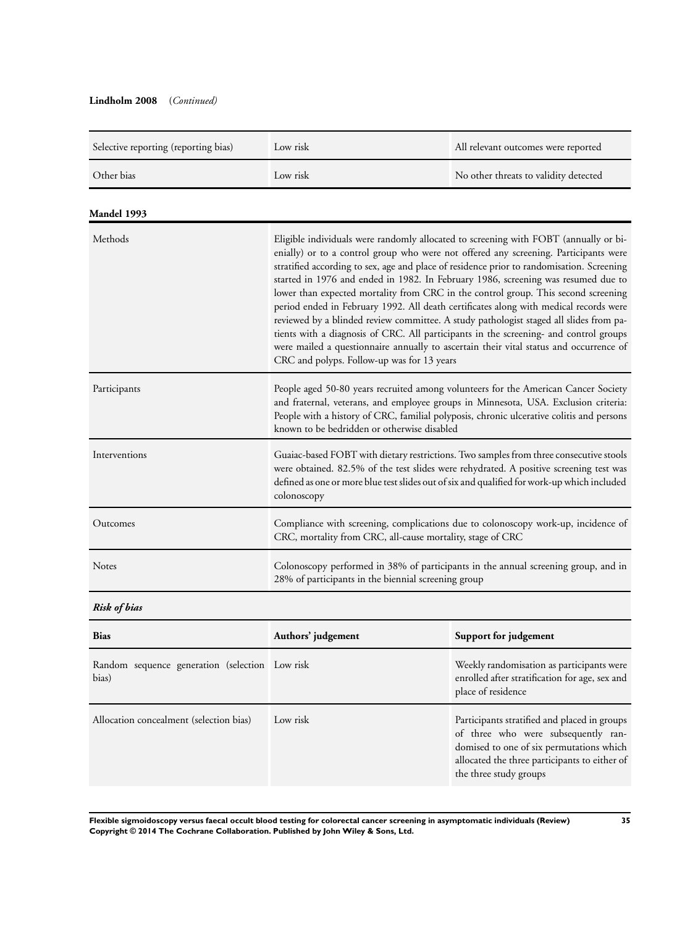## **Lindholm 2008** (*Continued)*

| Selective reporting (reporting bias) | Low risk                                                                                                                                                                                                                                                                                                                                                                                                                                                                                                                                                                                                                                                                                                                                                                                                                                                                 | All relevant outcomes were reported                                                                                                                                                                                                                                             |
|--------------------------------------|--------------------------------------------------------------------------------------------------------------------------------------------------------------------------------------------------------------------------------------------------------------------------------------------------------------------------------------------------------------------------------------------------------------------------------------------------------------------------------------------------------------------------------------------------------------------------------------------------------------------------------------------------------------------------------------------------------------------------------------------------------------------------------------------------------------------------------------------------------------------------|---------------------------------------------------------------------------------------------------------------------------------------------------------------------------------------------------------------------------------------------------------------------------------|
| Other bias                           | Low risk                                                                                                                                                                                                                                                                                                                                                                                                                                                                                                                                                                                                                                                                                                                                                                                                                                                                 | No other threats to validity detected                                                                                                                                                                                                                                           |
| Mandel 1993                          |                                                                                                                                                                                                                                                                                                                                                                                                                                                                                                                                                                                                                                                                                                                                                                                                                                                                          |                                                                                                                                                                                                                                                                                 |
| Methods                              | Eligible individuals were randomly allocated to screening with FOBT (annually or bi-<br>enially) or to a control group who were not offered any screening. Participants were<br>stratified according to sex, age and place of residence prior to randomisation. Screening<br>started in 1976 and ended in 1982. In February 1986, screening was resumed due to<br>lower than expected mortality from CRC in the control group. This second screening<br>period ended in February 1992. All death certificates along with medical records were<br>reviewed by a blinded review committee. A study pathologist staged all slides from pa-<br>tients with a diagnosis of CRC. All participants in the screening- and control groups<br>were mailed a questionnaire annually to ascertain their vital status and occurrence of<br>CRC and polyps. Follow-up was for 13 years |                                                                                                                                                                                                                                                                                 |
| Participants                         | People aged 50-80 years recruited among volunteers for the American Cancer Society<br>and fraternal, veterans, and employee groups in Minnesota, USA. Exclusion criteria:<br>People with a history of CRC, familial polyposis, chronic ulcerative colitis and persons<br>known to be bedridden or otherwise disabled                                                                                                                                                                                                                                                                                                                                                                                                                                                                                                                                                     |                                                                                                                                                                                                                                                                                 |
| Interventions                        | colonoscopy                                                                                                                                                                                                                                                                                                                                                                                                                                                                                                                                                                                                                                                                                                                                                                                                                                                              | Guaiac-based FOBT with dietary restrictions. Two samples from three consecutive stools<br>were obtained. 82.5% of the test slides were rehydrated. A positive screening test was<br>defined as one or more blue test slides out of six and qualified for work-up which included |
| Outcomes                             | CRC, mortality from CRC, all-cause mortality, stage of CRC                                                                                                                                                                                                                                                                                                                                                                                                                                                                                                                                                                                                                                                                                                                                                                                                               | Compliance with screening, complications due to colonoscopy work-up, incidence of                                                                                                                                                                                               |
| <b>Notes</b>                         | Colonoscopy performed in 38% of participants in the annual screening group, and in<br>28% of participants in the biennial screening group                                                                                                                                                                                                                                                                                                                                                                                                                                                                                                                                                                                                                                                                                                                                |                                                                                                                                                                                                                                                                                 |

*Risk of bias*

| <b>Bias</b>                                             | Authors' judgement | Support for judgement                                                                                                                                                                                      |
|---------------------------------------------------------|--------------------|------------------------------------------------------------------------------------------------------------------------------------------------------------------------------------------------------------|
| Random sequence generation (selection Low risk<br>bias) |                    | Weekly randomisation as participants were<br>enrolled after stratification for age, sex and<br>place of residence                                                                                          |
| Allocation concealment (selection bias)                 | Low risk           | Participants stratified and placed in groups<br>of three who were subsequently ran-<br>domised to one of six permutations which<br>allocated the three participants to either of<br>the three study groups |

**Flexible sigmoidoscopy versus faecal occult blood testing for colorectal cancer screening in asymptomatic individuals (Review) 35 Copyright © 2014 The Cochrane Collaboration. Published by John Wiley & Sons, Ltd.**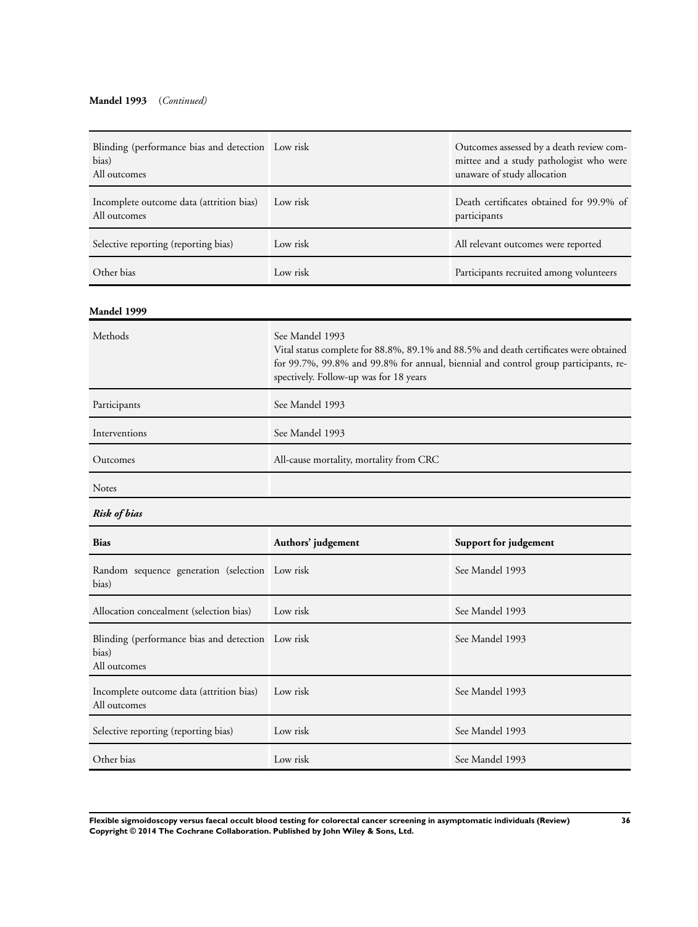## **Mandel 1993** (*Continued)*

| Blinding (performance bias and detection Low risk<br>bias)<br>All outcomes |                                                                                                                                                                                                                                           | Outcomes assessed by a death review com-<br>mittee and a study pathologist who were<br>unaware of study allocation |
|----------------------------------------------------------------------------|-------------------------------------------------------------------------------------------------------------------------------------------------------------------------------------------------------------------------------------------|--------------------------------------------------------------------------------------------------------------------|
| Incomplete outcome data (attrition bias)<br>All outcomes                   | Low risk                                                                                                                                                                                                                                  | Death certificates obtained for 99.9% of<br>participants                                                           |
| Selective reporting (reporting bias)                                       | Low risk                                                                                                                                                                                                                                  | All relevant outcomes were reported                                                                                |
| Other bias                                                                 | Low risk                                                                                                                                                                                                                                  | Participants recruited among volunteers                                                                            |
| <b>Mandel 1999</b>                                                         |                                                                                                                                                                                                                                           |                                                                                                                    |
| Methods                                                                    | See Mandel 1993<br>Vital status complete for 88.8%, 89.1% and 88.5% and death certificates were obtained<br>for 99.7%, 99.8% and 99.8% for annual, biennial and control group participants, re-<br>spectively. Follow-up was for 18 years |                                                                                                                    |
| Participants                                                               | See Mandel 1993                                                                                                                                                                                                                           |                                                                                                                    |
| Interventions                                                              | See Mandel 1993                                                                                                                                                                                                                           |                                                                                                                    |
| Outcomes                                                                   | All-cause mortality, mortality from CRC                                                                                                                                                                                                   |                                                                                                                    |
| Notes                                                                      |                                                                                                                                                                                                                                           |                                                                                                                    |
| Risk of bias                                                               |                                                                                                                                                                                                                                           |                                                                                                                    |
| <b>Bias</b>                                                                | Authors' judgement                                                                                                                                                                                                                        | Support for judgement                                                                                              |
| Random sequence generation (selection Low risk<br>bias)                    |                                                                                                                                                                                                                                           | See Mandel 1993                                                                                                    |
| Allocation concealment (selection bias)                                    | Low risk                                                                                                                                                                                                                                  | See Mandel 1993                                                                                                    |
| Blinding (performance bias and detection Low risk<br>bias)<br>All outcomes |                                                                                                                                                                                                                                           | See Mandel 1993                                                                                                    |
| Incomplete outcome data (attrition bias)<br>All outcomes                   | Low risk                                                                                                                                                                                                                                  | See Mandel 1993                                                                                                    |
| Selective reporting (reporting bias)                                       | Low risk                                                                                                                                                                                                                                  | See Mandel 1993                                                                                                    |
| Other bias                                                                 | Low risk                                                                                                                                                                                                                                  | See Mandel 1993                                                                                                    |

**Flexible sigmoidoscopy versus faecal occult blood testing for colorectal cancer screening in asymptomatic individuals (Review) 36 Copyright © 2014 The Cochrane Collaboration. Published by John Wiley & Sons, Ltd.**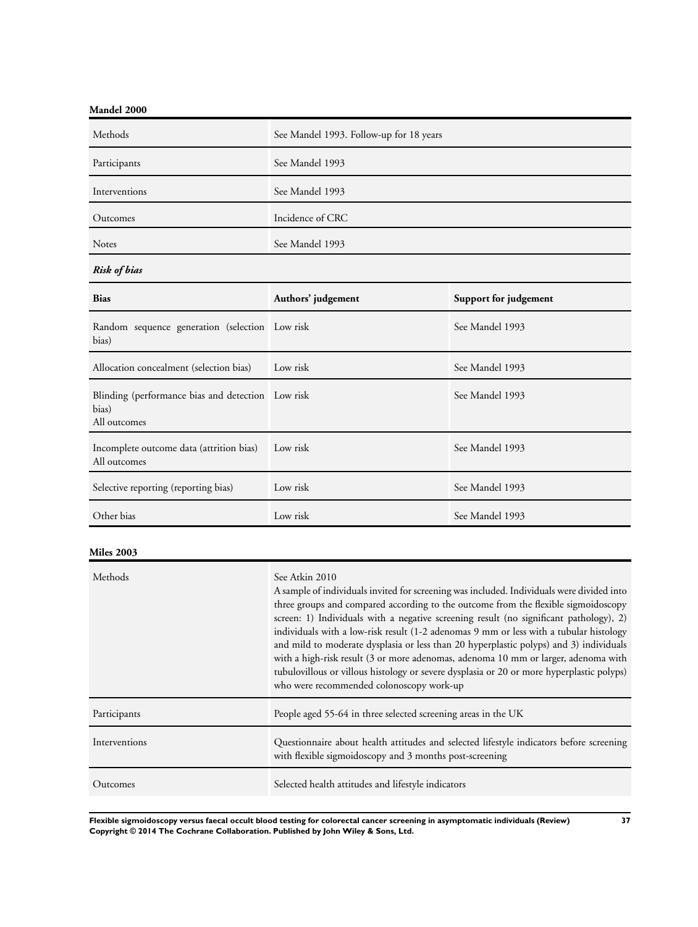## **Mandel 2000**

| Methods                                                 | See Mandel 1993. Follow-up for 18 years |                       |
|---------------------------------------------------------|-----------------------------------------|-----------------------|
| Participants                                            | See Mandel 1993                         |                       |
| Interventions                                           | See Mandel 1993                         |                       |
| Outcomes                                                | Incidence of CRC                        |                       |
| Notes                                                   | See Mandel 1993                         |                       |
| <b>Risk of bias</b>                                     |                                         |                       |
| <b>Bias</b>                                             | Authors' judgement                      | Support for judgement |
| Random sequence generation (selection Low risk<br>bias) |                                         | See Mandel 1993       |
|                                                         |                                         |                       |

| UId <sub>3</sub>                                                           |          |                 |
|----------------------------------------------------------------------------|----------|-----------------|
| Allocation concealment (selection bias)                                    | Low risk | See Mandel 1993 |
| Blinding (performance bias and detection Low risk<br>bias)<br>All outcomes |          | See Mandel 1993 |
| Incomplete outcome data (attrition bias)<br>All outcomes                   | Low risk | See Mandel 1993 |
| Selective reporting (reporting bias)                                       | Low risk | See Mandel 1993 |
| Other bias                                                                 | Low risk | See Mandel 1993 |

## **Miles 2003**

| Methods       | See Atkin 2010<br>A sample of individuals invited for screening was included. Individuals were divided into<br>three groups and compared according to the outcome from the flexible sigmoidoscopy<br>screen: 1) Individuals with a negative screening result (no significant pathology), 2)<br>individuals with a low-risk result (1-2 adenomas 9 mm or less with a tubular histology<br>and mild to moderate dysplasia or less than 20 hyperplastic polyps) and 3) individuals<br>with a high-risk result (3 or more adenomas, adenoma 10 mm or larger, adenoma with<br>tubulovillous or villous histology or severe dysplasia or 20 or more hyperplastic polyps)<br>who were recommended colonoscopy work-up |
|---------------|----------------------------------------------------------------------------------------------------------------------------------------------------------------------------------------------------------------------------------------------------------------------------------------------------------------------------------------------------------------------------------------------------------------------------------------------------------------------------------------------------------------------------------------------------------------------------------------------------------------------------------------------------------------------------------------------------------------|
| Participants  | People aged 55-64 in three selected screening areas in the UK                                                                                                                                                                                                                                                                                                                                                                                                                                                                                                                                                                                                                                                  |
| Interventions | Questionnaire about health attitudes and selected lifestyle indicators before screening<br>with flexible sigmoidoscopy and 3 months post-screening                                                                                                                                                                                                                                                                                                                                                                                                                                                                                                                                                             |
| Outcomes      | Selected health attitudes and lifestyle indicators                                                                                                                                                                                                                                                                                                                                                                                                                                                                                                                                                                                                                                                             |

**Flexible sigmoidoscopy versus faecal occult blood testing for colorectal cancer screening in asymptomatic individuals (Review) 37 Copyright © 2014 The Cochrane Collaboration. Published by John Wiley & Sons, Ltd.**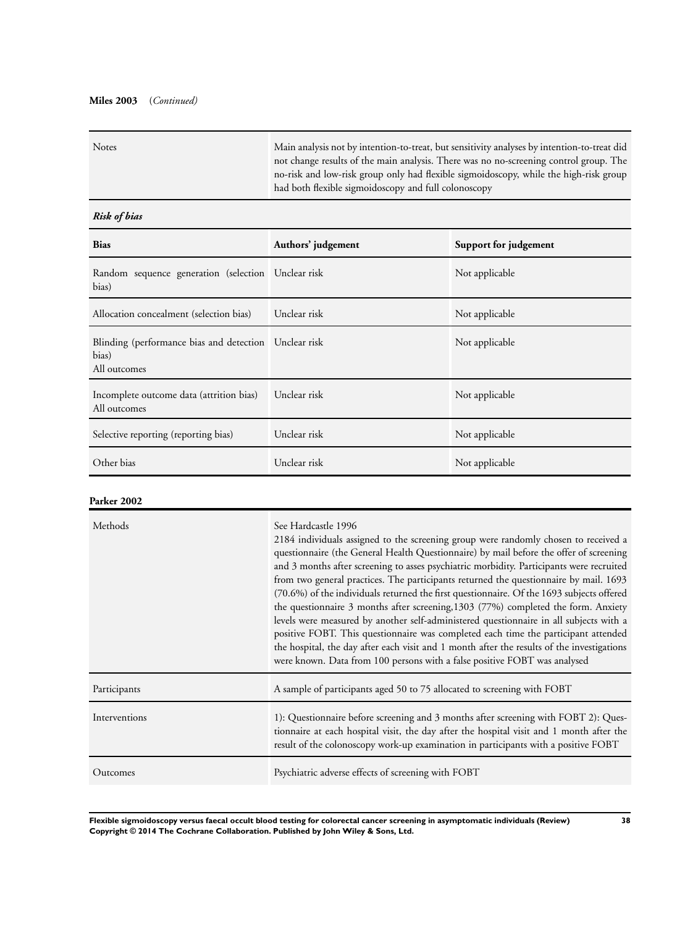| <b>Notes</b> | Main analysis not by intention-to-treat, but sensitivity analyses by intention-to-treat did |
|--------------|---------------------------------------------------------------------------------------------|
|              | not change results of the main analysis. There was no no-screening control group. The       |
|              | no-risk and low-risk group only had flexible sigmoidoscopy, while the high-risk group       |
|              | had both flexible sigmoidoscopy and full colonoscopy                                        |
|              |                                                                                             |

## *Risk of bias*

| <b>Bias</b>                                                                      | Authors' judgement | Support for judgement |
|----------------------------------------------------------------------------------|--------------------|-----------------------|
| Random sequence generation (selection Unclear risk<br>bias)                      |                    | Not applicable        |
| Allocation concealment (selection bias)                                          | Unclear risk       | Not applicable        |
| Blinding (performance bias and detection   Unclear risk<br>bias)<br>All outcomes |                    | Not applicable        |
| Incomplete outcome data (attrition bias)<br>All outcomes                         | Unclear risk       | Not applicable        |
| Selective reporting (reporting bias)                                             | Unclear risk       | Not applicable        |
| Other bias                                                                       | Unclear risk       | Not applicable        |

## **Parker 2002**

| Methods       | See Hardcastle 1996<br>2184 individuals assigned to the screening group were randomly chosen to received a<br>questionnaire (the General Health Questionnaire) by mail before the offer of screening<br>and 3 months after screening to asses psychiatric morbidity. Participants were recruited<br>from two general practices. The participants returned the questionnaire by mail. 1693<br>(70.6%) of the individuals returned the first questionnaire. Of the 1693 subjects offered<br>the questionnaire 3 months after screening, 1303 (77%) completed the form. Anxiety<br>levels were measured by another self-administered questionnaire in all subjects with a<br>positive FOBT. This questionnaire was completed each time the participant attended<br>the hospital, the day after each visit and 1 month after the results of the investigations<br>were known. Data from 100 persons with a false positive FOBT was analysed |
|---------------|-----------------------------------------------------------------------------------------------------------------------------------------------------------------------------------------------------------------------------------------------------------------------------------------------------------------------------------------------------------------------------------------------------------------------------------------------------------------------------------------------------------------------------------------------------------------------------------------------------------------------------------------------------------------------------------------------------------------------------------------------------------------------------------------------------------------------------------------------------------------------------------------------------------------------------------------|
| Participants  | A sample of participants aged 50 to 75 allocated to screening with FOBT                                                                                                                                                                                                                                                                                                                                                                                                                                                                                                                                                                                                                                                                                                                                                                                                                                                                 |
| Interventions | 1): Questionnaire before screening and 3 months after screening with FOBT 2): Ques-<br>tionnaire at each hospital visit, the day after the hospital visit and 1 month after the<br>result of the colonoscopy work-up examination in participants with a positive FOBT                                                                                                                                                                                                                                                                                                                                                                                                                                                                                                                                                                                                                                                                   |
| Outcomes      | Psychiatric adverse effects of screening with FOBT                                                                                                                                                                                                                                                                                                                                                                                                                                                                                                                                                                                                                                                                                                                                                                                                                                                                                      |

**Flexible sigmoidoscopy versus faecal occult blood testing for colorectal cancer screening in asymptomatic individuals (Review) 38 Copyright © 2014 The Cochrane Collaboration. Published by John Wiley & Sons, Ltd.**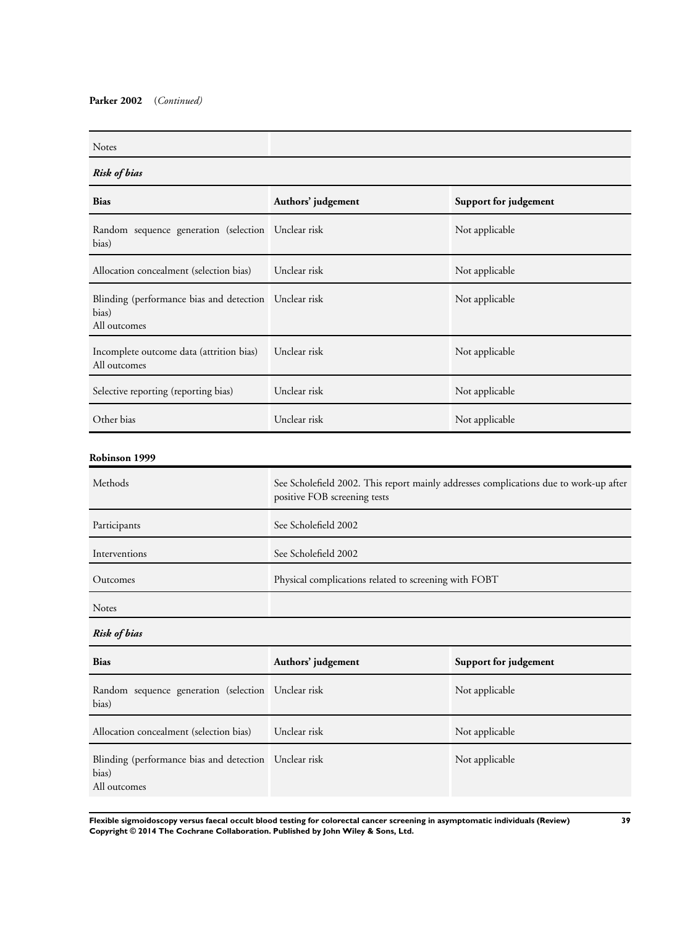Notes

## *Risk of bias*

| <b>Bias</b>                                                                    | Authors' judgement | Support for judgement |
|--------------------------------------------------------------------------------|--------------------|-----------------------|
| Random sequence generation (selection Unclear risk<br>bias)                    |                    | Not applicable        |
| Allocation concealment (selection bias)                                        | Unclear risk       | Not applicable        |
| Blinding (performance bias and detection Unclear risk<br>bias)<br>All outcomes |                    | Not applicable        |
| Incomplete outcome data (attrition bias)<br>All outcomes                       | Unclear risk       | Not applicable        |
| Selective reporting (reporting bias)                                           | Unclear risk       | Not applicable        |
| Other bias                                                                     | Unclear risk       | Not applicable        |

### **Robinson 1999**

| <b>Methods</b> | See Scholefield 2002. This report mainly addresses complications due to work-up after<br>positive FOB screening tests |
|----------------|-----------------------------------------------------------------------------------------------------------------------|
| Participants   | See Scholefield 2002                                                                                                  |
| Interventions  | See Scholefield 2002                                                                                                  |
| Outcomes       | Physical complications related to screening with FOBT                                                                 |
| <b>Notes</b>   |                                                                                                                       |

## *Risk of bias*

| <b>Bias</b>                                                                    | Authors' judgement | Support for judgement |
|--------------------------------------------------------------------------------|--------------------|-----------------------|
| Random sequence generation (selection Unclear risk<br>bias)                    |                    | Not applicable        |
| Allocation concealment (selection bias)                                        | Unclear risk       | Not applicable        |
| Blinding (performance bias and detection Unclear risk<br>bias)<br>All outcomes |                    | Not applicable        |

**Flexible sigmoidoscopy versus faecal occult blood testing for colorectal cancer screening in asymptomatic individuals (Review) 39 Copyright © 2014 The Cochrane Collaboration. Published by John Wiley & Sons, Ltd.**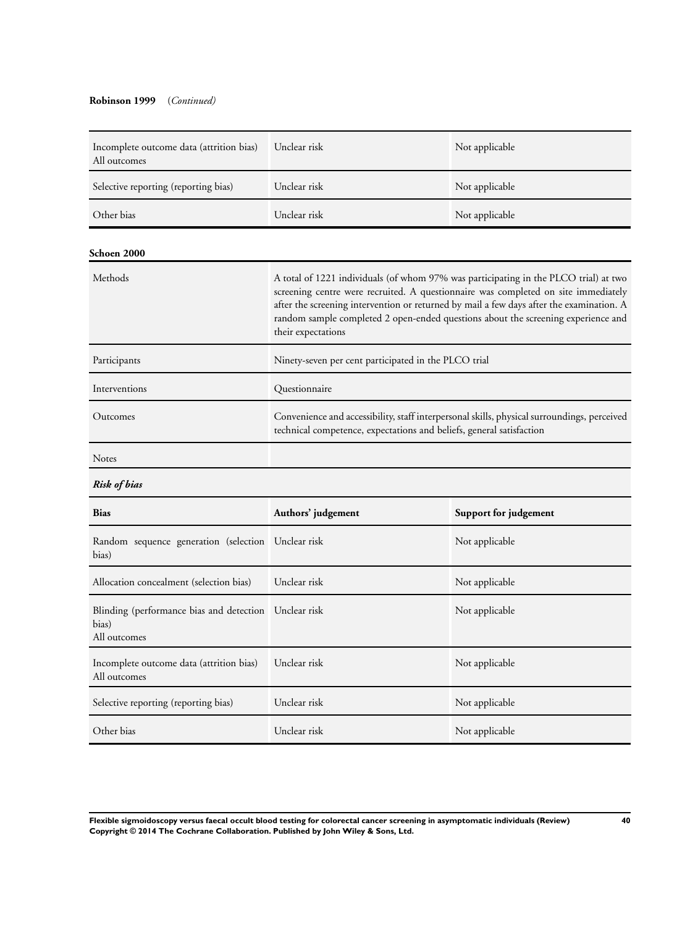## **Robinson 1999** (*Continued)*

| Incomplete outcome data (attrition bias)<br>All outcomes                       | Unclear risk                                                                                                                                                                                                                                                                                                                                                                      | Not applicable        |
|--------------------------------------------------------------------------------|-----------------------------------------------------------------------------------------------------------------------------------------------------------------------------------------------------------------------------------------------------------------------------------------------------------------------------------------------------------------------------------|-----------------------|
| Selective reporting (reporting bias)                                           | Unclear risk                                                                                                                                                                                                                                                                                                                                                                      | Not applicable        |
| Other bias                                                                     | Unclear risk                                                                                                                                                                                                                                                                                                                                                                      | Not applicable        |
| Schoen 2000                                                                    |                                                                                                                                                                                                                                                                                                                                                                                   |                       |
| Methods                                                                        | A total of 1221 individuals (of whom 97% was participating in the PLCO trial) at two<br>screening centre were recruited. A questionnaire was completed on site immediately<br>after the screening intervention or returned by mail a few days after the examination. A<br>random sample completed 2 open-ended questions about the screening experience and<br>their expectations |                       |
| Participants                                                                   | Ninety-seven per cent participated in the PLCO trial                                                                                                                                                                                                                                                                                                                              |                       |
| Interventions                                                                  | Questionnaire                                                                                                                                                                                                                                                                                                                                                                     |                       |
| Outcomes                                                                       | Convenience and accessibility, staff interpersonal skills, physical surroundings, perceived<br>technical competence, expectations and beliefs, general satisfaction                                                                                                                                                                                                               |                       |
| Notes                                                                          |                                                                                                                                                                                                                                                                                                                                                                                   |                       |
| <b>Risk of bias</b>                                                            |                                                                                                                                                                                                                                                                                                                                                                                   |                       |
| <b>Bias</b>                                                                    | Authors' judgement                                                                                                                                                                                                                                                                                                                                                                | Support for judgement |
| Random sequence generation (selection Unclear risk<br>bias)                    |                                                                                                                                                                                                                                                                                                                                                                                   | Not applicable        |
| Allocation concealment (selection bias)                                        | Unclear risk                                                                                                                                                                                                                                                                                                                                                                      | Not applicable        |
| Blinding (performance bias and detection Unclear risk<br>bias)<br>All outcomes |                                                                                                                                                                                                                                                                                                                                                                                   | Not applicable        |
| Incomplete outcome data (attrition bias)<br>All outcomes                       | Unclear risk                                                                                                                                                                                                                                                                                                                                                                      | Not applicable        |
| Selective reporting (reporting bias)                                           | Unclear risk                                                                                                                                                                                                                                                                                                                                                                      | Not applicable        |
| Other bias                                                                     | Unclear risk                                                                                                                                                                                                                                                                                                                                                                      | Not applicable        |

**Flexible sigmoidoscopy versus faecal occult blood testing for colorectal cancer screening in asymptomatic individuals (Review) 40 Copyright © 2014 The Cochrane Collaboration. Published by John Wiley & Sons, Ltd.**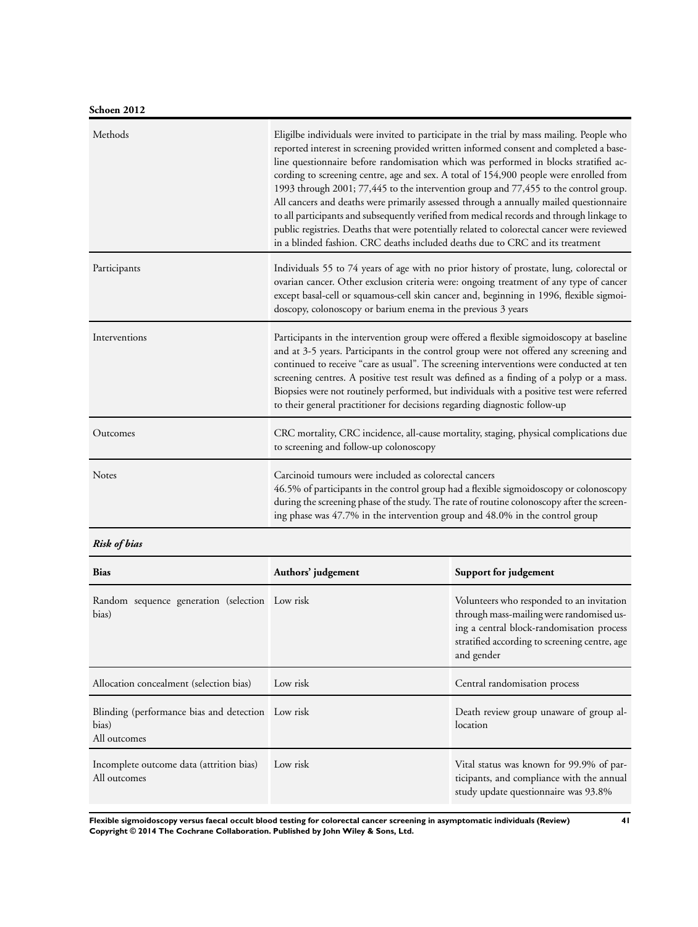| Methods       | Eligilbe individuals were invited to participate in the trial by mass mailing. People who<br>reported interest in screening provided written informed consent and completed a base-<br>line questionnaire before randomisation which was performed in blocks stratified ac-<br>cording to screening centre, age and sex. A total of 154,900 people were enrolled from<br>1993 through 2001; 77,445 to the intervention group and 77,455 to the control group.<br>All cancers and deaths were primarily assessed through a annually mailed questionnaire<br>to all participants and subsequently verified from medical records and through linkage to<br>public registries. Deaths that were potentially related to colorectal cancer were reviewed<br>in a blinded fashion. CRC deaths included deaths due to CRC and its treatment |
|---------------|-------------------------------------------------------------------------------------------------------------------------------------------------------------------------------------------------------------------------------------------------------------------------------------------------------------------------------------------------------------------------------------------------------------------------------------------------------------------------------------------------------------------------------------------------------------------------------------------------------------------------------------------------------------------------------------------------------------------------------------------------------------------------------------------------------------------------------------|
| Participants  | Individuals 55 to 74 years of age with no prior history of prostate, lung, colorectal or<br>ovarian cancer. Other exclusion criteria were: ongoing treatment of any type of cancer<br>except basal-cell or squamous-cell skin cancer and, beginning in 1996, flexible sigmoi-<br>doscopy, colonoscopy or barium enema in the previous 3 years                                                                                                                                                                                                                                                                                                                                                                                                                                                                                       |
| Interventions | Participants in the intervention group were offered a flexible sigmoidoscopy at baseline<br>and at 3-5 years. Participants in the control group were not offered any screening and<br>continued to receive "care as usual". The screening interventions were conducted at ten<br>screening centres. A positive test result was defined as a finding of a polyp or a mass.<br>Biopsies were not routinely performed, but individuals with a positive test were referred<br>to their general practitioner for decisions regarding diagnostic follow-up                                                                                                                                                                                                                                                                                |
| Outcomes      | CRC mortality, CRC incidence, all-cause mortality, staging, physical complications due<br>to screening and follow-up colonoscopy                                                                                                                                                                                                                                                                                                                                                                                                                                                                                                                                                                                                                                                                                                    |
| Notes         | Carcinoid tumours were included as colorectal cancers<br>46.5% of participants in the control group had a flexible sigmoidoscopy or colonoscopy<br>during the screening phase of the study. The rate of routine colonoscopy after the screen-<br>ing phase was 47.7% in the intervention group and 48.0% in the control group                                                                                                                                                                                                                                                                                                                                                                                                                                                                                                       |

```
Risk of bias
```

| <b>Bias</b>                                                                | Authors' judgement | Support for judgement                                                                                                                                                                             |
|----------------------------------------------------------------------------|--------------------|---------------------------------------------------------------------------------------------------------------------------------------------------------------------------------------------------|
| Random sequence generation (selection Low risk<br>bias)                    |                    | Volunteers who responded to an invitation<br>through mass-mailing were randomised us-<br>ing a central block-randomisation process<br>stratified according to screening centre, age<br>and gender |
| Allocation concealment (selection bias)                                    | Low risk           | Central randomisation process                                                                                                                                                                     |
| Blinding (performance bias and detection Low risk<br>bias)<br>All outcomes |                    | Death review group unaware of group al-<br>location                                                                                                                                               |
| Incomplete outcome data (attrition bias)<br>All outcomes                   | Low risk           | Vital status was known for 99.9% of par-<br>ticipants, and compliance with the annual<br>study update questionnaire was 93.8%                                                                     |

**Flexible sigmoidoscopy versus faecal occult blood testing for colorectal cancer screening in asymptomatic individuals (Review) 41 Copyright © 2014 The Cochrane Collaboration. Published by John Wiley & Sons, Ltd.**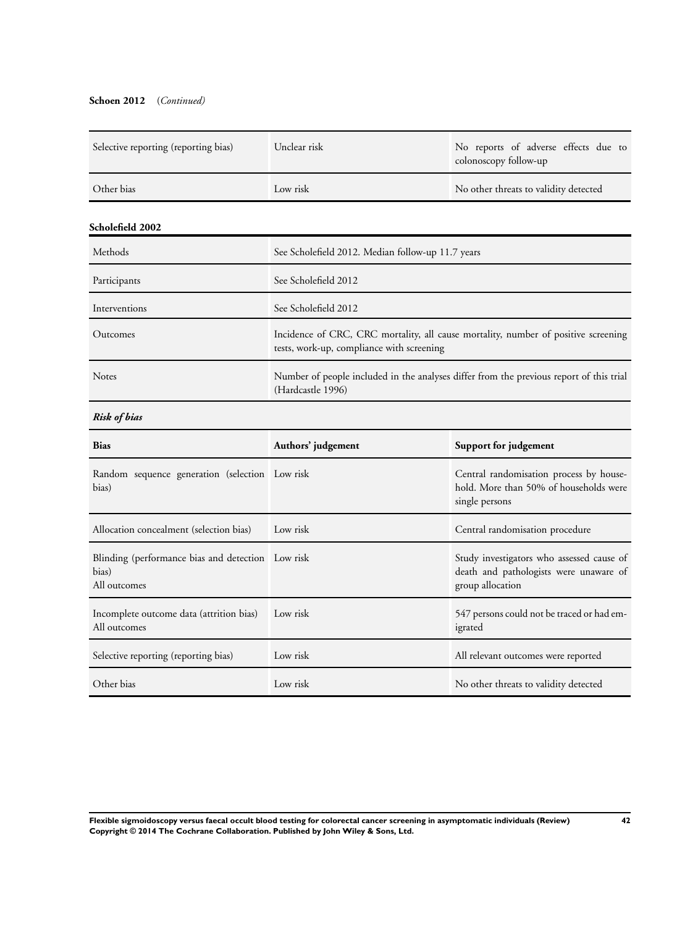## **Schoen 2012** (*Continued)*

| Selective reporting (reporting bias)                                       | Unclear risk                                                                                                                    | No reports of adverse effects due to<br>colonoscopy follow-up                                           |
|----------------------------------------------------------------------------|---------------------------------------------------------------------------------------------------------------------------------|---------------------------------------------------------------------------------------------------------|
| Other bias                                                                 | Low risk                                                                                                                        | No other threats to validity detected                                                                   |
| Scholefield 2002                                                           |                                                                                                                                 |                                                                                                         |
| Methods                                                                    | See Scholefield 2012. Median follow-up 11.7 years                                                                               |                                                                                                         |
| Participants                                                               | See Scholefield 2012                                                                                                            |                                                                                                         |
| Interventions                                                              | See Scholefield 2012                                                                                                            |                                                                                                         |
| Outcomes                                                                   | Incidence of CRC, CRC mortality, all cause mortality, number of positive screening<br>tests, work-up, compliance with screening |                                                                                                         |
| Notes                                                                      | Number of people included in the analyses differ from the previous report of this trial<br>(Hardcastle 1996)                    |                                                                                                         |
| <b>Risk of bias</b>                                                        |                                                                                                                                 |                                                                                                         |
| Bias                                                                       | Authors' judgement<br>Support for judgement                                                                                     |                                                                                                         |
| Random sequence generation (selection Low risk<br>bias)                    |                                                                                                                                 | Central randomisation process by house-<br>hold. More than 50% of households were<br>single persons     |
| Allocation concealment (selection bias)                                    | Low risk                                                                                                                        | Central randomisation procedure                                                                         |
| Blinding (performance bias and detection Low risk<br>bias)<br>All outcomes |                                                                                                                                 | Study investigators who assessed cause of<br>death and pathologists were unaware of<br>group allocation |
| Incomplete outcome data (attrition bias)<br>All outcomes                   | Low risk                                                                                                                        | 547 persons could not be traced or had em-<br>igrated                                                   |
| Selective reporting (reporting bias)                                       | Low risk                                                                                                                        | All relevant outcomes were reported                                                                     |
| Other bias                                                                 | Low risk                                                                                                                        | No other threats to validity detected                                                                   |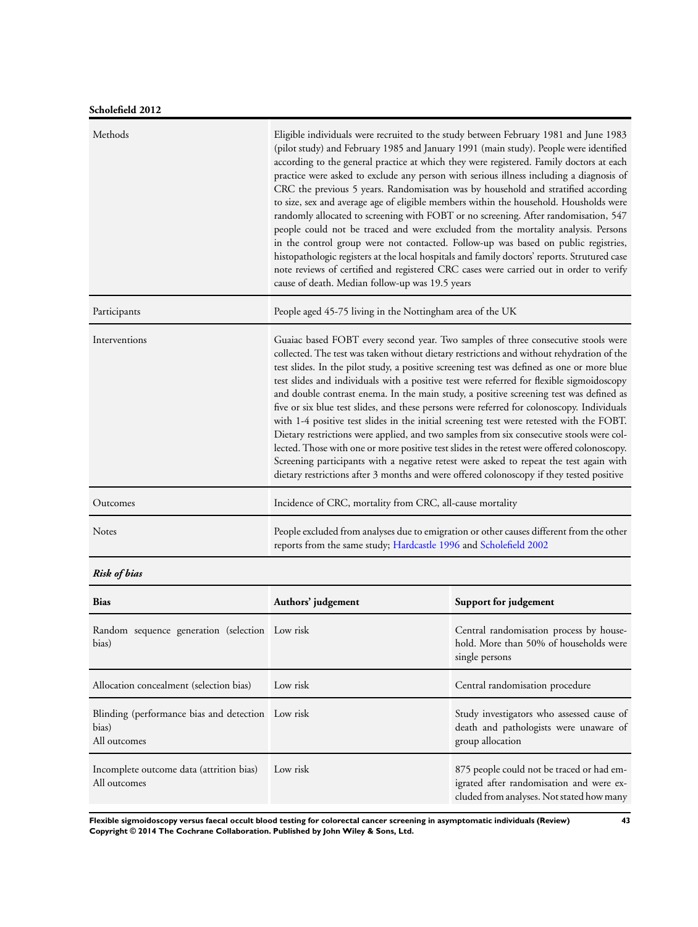| Methods       | Eligible individuals were recruited to the study between February 1981 and June 1983<br>(pilot study) and February 1985 and January 1991 (main study). People were identified<br>according to the general practice at which they were registered. Family doctors at each<br>practice were asked to exclude any person with serious illness including a diagnosis of<br>CRC the previous 5 years. Randomisation was by household and stratified according<br>to size, sex and average age of eligible members within the household. Housholds were<br>randomly allocated to screening with FOBT or no screening. After randomisation, 547<br>people could not be traced and were excluded from the mortality analysis. Persons<br>in the control group were not contacted. Follow-up was based on public registries,<br>histopathologic registers at the local hospitals and family doctors' reports. Strutured case<br>note reviews of certified and registered CRC cases were carried out in order to verify<br>cause of death. Median follow-up was 19.5 years |
|---------------|------------------------------------------------------------------------------------------------------------------------------------------------------------------------------------------------------------------------------------------------------------------------------------------------------------------------------------------------------------------------------------------------------------------------------------------------------------------------------------------------------------------------------------------------------------------------------------------------------------------------------------------------------------------------------------------------------------------------------------------------------------------------------------------------------------------------------------------------------------------------------------------------------------------------------------------------------------------------------------------------------------------------------------------------------------------|
| Participants  | People aged 45-75 living in the Nottingham area of the UK                                                                                                                                                                                                                                                                                                                                                                                                                                                                                                                                                                                                                                                                                                                                                                                                                                                                                                                                                                                                        |
| Interventions | Guaiac based FOBT every second year. Two samples of three consecutive stools were<br>collected. The test was taken without dietary restrictions and without rehydration of the<br>test slides. In the pilot study, a positive screening test was defined as one or more blue<br>test slides and individuals with a positive test were referred for flexible sigmoidoscopy<br>and double contrast enema. In the main study, a positive screening test was defined as<br>five or six blue test slides, and these persons were referred for colonoscopy. Individuals<br>with 1-4 positive test slides in the initial screening test were retested with the FOBT.<br>Dietary restrictions were applied, and two samples from six consecutive stools were col-<br>lected. Those with one or more positive test slides in the retest were offered colonoscopy.<br>Screening participants with a negative retest were asked to repeat the test again with<br>dietary restrictions after 3 months and were offered colonoscopy if they tested positive                   |
| Outcomes      | Incidence of CRC, mortality from CRC, all-cause mortality                                                                                                                                                                                                                                                                                                                                                                                                                                                                                                                                                                                                                                                                                                                                                                                                                                                                                                                                                                                                        |
| Notes         | People excluded from analyses due to emigration or other causes different from the other<br>reports from the same study; Hardcastle 1996 and Scholefield 2002                                                                                                                                                                                                                                                                                                                                                                                                                                                                                                                                                                                                                                                                                                                                                                                                                                                                                                    |

## *Risk of bias*

| <b>Bias</b>                                                                | Authors' judgement | Support for judgement                                                                                                              |
|----------------------------------------------------------------------------|--------------------|------------------------------------------------------------------------------------------------------------------------------------|
| Random sequence generation (selection Low risk)<br>bias)                   |                    | Central randomisation process by house-<br>hold. More than 50% of households were<br>single persons                                |
| Allocation concealment (selection bias)                                    | Low risk           | Central randomisation procedure                                                                                                    |
| Blinding (performance bias and detection Low risk<br>bias)<br>All outcomes |                    | Study investigators who assessed cause of<br>death and pathologists were unaware of<br>group allocation                            |
| Incomplete outcome data (attrition bias)<br>All outcomes                   | Low risk           | 875 people could not be traced or had em-<br>igrated after randomisation and were ex-<br>cluded from analyses. Not stated how many |

**Flexible sigmoidoscopy versus faecal occult blood testing for colorectal cancer screening in asymptomatic individuals (Review) 43 Copyright © 2014 The Cochrane Collaboration. Published by John Wiley & Sons, Ltd.**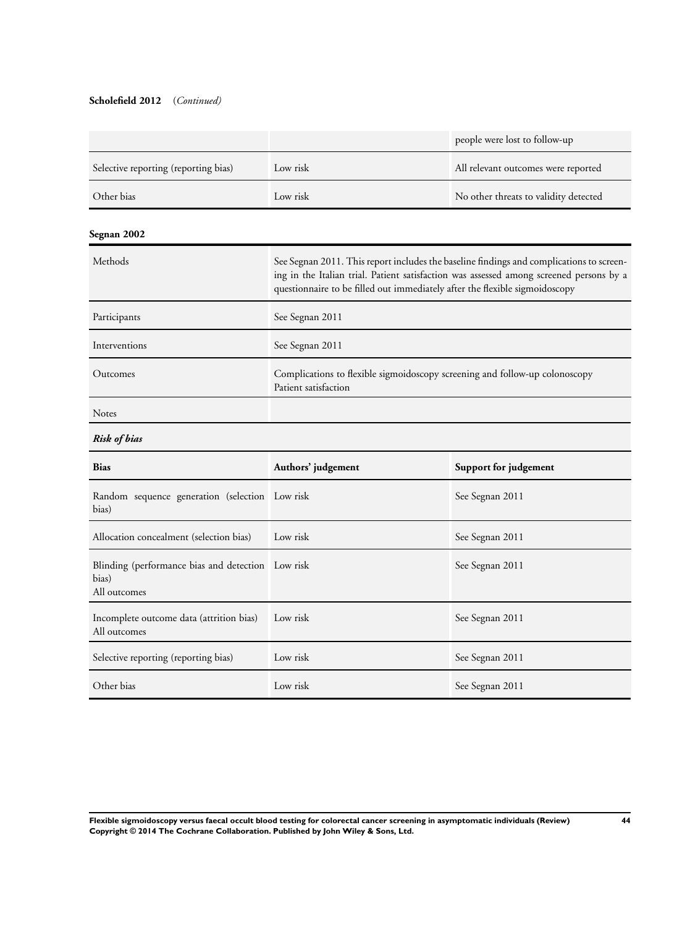## **Scholefield 2012** (*Continued)*

|                                                                            |                                                                                                     | people were lost to follow-up                                                                                                                                                                                                                                      |  |
|----------------------------------------------------------------------------|-----------------------------------------------------------------------------------------------------|--------------------------------------------------------------------------------------------------------------------------------------------------------------------------------------------------------------------------------------------------------------------|--|
| Selective reporting (reporting bias)                                       | Low risk                                                                                            | All relevant outcomes were reported                                                                                                                                                                                                                                |  |
| Other bias                                                                 | Low risk                                                                                            | No other threats to validity detected                                                                                                                                                                                                                              |  |
| Segnan 2002                                                                |                                                                                                     |                                                                                                                                                                                                                                                                    |  |
| Methods                                                                    |                                                                                                     | See Segnan 2011. This report includes the baseline findings and complications to screen-<br>ing in the Italian trial. Patient satisfaction was assessed among screened persons by a<br>questionnaire to be filled out immediately after the flexible sigmoidoscopy |  |
| Participants                                                               | See Segnan 2011                                                                                     |                                                                                                                                                                                                                                                                    |  |
| Interventions                                                              | See Segnan 2011                                                                                     |                                                                                                                                                                                                                                                                    |  |
| Outcomes                                                                   | Complications to flexible sigmoidoscopy screening and follow-up colonoscopy<br>Patient satisfaction |                                                                                                                                                                                                                                                                    |  |
| <b>Notes</b>                                                               |                                                                                                     |                                                                                                                                                                                                                                                                    |  |
| <b>Risk of bias</b>                                                        |                                                                                                     |                                                                                                                                                                                                                                                                    |  |
| <b>Bias</b>                                                                | Authors' judgement                                                                                  | Support for judgement                                                                                                                                                                                                                                              |  |
| Random sequence generation (selection Low risk<br>bias)                    |                                                                                                     | See Segnan 2011                                                                                                                                                                                                                                                    |  |
| Allocation concealment (selection bias)                                    | Low risk                                                                                            | See Segnan 2011                                                                                                                                                                                                                                                    |  |
| Blinding (performance bias and detection Low risk<br>bias)<br>All outcomes |                                                                                                     | See Segnan 2011                                                                                                                                                                                                                                                    |  |
| Incomplete outcome data (attrition bias)<br>All outcomes                   | Low risk                                                                                            | See Segnan 2011                                                                                                                                                                                                                                                    |  |
| Selective reporting (reporting bias)                                       | Low risk                                                                                            | See Segnan 2011                                                                                                                                                                                                                                                    |  |
| Other bias                                                                 | Low risk                                                                                            | See Segnan 2011                                                                                                                                                                                                                                                    |  |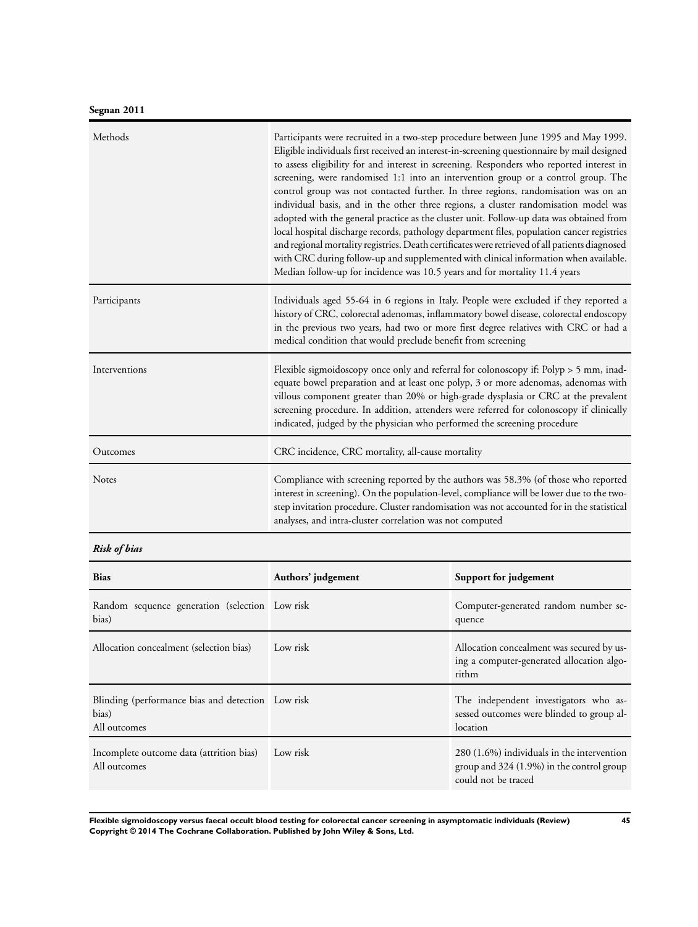| Methods       | Participants were recruited in a two-step procedure between June 1995 and May 1999.<br>Eligible individuals first received an interest-in-screening questionnaire by mail designed<br>to assess eligibility for and interest in screening. Responders who reported interest in<br>screening, were randomised 1:1 into an intervention group or a control group. The<br>control group was not contacted further. In three regions, randomisation was on an<br>individual basis, and in the other three regions, a cluster randomisation model was<br>adopted with the general practice as the cluster unit. Follow-up data was obtained from<br>local hospital discharge records, pathology department files, population cancer registries<br>and regional mortality registries. Death certificates were retrieved of all patients diagnosed<br>with CRC during follow-up and supplemented with clinical information when available.<br>Median follow-up for incidence was 10.5 years and for mortality 11.4 years |
|---------------|-------------------------------------------------------------------------------------------------------------------------------------------------------------------------------------------------------------------------------------------------------------------------------------------------------------------------------------------------------------------------------------------------------------------------------------------------------------------------------------------------------------------------------------------------------------------------------------------------------------------------------------------------------------------------------------------------------------------------------------------------------------------------------------------------------------------------------------------------------------------------------------------------------------------------------------------------------------------------------------------------------------------|
| Participants  | Individuals aged 55-64 in 6 regions in Italy. People were excluded if they reported a<br>history of CRC, colorectal adenomas, inflammatory bowel disease, colorectal endoscopy<br>in the previous two years, had two or more first degree relatives with CRC or had a<br>medical condition that would preclude benefit from screening                                                                                                                                                                                                                                                                                                                                                                                                                                                                                                                                                                                                                                                                             |
| Interventions | Flexible sigmoidoscopy once only and referral for colonoscopy if: Polyp > 5 mm, inad-<br>equate bowel preparation and at least one polyp, 3 or more adenomas, adenomas with<br>villous component greater than 20% or high-grade dysplasia or CRC at the prevalent<br>screening procedure. In addition, attenders were referred for colonoscopy if clinically<br>indicated, judged by the physician who performed the screening procedure                                                                                                                                                                                                                                                                                                                                                                                                                                                                                                                                                                          |
| Outcomes      | CRC incidence, CRC mortality, all-cause mortality                                                                                                                                                                                                                                                                                                                                                                                                                                                                                                                                                                                                                                                                                                                                                                                                                                                                                                                                                                 |
| Notes         | Compliance with screening reported by the authors was 58.3% (of those who reported<br>interest in screening). On the population-level, compliance will be lower due to the two-<br>step invitation procedure. Cluster randomisation was not accounted for in the statistical<br>analyses, and intra-cluster correlation was not computed                                                                                                                                                                                                                                                                                                                                                                                                                                                                                                                                                                                                                                                                          |

## *Risk of bias*

| <b>Bias</b>                                                                | Authors' judgement | Support for judgement                                                                                              |
|----------------------------------------------------------------------------|--------------------|--------------------------------------------------------------------------------------------------------------------|
| Random sequence generation (selection Low risk<br>bias)                    |                    | Computer-generated random number se-<br>quence                                                                     |
| Allocation concealment (selection bias)                                    | Low risk           | Allocation concealment was secured by us-<br>ing a computer-generated allocation algo-<br>rithm                    |
| Blinding (performance bias and detection Low risk<br>bias)<br>All outcomes |                    | The independent investigators who as-<br>sessed outcomes were blinded to group al-<br>location                     |
| Incomplete outcome data (attrition bias)<br>All outcomes                   | Low risk           | $280(1.6\%)$ individuals in the intervention<br>group and $324(1.9\%)$ in the control group<br>could not be traced |

**Flexible sigmoidoscopy versus faecal occult blood testing for colorectal cancer screening in asymptomatic individuals (Review) 45 Copyright © 2014 The Cochrane Collaboration. Published by John Wiley & Sons, Ltd.**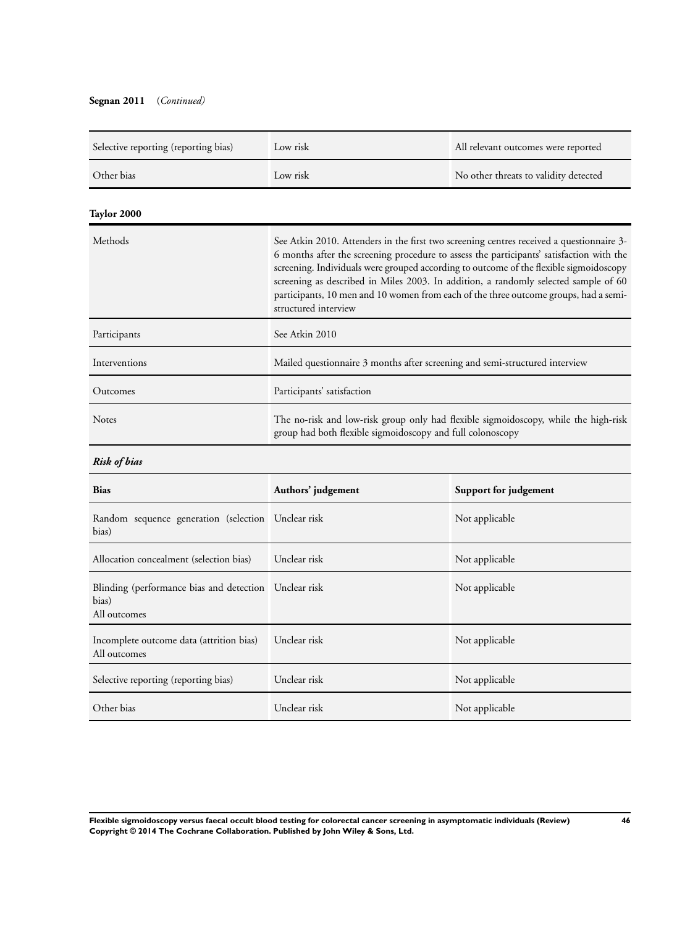## **Segnan 2011** (*Continued)*

| Selective reporting (reporting bias) | Low risk | All relevant outcomes were reported   |
|--------------------------------------|----------|---------------------------------------|
| Other bias                           | Low risk | No other threats to validity detected |

## **Taylor 2000**

| Methods       | See Atkin 2010. Attenders in the first two screening centres received a questionnaire 3-<br>6 months after the screening procedure to assess the participants' satisfaction with the<br>screening. Individuals were grouped according to outcome of the flexible sigmoidoscopy<br>screening as described in Miles 2003. In addition, a randomly selected sample of 60<br>participants, 10 men and 10 women from each of the three outcome groups, had a semi-<br>structured interview |
|---------------|---------------------------------------------------------------------------------------------------------------------------------------------------------------------------------------------------------------------------------------------------------------------------------------------------------------------------------------------------------------------------------------------------------------------------------------------------------------------------------------|
| Participants  | See Atkin 2010                                                                                                                                                                                                                                                                                                                                                                                                                                                                        |
| Interventions | Mailed questionnaire 3 months after screening and semi-structured interview                                                                                                                                                                                                                                                                                                                                                                                                           |
| Outcomes      | Participants' satisfaction                                                                                                                                                                                                                                                                                                                                                                                                                                                            |
| <b>Notes</b>  | The no-risk and low-risk group only had flexible sigmoidoscopy, while the high-risk<br>group had both flexible sigmoidoscopy and full colonoscopy                                                                                                                                                                                                                                                                                                                                     |

## *Risk of bias*

| <b>Bias</b>                                                                    | Authors' judgement | Support for judgement |
|--------------------------------------------------------------------------------|--------------------|-----------------------|
| Random sequence generation (selection Unclear risk<br>bias)                    |                    | Not applicable        |
| Allocation concealment (selection bias)                                        | Unclear risk       | Not applicable        |
| Blinding (performance bias and detection Unclear risk<br>bias)<br>All outcomes |                    | Not applicable        |
| Incomplete outcome data (attrition bias)<br>All outcomes                       | Unclear risk       | Not applicable        |
| Selective reporting (reporting bias)                                           | Unclear risk       | Not applicable        |
| Other bias                                                                     | Unclear risk       | Not applicable        |

**Flexible sigmoidoscopy versus faecal occult blood testing for colorectal cancer screening in asymptomatic individuals (Review) 46 Copyright © 2014 The Cochrane Collaboration. Published by John Wiley & Sons, Ltd.**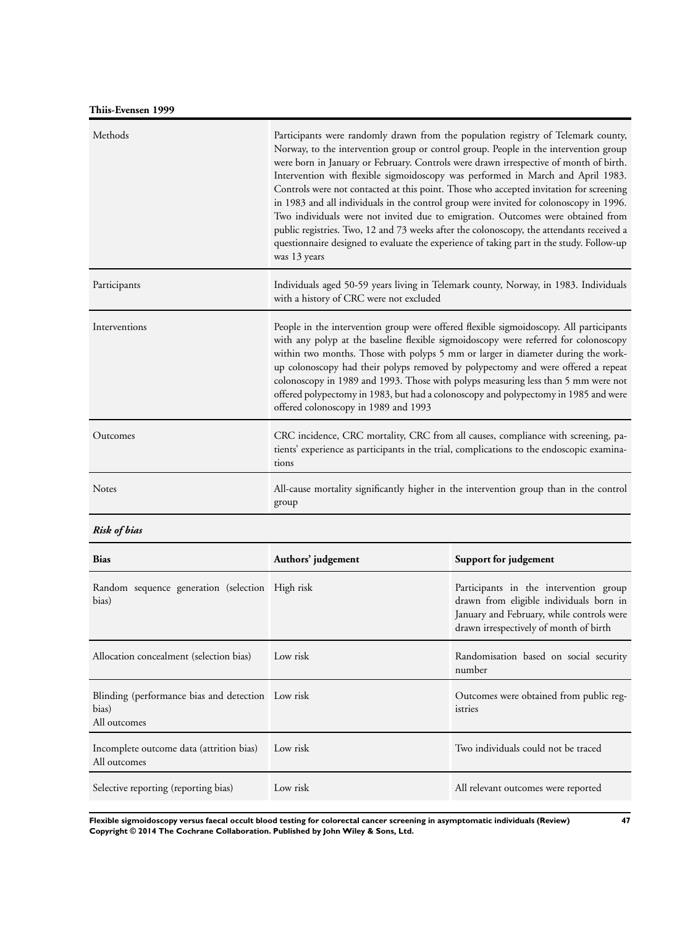| Methods       | Participants were randomly drawn from the population registry of Telemark county,<br>Norway, to the intervention group or control group. People in the intervention group<br>were born in January or February. Controls were drawn irrespective of month of birth.<br>Intervention with flexible sigmoidoscopy was performed in March and April 1983.<br>Controls were not contacted at this point. Those who accepted invitation for screening<br>in 1983 and all individuals in the control group were invited for colonoscopy in 1996.<br>Two individuals were not invited due to emigration. Outcomes were obtained from<br>public registries. Two, 12 and 73 weeks after the colonoscopy, the attendants received a<br>questionnaire designed to evaluate the experience of taking part in the study. Follow-up<br>was 13 years |
|---------------|--------------------------------------------------------------------------------------------------------------------------------------------------------------------------------------------------------------------------------------------------------------------------------------------------------------------------------------------------------------------------------------------------------------------------------------------------------------------------------------------------------------------------------------------------------------------------------------------------------------------------------------------------------------------------------------------------------------------------------------------------------------------------------------------------------------------------------------|
| Participants  | Individuals aged 50-59 years living in Telemark county, Norway, in 1983. Individuals<br>with a history of CRC were not excluded                                                                                                                                                                                                                                                                                                                                                                                                                                                                                                                                                                                                                                                                                                      |
| Interventions | People in the intervention group were offered flexible sigmoidoscopy. All participants<br>with any polyp at the baseline flexible sigmoidoscopy were referred for colonoscopy<br>within two months. Those with polyps 5 mm or larger in diameter during the work-<br>up colonoscopy had their polyps removed by polypectomy and were offered a repeat<br>colonoscopy in 1989 and 1993. Those with polyps measuring less than 5 mm were not<br>offered polypectomy in 1983, but had a colonoscopy and polypectomy in 1985 and were<br>offered colonoscopy in 1989 and 1993                                                                                                                                                                                                                                                            |
| Outcomes      | CRC incidence, CRC mortality, CRC from all causes, compliance with screening, pa-<br>tients' experience as participants in the trial, complications to the endoscopic examina-<br>tions                                                                                                                                                                                                                                                                                                                                                                                                                                                                                                                                                                                                                                              |
| Notes         | All-cause mortality significantly higher in the intervention group than in the control<br>group                                                                                                                                                                                                                                                                                                                                                                                                                                                                                                                                                                                                                                                                                                                                      |

*Risk of bias*

| <b>Bias</b>                                                                | Authors' judgement | Support for judgement                                                                                                                                                    |
|----------------------------------------------------------------------------|--------------------|--------------------------------------------------------------------------------------------------------------------------------------------------------------------------|
| Random sequence generation (selection High risk<br>bias)                   |                    | Participants in the intervention group<br>drawn from eligible individuals born in<br>January and February, while controls were<br>drawn irrespectively of month of birth |
| Allocation concealment (selection bias)                                    | Low risk           | Randomisation based on social security<br>number                                                                                                                         |
| Blinding (performance bias and detection Low risk<br>bias)<br>All outcomes |                    | Outcomes were obtained from public reg-<br>istries                                                                                                                       |
| Incomplete outcome data (attrition bias)<br>All outcomes                   | Low risk           | Two individuals could not be traced                                                                                                                                      |
| Selective reporting (reporting bias)                                       | Low risk           | All relevant outcomes were reported                                                                                                                                      |

**Flexible sigmoidoscopy versus faecal occult blood testing for colorectal cancer screening in asymptomatic individuals (Review) 47 Copyright © 2014 The Cochrane Collaboration. Published by John Wiley & Sons, Ltd.**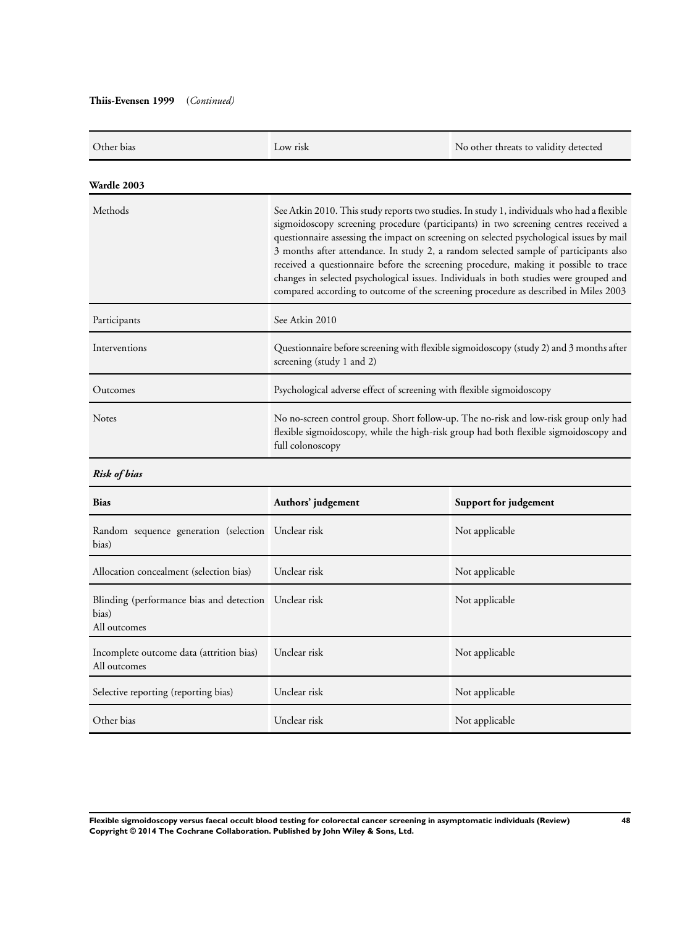## **Thiis-Evensen 1999** (*Continued)*

| Other bias         | Low risk                                                                                                                                                                                                                                                                                                                                                                                                                                                                                                                                                                                                                                        | No other threats to validity detected                                                                                                                                         |
|--------------------|-------------------------------------------------------------------------------------------------------------------------------------------------------------------------------------------------------------------------------------------------------------------------------------------------------------------------------------------------------------------------------------------------------------------------------------------------------------------------------------------------------------------------------------------------------------------------------------------------------------------------------------------------|-------------------------------------------------------------------------------------------------------------------------------------------------------------------------------|
| <b>Wardle 2003</b> |                                                                                                                                                                                                                                                                                                                                                                                                                                                                                                                                                                                                                                                 |                                                                                                                                                                               |
| Methods            | See Atkin 2010. This study reports two studies. In study 1, individuals who had a flexible<br>sigmoidoscopy screening procedure (participants) in two screening centres received a<br>questionnaire assessing the impact on screening on selected psychological issues by mail<br>3 months after attendance. In study 2, a random selected sample of participants also<br>received a questionnaire before the screening procedure, making it possible to trace<br>changes in selected psychological issues. Individuals in both studies were grouped and<br>compared according to outcome of the screening procedure as described in Miles 2003 |                                                                                                                                                                               |
| Participants       | See Atkin 2010                                                                                                                                                                                                                                                                                                                                                                                                                                                                                                                                                                                                                                  |                                                                                                                                                                               |
| Interventions      | screening (study 1 and 2)                                                                                                                                                                                                                                                                                                                                                                                                                                                                                                                                                                                                                       | Questionnaire before screening with flexible sigmoidoscopy (study 2) and 3 months after                                                                                       |
| Outcomes           | Psychological adverse effect of screening with flexible sigmoidoscopy                                                                                                                                                                                                                                                                                                                                                                                                                                                                                                                                                                           |                                                                                                                                                                               |
| <b>Notes</b>       | full colonoscopy                                                                                                                                                                                                                                                                                                                                                                                                                                                                                                                                                                                                                                | No no-screen control group. Short follow-up. The no-risk and low-risk group only had<br>flexible sigmoidoscopy, while the high-risk group had both flexible sigmoidoscopy and |

*Risk of bias*

| <b>Bias</b>                                                                      | Authors' judgement | Support for judgement |
|----------------------------------------------------------------------------------|--------------------|-----------------------|
| Random sequence generation (selection Unclear risk<br>bias)                      |                    | Not applicable        |
| Allocation concealment (selection bias)                                          | Unclear risk       | Not applicable        |
| Blinding (performance bias and detection   Unclear risk<br>bias)<br>All outcomes |                    | Not applicable        |
| Incomplete outcome data (attrition bias)<br>All outcomes                         | Unclear risk       | Not applicable        |
| Selective reporting (reporting bias)                                             | Unclear risk       | Not applicable        |
| Other bias                                                                       | Unclear risk       | Not applicable        |

**Flexible sigmoidoscopy versus faecal occult blood testing for colorectal cancer screening in asymptomatic individuals (Review) 48 Copyright © 2014 The Cochrane Collaboration. Published by John Wiley & Sons, Ltd.**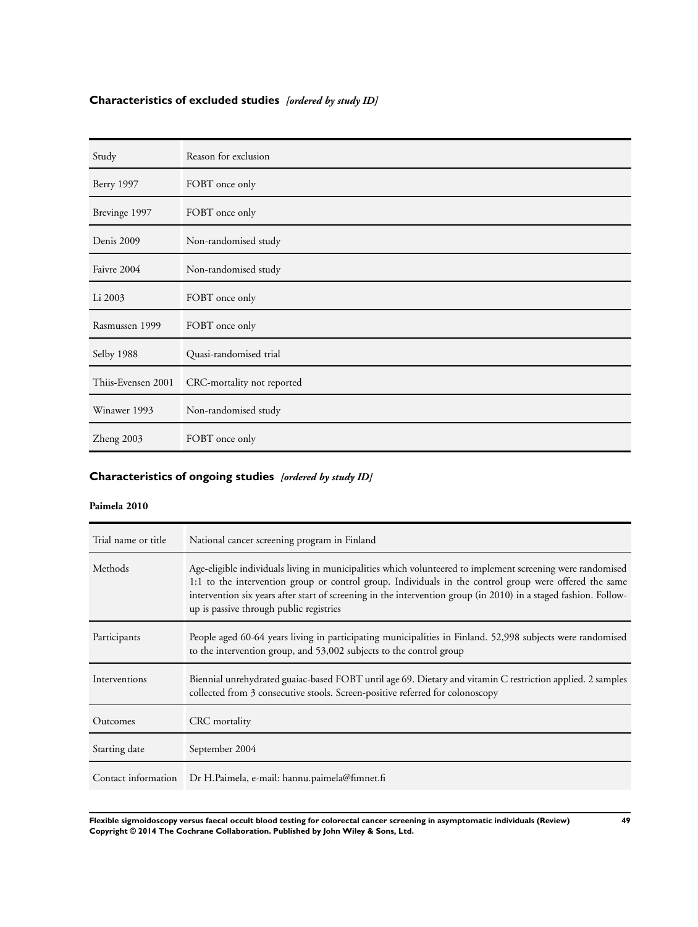## <span id="page-50-0"></span>**Characteristics of excluded studies** *[ordered by study ID]*

| Study              | Reason for exclusion       |
|--------------------|----------------------------|
| Berry 1997         | FOBT once only             |
| Brevinge 1997      | FOBT once only             |
| Denis 2009         | Non-randomised study       |
| Faivre 2004        | Non-randomised study       |
| Li 2003            | FOBT once only             |
| Rasmussen 1999     | FOBT once only             |
| Selby 1988         | Quasi-randomised trial     |
| Thiis-Evensen 2001 | CRC-mortality not reported |
| Winawer 1993       | Non-randomised study       |
| Zheng 2003         | FOBT once only             |

## **Characteristics of ongoing studies** *[ordered by study ID]*

## **Paimela 2010**

| Trial name or title | National cancer screening program in Finland                                                                                                                                                                                                                                                                                                                                        |
|---------------------|-------------------------------------------------------------------------------------------------------------------------------------------------------------------------------------------------------------------------------------------------------------------------------------------------------------------------------------------------------------------------------------|
| Methods             | Age-eligible individuals living in municipalities which volunteered to implement screening were randomised<br>1:1 to the intervention group or control group. Individuals in the control group were offered the same<br>intervention six years after start of screening in the intervention group (in 2010) in a staged fashion. Follow-<br>up is passive through public registries |
| Participants        | People aged 60-64 years living in participating municipalities in Finland. 52,998 subjects were randomised<br>to the intervention group, and 53,002 subjects to the control group                                                                                                                                                                                                   |
| Interventions       | Biennial unrehydrated guaiac-based FOBT until age 69. Dietary and vitamin C restriction applied. 2 samples<br>collected from 3 consecutive stools. Screen-positive referred for colonoscopy                                                                                                                                                                                         |
| Outcomes            | CRC mortality                                                                                                                                                                                                                                                                                                                                                                       |
| Starting date       | September 2004                                                                                                                                                                                                                                                                                                                                                                      |
| Contact information | Dr H.Paimela, e-mail: hannu.paimela@fimnet.fi                                                                                                                                                                                                                                                                                                                                       |

**Flexible sigmoidoscopy versus faecal occult blood testing for colorectal cancer screening in asymptomatic individuals (Review) 49 Copyright © 2014 The Cochrane Collaboration. Published by John Wiley & Sons, Ltd.**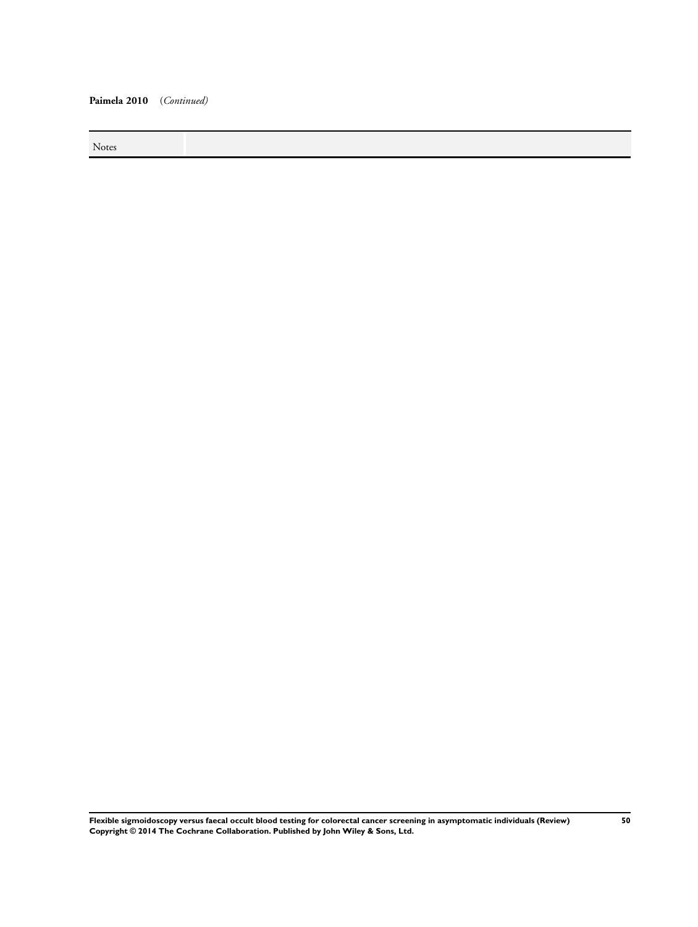**Paimela 2010** (*Continued)*

Notes

**Flexible sigmoidoscopy versus faecal occult blood testing for colorectal cancer screening in asymptomatic individuals (Review) 50 Copyright © 2014 The Cochrane Collaboration. Published by John Wiley & Sons, Ltd.**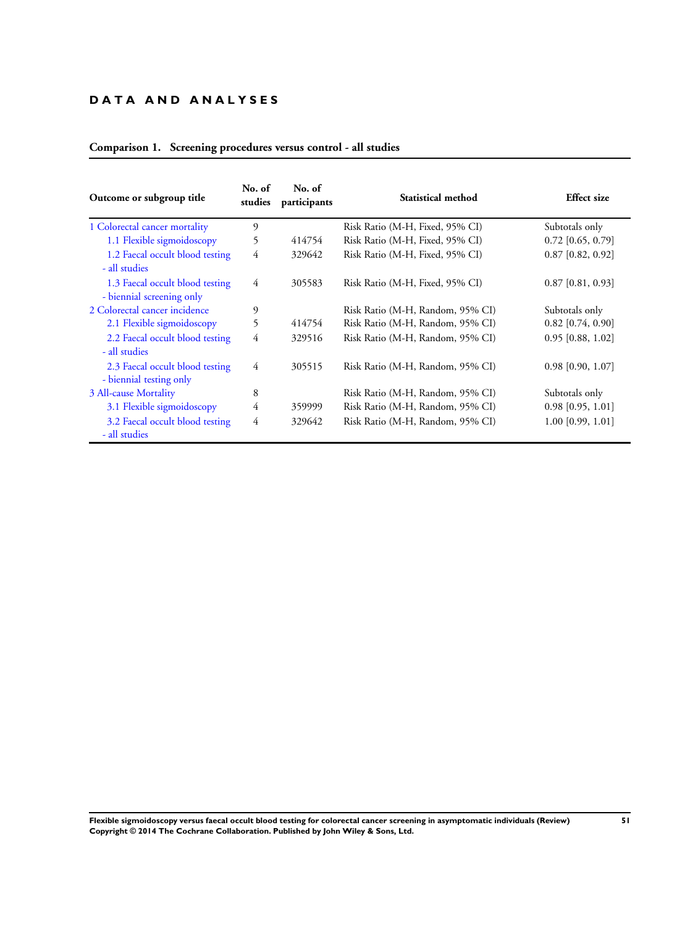## **D A T A A N D A N A L Y S E S**

## **Comparison 1. Screening procedures versus control - all studies**

| Outcome or subgroup title                                    | No. of<br>studies | No. of<br>participants | <b>Statistical method</b>        | <b>Effect</b> size     |
|--------------------------------------------------------------|-------------------|------------------------|----------------------------------|------------------------|
| 1 Colorectal cancer mortality                                | 9                 |                        | Risk Ratio (M-H, Fixed, 95% CI)  | Subtotals only         |
| 1.1 Flexible sigmoidoscopy                                   | 5                 | 414754                 | Risk Ratio (M-H, Fixed, 95% CI)  | $0.72$ [0.65, 0.79]    |
| 1.2 Faecal occult blood testing<br>- all studies             | 4                 | 329642                 | Risk Ratio (M-H, Fixed, 95% CI)  | $0.87$ [0.82, 0.92]    |
| 1.3 Faecal occult blood testing<br>- biennial screening only | 4                 | 305583                 | Risk Ratio (M-H, Fixed, 95% CI)  | $0.87$ [0.81, 0.93]    |
| 2 Colorectal cancer incidence                                | 9                 |                        | Risk Ratio (M-H, Random, 95% CI) | Subtotals only         |
| 2.1 Flexible sigmoidoscopy                                   | 5                 | 414754                 | Risk Ratio (M-H, Random, 95% CI) | $0.82$ [0.74, 0.90]    |
| 2.2 Faecal occult blood testing<br>- all studies             | 4                 | 329516                 | Risk Ratio (M-H, Random, 95% CI) | $0.95$ [0.88, 1.02]    |
| 2.3 Faecal occult blood testing<br>- biennial testing only   | 4                 | 305515                 | Risk Ratio (M-H, Random, 95% CI) | $0.98$ [0.90, 1.07]    |
| 3 All-cause Mortality                                        | 8                 |                        | Risk Ratio (M-H, Random, 95% CI) | Subtotals only         |
| 3.1 Flexible sigmoidoscopy                                   | 4                 | 359999                 | Risk Ratio (M-H, Random, 95% CI) | $0.98$ [0.95, 1.01]    |
| 3.2 Faecal occult blood testing<br>- all studies             | 4                 | 329642                 | Risk Ratio (M-H, Random, 95% CI) | $1.00$ [0.99, $1.01$ ] |

**Flexible sigmoidoscopy versus faecal occult blood testing for colorectal cancer screening in asymptomatic individuals (Review) 51 Copyright © 2014 The Cochrane Collaboration. Published by John Wiley & Sons, Ltd.**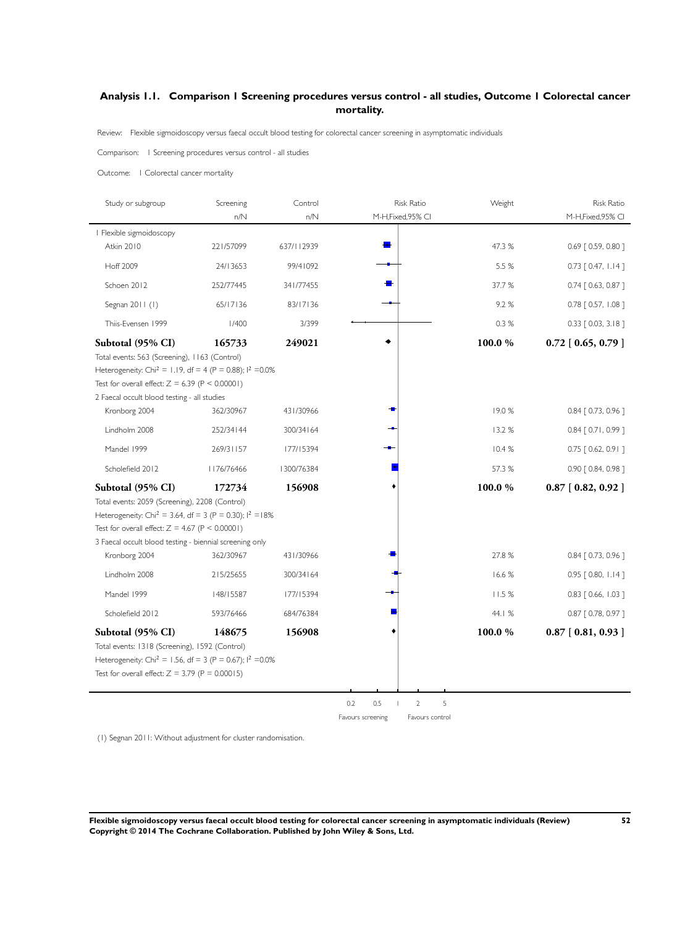## <span id="page-53-0"></span>**Analysis 1.1. Comparison 1 Screening procedures versus control - all studies, Outcome 1 Colorectal cancer mortality.**

Review: Flexible sigmoidoscopy versus faecal occult blood testing for colorectal cancer screening in asymptomatic individuals

Comparison: 1 Screening procedures versus control - all studies

Outcome: | Colorectal cancer mortality

| Study or subgroup                                                                                                                                                                                                                                         | Screening<br>n/N | Control<br>n/N | <b>Risk Ratio</b><br>M-H,Fixed,95% CI                      | Weight | <b>Risk Ratio</b><br>M-H,Fixed,95% CI |
|-----------------------------------------------------------------------------------------------------------------------------------------------------------------------------------------------------------------------------------------------------------|------------------|----------------|------------------------------------------------------------|--------|---------------------------------------|
| I Flexible sigmoidoscopy                                                                                                                                                                                                                                  |                  |                |                                                            |        |                                       |
| Atkin 2010                                                                                                                                                                                                                                                | 221/57099        | 637/112939     |                                                            | 47.3 % | 0.69 [ 0.59, 0.80 ]                   |
| Hoff 2009                                                                                                                                                                                                                                                 | 24/13653         | 99/41092       |                                                            | 5.5 %  | $0.73$ $[0.47, 1.14]$                 |
| Schoen 2012                                                                                                                                                                                                                                               | 252/77445        | 341/77455      |                                                            | 37.7 % | $0.74$ $[0.63, 0.87]$                 |
| Segnan 2011 (1)                                                                                                                                                                                                                                           | 65/17136         | 83/17136       |                                                            | 9.2%   | 0.78 [ 0.57, 1.08 ]                   |
| Thiis-Evensen 1999                                                                                                                                                                                                                                        | 1/400            | 3/399          |                                                            | 0.3%   | $0.33$ $[0.03, 3.18]$                 |
| Subtotal (95% CI)                                                                                                                                                                                                                                         | 165733           | 249021         |                                                            | 100.0% | $0.72$ [ $0.65$ , $0.79$ ]            |
| Total events: 563 (Screening), 1163 (Control)<br>Heterogeneity: Chi <sup>2</sup> = 1.19, df = 4 (P = 0.88); $1^2$ =0.0%<br>Test for overall effect: $Z = 6.39$ (P < 0.00001)<br>2 Faecal occult blood testing - all studies                               |                  |                |                                                            |        |                                       |
| Kronborg 2004                                                                                                                                                                                                                                             | 362/30967        | 431/30966      |                                                            | 19.0%  | $0.84$ $[$ 0.73, 0.96 ]               |
| Lindholm 2008                                                                                                                                                                                                                                             | 252/34144        | 300/34164      |                                                            | 13.2 % | $0.84$ $[0.71, 0.99]$                 |
| Mandel 1999                                                                                                                                                                                                                                               | 269/31157        | 177/15394      |                                                            | 10.4 % | $0.75$ $[0.62, 0.91]$                 |
| Scholefield 2012                                                                                                                                                                                                                                          | 1176/76466       | 1300/76384     |                                                            | 57.3 % | 0.90 [ 0.84, 0.98 ]                   |
| Subtotal (95% CI)                                                                                                                                                                                                                                         | 172734           | 156908         |                                                            | 100.0% | $0.87$ [ $0.82$ , $0.92$ ]            |
| Total events: 2059 (Screening), 2208 (Control)<br>Heterogeneity: Chi <sup>2</sup> = 3.64, df = 3 (P = 0.30); $1^2$ = 18%<br>Test for overall effect: $Z = 4.67$ (P < 0.00001)<br>3 Faecal occult blood testing - biennial screening only<br>Kronborg 2004 | 362/30967        | 431/30966      |                                                            | 27.8%  | 0.84 [ 0.73, 0.96 ]                   |
| Lindholm 2008                                                                                                                                                                                                                                             | 215/25655        | 300/34164      |                                                            | 16.6%  | $0.95$ $[0.80, 1.14]$                 |
| Mandel 1999                                                                                                                                                                                                                                               | 148/15587        | 177/15394      |                                                            | 11.5%  | $0.83$ $[0.66, 1.03]$                 |
| Scholefield 2012                                                                                                                                                                                                                                          | 593/76466        | 684/76384      |                                                            | 44.1%  | 0.87 [ 0.78, 0.97 ]                   |
| Subtotal (95% CI)                                                                                                                                                                                                                                         | 148675           | 156908         |                                                            | 100.0% | $0.87$ [ $0.81, 0.93$ ]               |
| Total events: 1318 (Screening), 1592 (Control)<br>Heterogeneity: Chi <sup>2</sup> = 1.56, df = 3 (P = 0.67); l <sup>2</sup> = 0.0%<br>Test for overall effect: $Z = 3.79$ (P = 0.00015)                                                                   |                  |                | 0.2 <sup>0.2</sup><br>$\overline{\phantom{a}}$<br>5<br>0.5 |        |                                       |
|                                                                                                                                                                                                                                                           |                  |                | Favours screening<br>Favours control                       |        |                                       |

(1) Segnan 2011: Without adjustment for cluster randomisation.

**Flexible sigmoidoscopy versus faecal occult blood testing for colorectal cancer screening in asymptomatic individuals (Review) 52 Copyright © 2014 The Cochrane Collaboration. Published by John Wiley & Sons, Ltd.**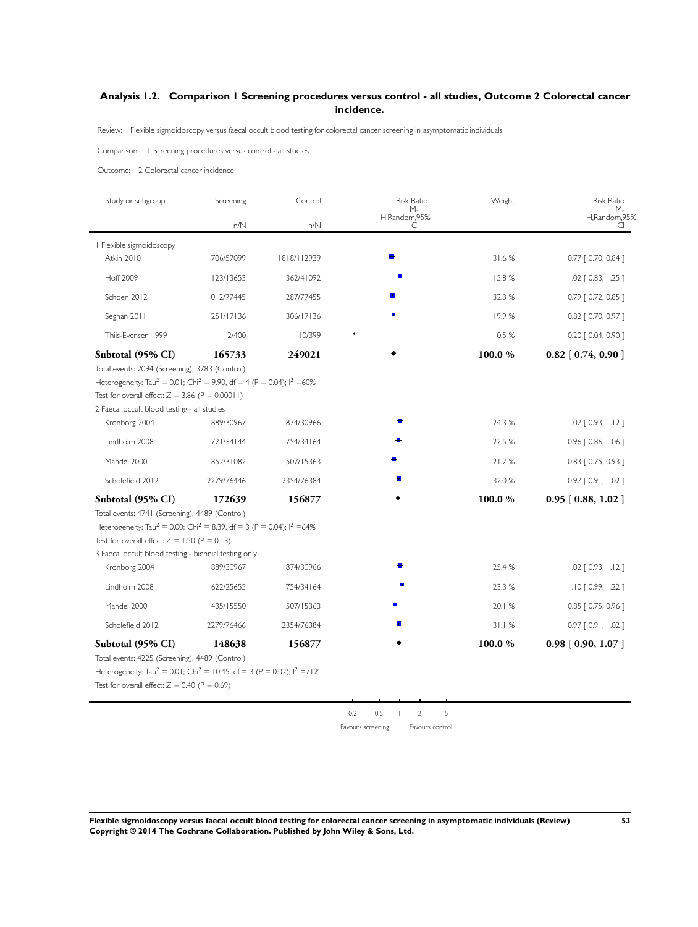## <span id="page-54-0"></span>**Analysis 1.2. Comparison 1 Screening procedures versus control - all studies, Outcome 2 Colorectal cancer incidence.**

Review: Flexible sigmoidoscopy versus faecal occult blood testing for colorectal cancer screening in asymptomatic individuals

Comparison: 1 Screening procedures versus control - all studies

Outcome: 2 Colorectal cancer incidence

| Study or subgroup                                                                                                                                                                                                                                              | Screening  | Control     | <b>Risk Ratio</b><br>$M -$        | Weight | <b>Risk Ratio</b><br>м-    |
|----------------------------------------------------------------------------------------------------------------------------------------------------------------------------------------------------------------------------------------------------------------|------------|-------------|-----------------------------------|--------|----------------------------|
|                                                                                                                                                                                                                                                                | n/N        | n/N         | H,Random,95%<br>C.                |        | H,Random,95%<br>CI.        |
| I Flexible sigmoidoscopy                                                                                                                                                                                                                                       |            |             |                                   |        |                            |
| Atkin 2010                                                                                                                                                                                                                                                     | 706/57099  | 1818/112939 | ₩                                 | 31.6%  | $0.77$ $[0.70, 0.84]$      |
| Hoff 2009                                                                                                                                                                                                                                                      | 123/13653  | 362/41092   |                                   | 15.8%  | $1.02$ [ 0.83, 1.25 ]      |
| Schoen 2012                                                                                                                                                                                                                                                    | 1012/77445 | 1287/77455  |                                   | 32.3 % | $0.79$ $[0.72, 0.85]$      |
| Segnan 2011                                                                                                                                                                                                                                                    | 251/17136  | 306/17136   |                                   | 19.9%  | 0.82 [ 0.70, 0.97 ]        |
| Thiis-Evensen 1999                                                                                                                                                                                                                                             | 2/400      | 10/399      |                                   | 0.5 %  | 0.20 [ 0.04, 0.90 ]        |
| Subtotal (95% CI)                                                                                                                                                                                                                                              | 165733     | 249021      |                                   | 100.0% | $0.82$ [ $0.74, 0.90$ ]    |
| Total events: 2094 (Screening), 3783 (Control)<br>Heterogeneity: Tau <sup>2</sup> = 0.01; Chi <sup>2</sup> = 9.90, df = 4 (P = 0.04); l <sup>2</sup> = 60%<br>Test for overall effect: $Z = 3.86$ (P = 0.00011)<br>2 Faecal occult blood testing - all studies |            |             |                                   |        |                            |
| Kronborg 2004                                                                                                                                                                                                                                                  | 889/30967  | 874/30966   |                                   | 24.3 % | $1.02$ [ 0.93, 1.12 ]      |
| Lindholm 2008                                                                                                                                                                                                                                                  | 721/34144  | 754/34164   |                                   | 22.5 % | 0.96 [ 0.86, 1.06 ]        |
| Mandel 2000                                                                                                                                                                                                                                                    | 852/31082  | 507/15363   |                                   | 21.2%  | $0.83$ [ 0.75, 0.93 ]      |
| Scholefield 2012                                                                                                                                                                                                                                               | 2279/76446 | 2354/76384  |                                   | 32.0%  | 0.97 [0.91, 1.02]          |
| Subtotal (95% CI)<br>Total events: 4741 (Screening), 4489 (Control)<br>Heterogeneity: Tau <sup>2</sup> = 0.00; Chi <sup>2</sup> = 8.39, df = 3 (P = 0.04); l <sup>2</sup> = 64%<br>Test for overall effect: $Z = 1.50$ (P = 0.13)                              | 172639     | 156877      |                                   | 100.0% | $0.95$ [ $0.88$ , $1.02$ ] |
| 3 Faecal occult blood testing - biennial testing only                                                                                                                                                                                                          |            |             |                                   |        |                            |
| Kronborg 2004                                                                                                                                                                                                                                                  | 889/30967  | 874/30966   |                                   | 25.4%  | $1.02$ $[0.93, 1.12]$      |
| Lindholm 2008                                                                                                                                                                                                                                                  | 622/25655  | 754/34164   |                                   | 23.3 % | $1.10$ $[0.99, 1.22]$      |
| Mandel 2000                                                                                                                                                                                                                                                    | 435/15550  | 507/15363   |                                   | 20.1 % | $0.85$ $[0.75, 0.96]$      |
| Scholefield 2012                                                                                                                                                                                                                                               | 2279/76466 | 2354/76384  |                                   | 31.1%  | $0.97$ $[0.91, 1.02]$      |
| Subtotal (95% CI)                                                                                                                                                                                                                                              | 148638     | 156877      |                                   | 100.0% | $0.98$ [ $0.90, 1.07$ ]    |
| Total events: 4225 (Screening), 4489 (Control)<br>Heterogeneity: Tau <sup>2</sup> = 0.01; Chi <sup>2</sup> = 10.45, df = 3 (P = 0.02); l <sup>2</sup> = 71%<br>Test for overall effect: $Z = 0.40$ (P = 0.69)                                                  |            |             |                                   |        |                            |
|                                                                                                                                                                                                                                                                |            |             | 0.5<br>$\overline{2}$<br>5<br>0.2 |        |                            |

Favours screening Favours control

**Flexible sigmoidoscopy versus faecal occult blood testing for colorectal cancer screening in asymptomatic individuals (Review) 53 Copyright © 2014 The Cochrane Collaboration. Published by John Wiley & Sons, Ltd.**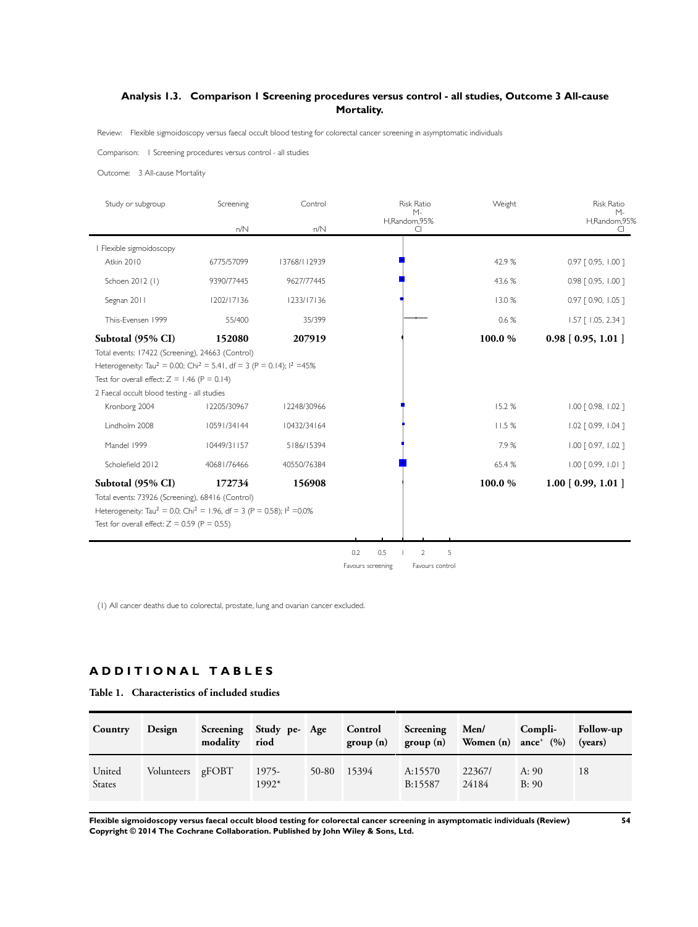## <span id="page-55-0"></span>**Analysis 1.3. Comparison 1 Screening procedures versus control - all studies, Outcome 3 All-cause Mortality.**

Review: Flexible sigmoidoscopy versus faecal occult blood testing for colorectal cancer screening in asymptomatic individuals

Comparison: 1 Screening procedures versus control - all studies

Outcome: 3 All-cause Mortality

| Study or subgroup                                                                                        | Screening   | Control      | <b>Risk Ratio</b><br>$M -$           | Weight | <b>Risk Ratio</b><br>М-  |
|----------------------------------------------------------------------------------------------------------|-------------|--------------|--------------------------------------|--------|--------------------------|
|                                                                                                          | n/N         | n/N          | H,Random,95%<br>CI.                  |        | H,Random,95%<br>C        |
| I Flexible sigmoidoscopy                                                                                 |             |              |                                      |        |                          |
| Atkin 2010                                                                                               | 6775/57099  | 13768/112939 |                                      | 42.9 % | 0.97 [0.95, 1.00]        |
| Schoen 2012 (1)                                                                                          | 9390/77445  | 9627/77445   |                                      | 43.6 % | 0.98 [ 0.95, 1.00 ]      |
| Segnan 2011                                                                                              | 1202/17136  | 1233/17136   |                                      | 13.0 % | 0.97 [0.90, 1.05]        |
| Thiis-Evensen 1999                                                                                       | 55/400      | 35/399       |                                      | 0.6 %  | $1.57$ [ $1.05$ , 2.34 ] |
| Subtotal (95% CI)                                                                                        | 152080      | 207919       |                                      | 100.0% | $0.98$ [ 0.95, 1.01 ]    |
| Total events: 17422 (Screening), 24663 (Control)                                                         |             |              |                                      |        |                          |
| Heterogeneity: Tau <sup>2</sup> = 0.00; Chi <sup>2</sup> = 5.41, df = 3 (P = 0.14); $1^2$ =45%           |             |              |                                      |        |                          |
| Test for overall effect: $Z = 1.46$ (P = 0.14)                                                           |             |              |                                      |        |                          |
| 2 Faecal occult blood testing - all studies                                                              |             |              |                                      |        |                          |
| Kronborg 2004                                                                                            | 12205/30967 | 12248/30966  |                                      | 15.2 % | 1.00 [ 0.98, 1.02 ]      |
| Lindholm 2008                                                                                            | 10591/34144 | 10432/34164  |                                      | 11.5%  | 1.02 [ 0.99, 1.04 ]      |
| Mandel 1999                                                                                              | 10449/31157 | 5186/15394   |                                      | 7.9%   | 1.00 [ 0.97, 1.02 ]      |
| Scholefield 2012                                                                                         | 40681/76466 | 40550/76384  |                                      | 65.4 % | $1.00$ $[0.99, 1.01]$    |
| Subtotal (95% CI)                                                                                        | 172734      | 156908       |                                      | 100.0% | $1.00$ [ 0.99, 1.01 ]    |
| Total events: 73926 (Screening), 68416 (Control)                                                         |             |              |                                      |        |                          |
| Heterogeneity: Tau <sup>2</sup> = 0.0; Chi <sup>2</sup> = 1.96, df = 3 (P = 0.58); l <sup>2</sup> = 0.0% |             |              |                                      |        |                          |
| Test for overall effect: $Z = 0.59$ (P = 0.55)                                                           |             |              |                                      |        |                          |
|                                                                                                          |             |              |                                      |        |                          |
|                                                                                                          |             |              | 0.2<br>0.5<br>$\overline{2}$<br>5    |        |                          |
|                                                                                                          |             |              | Favours screening<br>Favours control |        |                          |

(1) All cancer deaths due to colorectal, prostate, lung and ovarian cancer excluded.

## **A D D I T I O N A L T A B L E S**

|  | Table 1. Characteristics of included studies |  |  |
|--|----------------------------------------------|--|--|
|--|----------------------------------------------|--|--|

| Country                 | Design           | modality | Screening Study pe- Age<br>riod |           | Control<br>group(n) | Screening Men/<br>$\mathbf{group}(\mathbf{n})$ | <b>Women</b> $(n)$ ance <sup>+</sup> $(\%)$ | Compli-        | Follow-up<br>(vears) |
|-------------------------|------------------|----------|---------------------------------|-----------|---------------------|------------------------------------------------|---------------------------------------------|----------------|----------------------|
| United<br><b>States</b> | Volunteers gFOBT |          | 1975-<br>1992*                  | $50 - 80$ | 15394               | A:15570<br>B:15587                             | 22367/<br>24184                             | A: 90<br>B: 90 | 18                   |

**Flexible sigmoidoscopy versus faecal occult blood testing for colorectal cancer screening in asymptomatic individuals (Review) 54 Copyright © 2014 The Cochrane Collaboration. Published by John Wiley & Sons, Ltd.**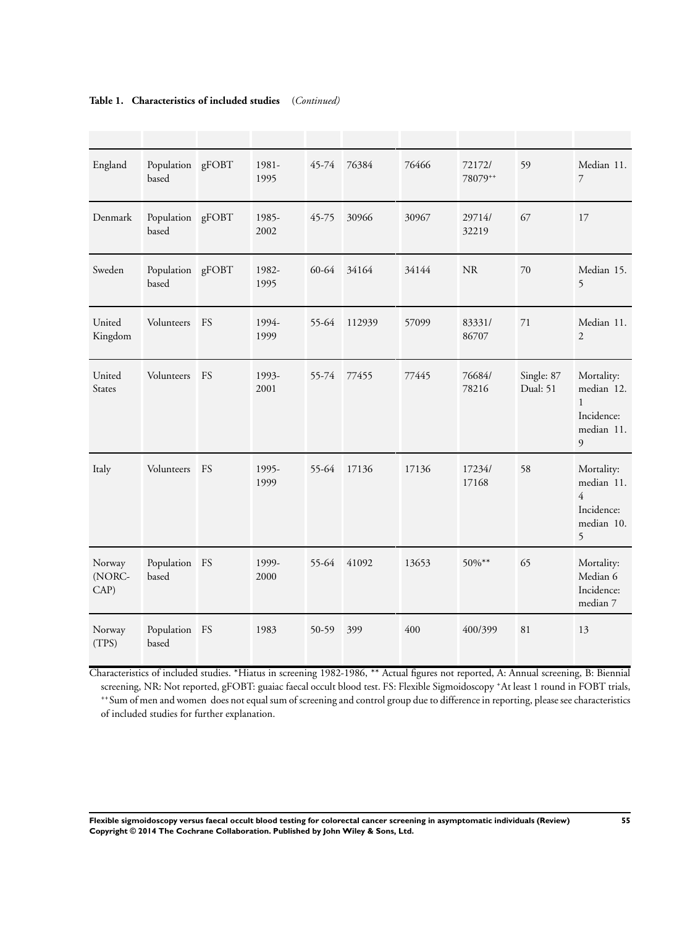| England                  | Population gFOBT<br>based |           | 1981-<br>1995 | 45-74 | 76384  | 76466 | 72172/<br>78079++ | 59                     | Median 11.<br>7                                                             |
|--------------------------|---------------------------|-----------|---------------|-------|--------|-------|-------------------|------------------------|-----------------------------------------------------------------------------|
| Denmark                  | Population gFOBT<br>based |           | 1985-<br>2002 | 45-75 | 30966  | 30967 | 29714/<br>32219   | 67                     | 17                                                                          |
| Sweden                   | Population gFOBT<br>based |           | 1982-<br>1995 | 60-64 | 34164  | 34144 | <b>NR</b>         | 70                     | Median 15.<br>5                                                             |
| United<br>Kingdom        | Volunteers                | <b>FS</b> | 1994-<br>1999 | 55-64 | 112939 | 57099 | 83331/<br>86707   | 71                     | Median 11.<br>$\sqrt{2}$                                                    |
| United<br><b>States</b>  | Volunteers                | <b>FS</b> | 1993-<br>2001 | 55-74 | 77455  | 77445 | 76684/<br>78216   | Single: 87<br>Dual: 51 | Mortality:<br>median 12.<br>$\mathbf{1}$<br>Incidence:<br>median 11.<br>9   |
| Italy                    | Volunteers                | FS        | 1995-<br>1999 | 55-64 | 17136  | 17136 | 17234/<br>17168   | 58                     | Mortality:<br>median 11.<br>$\overline{4}$<br>Incidence:<br>median 10.<br>5 |
| Norway<br>(NORC-<br>CAP) | Population FS<br>based    |           | 1999-<br>2000 | 55-64 | 41092  | 13653 | 50%**             | 65                     | Mortality:<br>Median 6<br>Incidence:<br>median 7                            |
| Norway<br>(TPS)          | Population FS<br>based    |           | 1983          | 50-59 | 399    | 400   | 400/399           | 81                     | 13                                                                          |

### <span id="page-56-0"></span>**Table 1. Characteristics of included studies** (*Continued)*

Characteristics of included studies. \*Hiatus in screening 1982-1986, \*\* Actual figures not reported, A: Annual screening, B: Biennial screening, NR: Not reported, gFOBT: guaiac faecal occult blood test. FS: Flexible Sigmoidoscopy <sup>+</sup>At least 1 round in FOBT trials, ++Sum of men and women does not equal sum of screening and control group due to difference in reporting, please see characteristics of included studies for further explanation.

**Flexible sigmoidoscopy versus faecal occult blood testing for colorectal cancer screening in asymptomatic individuals (Review) 55 Copyright © 2014 The Cochrane Collaboration. Published by John Wiley & Sons, Ltd.**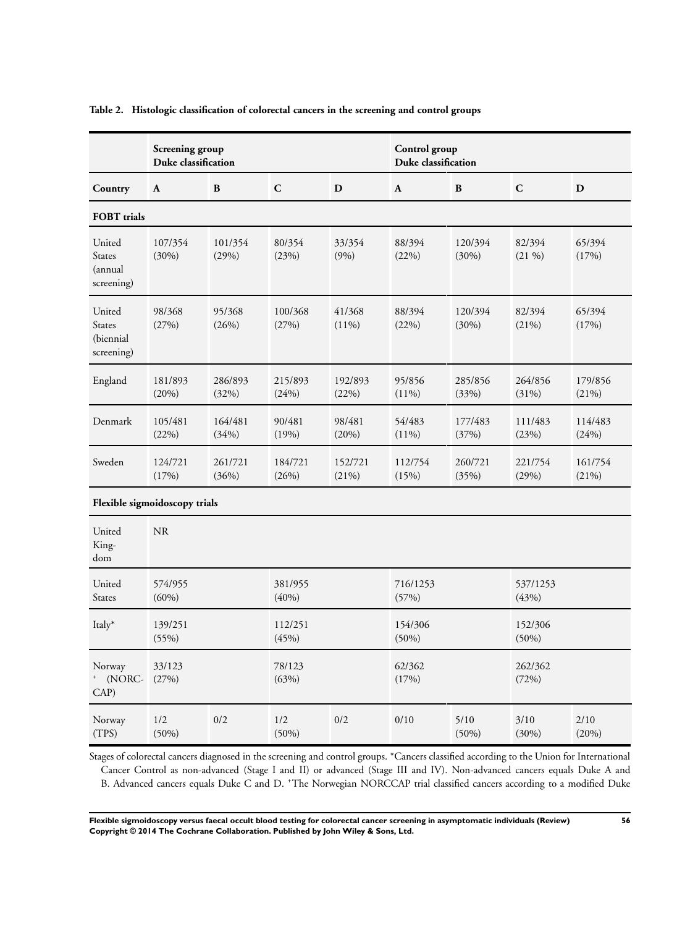|                                             | Screening group<br>Duke classification |                  |                     |                    | Control group<br>Duke classification |                     |                     |                  |  |
|---------------------------------------------|----------------------------------------|------------------|---------------------|--------------------|--------------------------------------|---------------------|---------------------|------------------|--|
| Country                                     | $\mathbf{A}$                           | B                | $\mathbf C$         | D                  | $\mathbf{A}$                         | B                   | $\mathbf C$         | D                |  |
| <b>FOBT</b> trials                          |                                        |                  |                     |                    |                                      |                     |                     |                  |  |
| United<br>States<br>(annual<br>screening)   | 107/354<br>$(30\%)$                    | 101/354<br>(29%) | 80/354<br>(23%)     | 33/354<br>(9%)     | 88/394<br>(22%)                      | 120/394<br>$(30\%)$ | 82/394<br>$(21 \%)$ | 65/394<br>(17%)  |  |
| United<br>States<br>(biennial<br>screening) | 98/368<br>(27%)                        | 95/368<br>(26%)  | 100/368<br>(27%)    | 41/368<br>$(11\%)$ | 88/394<br>(22%)                      | 120/394<br>(30%)    | 82/394<br>(21%)     | 65/394<br>(17%)  |  |
| England                                     | 181/893<br>(20%)                       | 286/893<br>(32%) | 215/893<br>(24%)    | 192/893<br>(22%)   | 95/856<br>$(11\%)$                   | 285/856<br>(33%)    | 264/856<br>(31%)    | 179/856<br>(21%) |  |
| Denmark                                     | 105/481<br>(22%)                       | 164/481<br>(34%) | 90/481<br>(19%)     | 98/481<br>(20%)    | 54/483<br>$(11\%)$                   | 177/483<br>(37%)    | 111/483<br>(23%)    | 114/483<br>(24%) |  |
| Sweden                                      | 124/721<br>(17%)                       | 261/721<br>(36%) | 184/721<br>(26%)    | 152/721<br>(21%)   | 112/754<br>(15%)                     | 260/721<br>(35%)    | 221/754<br>(29%)    | 161/754<br>(21%) |  |
| Flexible sigmoidoscopy trials               |                                        |                  |                     |                    |                                      |                     |                     |                  |  |
| United<br>King-<br>dom                      | NR                                     |                  |                     |                    |                                      |                     |                     |                  |  |
| United<br>States                            | 574/955<br>$(60\%)$                    |                  | 381/955<br>$(40\%)$ |                    | 716/1253<br>(57%)                    |                     | 537/1253<br>(43%)   |                  |  |
| Italy*                                      | 139/251<br>(55%)                       |                  |                     |                    | 154/306<br>$(50\%)$                  |                     | 152/306<br>$(50\%)$ |                  |  |
| Norway<br>+ (NORC-<br>CAP)                  | 33/123<br>(27%)                        |                  | 78/123<br>(63%)     |                    |                                      | 62/362<br>(17%)     |                     | 262/362<br>(72%) |  |
| Norway<br>(TPS)                             | 1/2<br>(50%)                           | $0/2$            | 1/2<br>(50%)        | $0/2$              | $0/10$                               | $5/10$<br>(50%)     | 3/10<br>(30%)       | 2/10<br>(20%)    |  |

### **Table 2. Histologic classification of colorectal cancers in the screening and control groups**

Stages of colorectal cancers diagnosed in the screening and control groups. \*Cancers classified according to the Union for International Cancer Control as non-advanced (Stage I and II) or advanced (Stage III and IV). Non-advanced cancers equals Duke A and B. Advanced cancers equals Duke C and D. <sup>+</sup>The Norwegian NORCCAP trial classified cancers according to a modified Duke

**Flexible sigmoidoscopy versus faecal occult blood testing for colorectal cancer screening in asymptomatic individuals (Review) 56 Copyright © 2014 The Cochrane Collaboration. Published by John Wiley & Sons, Ltd.**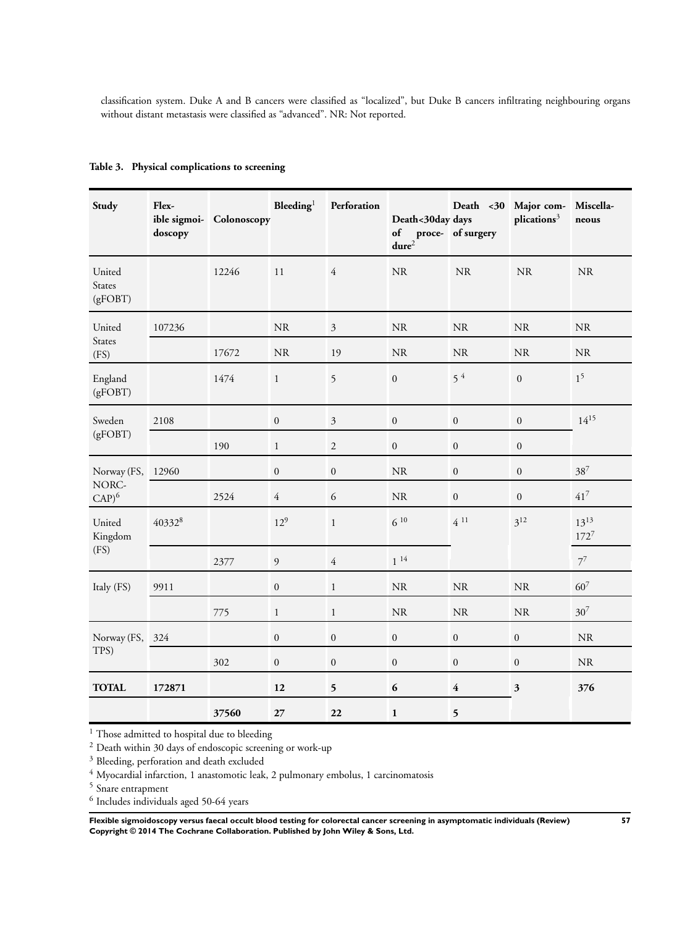<span id="page-58-0"></span>classification system. Duke A and B cancers were classified as "localized", but Duke B cancers infiltrating neighbouring organs without distant metastasis were classified as "advanced". NR: Not reported.

| Study                       | Flex-<br>doscopy | ible sigmoi- Colonoscopy | $B$ leeding <sup>1</sup> | Perforation      | Death<30day days<br>of proce- of surgery<br>$dure2$ |                  | Death <30 Major com- Miscella-<br>plications <sup>3</sup> | neous                  |
|-----------------------------|------------------|--------------------------|--------------------------|------------------|-----------------------------------------------------|------------------|-----------------------------------------------------------|------------------------|
| United<br>States<br>(gFOBT) |                  | 12246                    | 11                       | $\overline{4}$   | NR                                                  | $\rm NR$         | $\rm NR$                                                  | <b>NR</b>              |
| United                      | 107236           |                          | <b>NR</b>                | $\mathfrak{Z}$   | <b>NR</b>                                           | <b>NR</b>        | <b>NR</b>                                                 | <b>NR</b>              |
| States<br>(FS)              |                  | 17672                    | $\rm NR$                 | 19               | <b>NR</b>                                           | <b>NR</b>        | <b>NR</b>                                                 | <b>NR</b>              |
| England<br>(gFOBT)          |                  | 1474                     | $\mathbf{1}$             | 5                | $\boldsymbol{0}$                                    | 5 <sup>4</sup>   | $\mathbf{0}$                                              | 1 <sup>5</sup>         |
| Sweden                      | 2108             |                          | $\boldsymbol{0}$         | $\mathfrak{Z}$   | $\boldsymbol{0}$                                    | $\boldsymbol{0}$ | $\boldsymbol{0}$                                          | $14^{15}$              |
| (gFOBT)                     |                  | 190                      | $1\,$                    | $\sqrt{2}$       | $\boldsymbol{0}$                                    | $\boldsymbol{0}$ | $\boldsymbol{0}$                                          |                        |
| Norway (FS, 12960           |                  |                          | $\boldsymbol{0}$         | $\boldsymbol{0}$ | $\rm NR$                                            | $\boldsymbol{0}$ | $\boldsymbol{0}$                                          | $38^{7}$               |
| NORC-<br>$CAP)^6$           |                  | 2524                     | $\sqrt{4}$               | $\sqrt{6}$       | $\rm NR$                                            | $\boldsymbol{0}$ | $\boldsymbol{0}$                                          | $41^{7}$               |
| United<br>Kingdom           | 403328           |                          | $12^{9}$                 | $\mathbf{1}$     | $6^{10}$                                            | $4^{11}$         | $3^{12}$                                                  | $13^{13}$<br>$172^{7}$ |
| (FS)                        |                  | 2377                     | 9                        | $\overline{4}$   | $1^{14}$                                            |                  |                                                           | $7^7$                  |
| Italy (FS)                  | 9911             |                          | $\boldsymbol{0}$         | $\,1\,$          | $\rm NR$                                            | $\rm NR$         | $\rm NR$                                                  | $607$                  |
|                             |                  | 775                      | $\mathbf{1}$             | $\mathbf{1}$     | $\rm NR$                                            | <b>NR</b>        | <b>NR</b>                                                 | 30 <sup>7</sup>        |
| Norway (FS, 324             |                  |                          | $\mathbf{0}$             | $\boldsymbol{0}$ | $\boldsymbol{0}$                                    | $\boldsymbol{0}$ | $\boldsymbol{0}$                                          | <b>NR</b>              |
| TPS)                        |                  | 302                      | $\boldsymbol{0}$         | $\boldsymbol{0}$ | $\boldsymbol{0}$                                    | $\boldsymbol{0}$ | $\boldsymbol{0}$                                          | <b>NR</b>              |
| <b>TOTAL</b>                | 172871           |                          | 12                       | 5                | $\boldsymbol{6}$                                    | $\overline{4}$   | $\mathfrak{z}$                                            | 376                    |
|                             |                  | 37560                    | 27                       | 22               | $\mathbf{1}$                                        | 5                |                                                           |                        |

### **Table 3. Physical complications to screening**

<sup>1</sup> Those admitted to hospital due to bleeding

 $2$  Death within 30 days of endoscopic screening or work-up

<sup>3</sup> Bleeding, perforation and death excluded

<sup>4</sup> Myocardial infarction, 1 anastomotic leak, 2 pulmonary embolus, 1 carcinomatosis

<sup>5</sup> Snare entrapment<br><sup>6</sup> Includes individuals aged 50-64 years

**Flexible sigmoidoscopy versus faecal occult blood testing for colorectal cancer screening in asymptomatic individuals (Review) 57 Copyright © 2014 The Cochrane Collaboration. Published by John Wiley & Sons, Ltd.**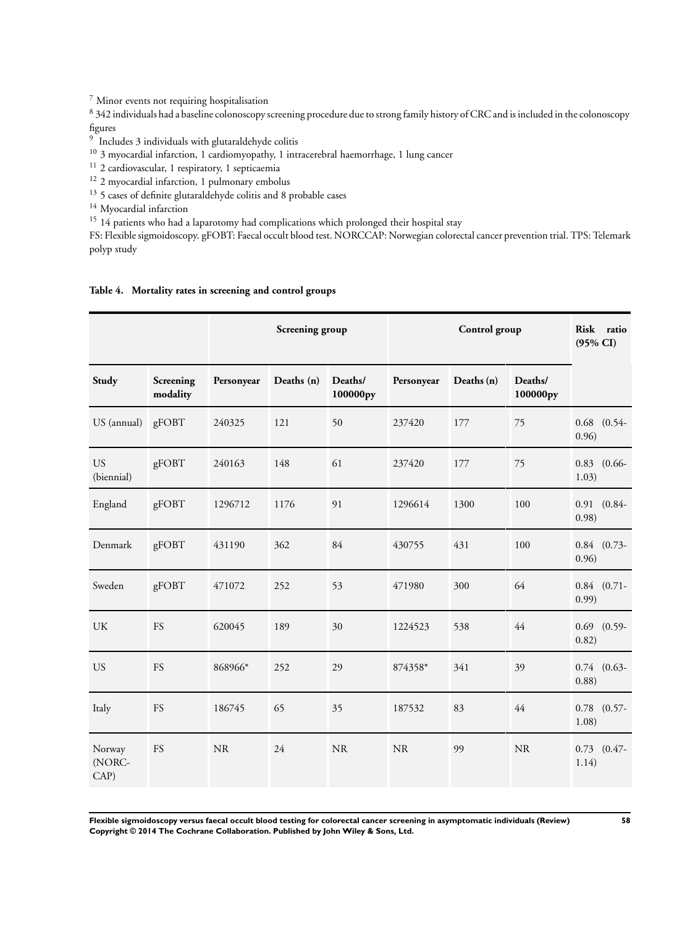<span id="page-59-0"></span><sup>7</sup> Minor events not requiring hospitalisation

8 342 individuals had a baseline colonoscopy screening procedure due to strong family history of CRC and is included in the colonoscopy figures

9 Includes 3 individuals with glutaraldehyde colitis

 $10\,$  3 myocardial infarction, 1 cardiomyopathy, 1 intracerebral haemorrhage, 1 lung cancer

- <sup>11</sup> 2 cardiovascular, 1 respiratory, 1 septicaemia
- $12$  2 myocardial infarction, 1 pulmonary embolus
- $13\,$  5 cases of definite glutaraldehyde colitis and 8 probable cases

<sup>14</sup> Myocardial infarction

<sup>15</sup> 14 patients who had a laparotomy had complications which prolonged their hospital stay

FS: Flexible sigmoidoscopy. gFOBT: Faecal occult blood test. NORCCAP: Norwegian colorectal cancer prevention trial. TPS: Telemark polyp study

|                                 |                       |            | Screening group |                     |            | Control group | Risk ratio<br>(95% CI) |                            |
|---------------------------------|-----------------------|------------|-----------------|---------------------|------------|---------------|------------------------|----------------------------|
| Study                           | Screening<br>modality | Personyear | Deaths (n)      | Deaths/<br>100000py | Personyear | Deaths (n)    | Deaths/<br>100000py    |                            |
| US (annual) gFOBT               |                       | 240325     | 121             | 50                  | 237420     | 177           | 75                     | $0.68$ $(0.54 -$<br>0.96   |
| <b>US</b><br>(biennial)         | gFOBT                 | 240163     | 148             | 61                  | 237420     | 177           | 75                     | $0.83$ $(0.66 -$<br>1.03)  |
| England                         | gFOBT                 | 1296712    | 1176            | 91                  | 1296614    | 1300          | 100                    | 0.91 (0.84-<br>0.98)       |
| Denmark                         | gFOBT                 | 431190     | 362             | 84                  | 430755     | 431           | 100                    | 0.84 (0.73-<br>0.96        |
| Sweden                          | gFOBT                 | 471072     | 252             | 53                  | 471980     | 300           | 64                     | $0.84$ $(0.71 -$<br>0.99)  |
| $\ensuremath{\text{UK}}\xspace$ | <b>FS</b>             | 620045     | 189             | 30                  | 1224523    | 538           | 44                     | $0.69$ $(0.59 -$<br>0.82)  |
| US                              | FS                    | 868966*    | 252             | 29                  | 874358*    | 341           | 39                     | $0.74$ $(0.63 -$<br>(0.88) |
| Italy                           | FS                    | 186745     | 65              | 35                  | 187532     | 83            | $44\,$                 | $0.78$ $(0.57 -$<br>1.08)  |
| Norway<br>(NORC-<br>CAP)        | <b>FS</b>             | $\rm NR$   | 24              | <b>NR</b>           | NR         | 99            | <b>NR</b>              | $0.73$ $(0.47 -$<br>1.14)  |

## **Table 4. Mortality rates in screening and control groups**

**Flexible sigmoidoscopy versus faecal occult blood testing for colorectal cancer screening in asymptomatic individuals (Review) 58 Copyright © 2014 The Cochrane Collaboration. Published by John Wiley & Sons, Ltd.**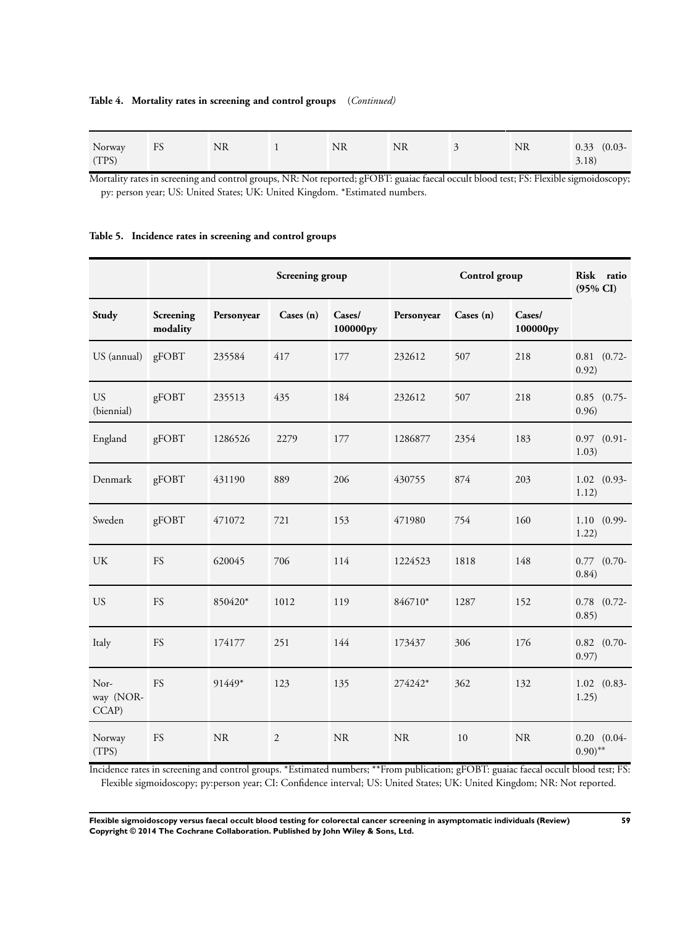## <span id="page-60-0"></span>**Table 4. Mortality rates in screening and control groups** (*Continued)*

| Norway<br>(TPS) | FS | NR | NR | NR | NR | $0.33$ $(0.03 -$<br>3.18) |
|-----------------|----|----|----|----|----|---------------------------|
|                 |    |    |    |    |    |                           |

Mortality rates in screening and control groups, NR: Not reported; gFOBT: guaiac faecal occult blood test; FS: Flexible sigmoidoscopy; py: person year; US: United States; UK: United Kingdom. \*Estimated numbers.

### **Table 5. Incidence rates in screening and control groups**

|                            |                       |            | Screening group |                    | Control group |             |                    | Risk ratio<br>(95% CI)          |
|----------------------------|-----------------------|------------|-----------------|--------------------|---------------|-------------|--------------------|---------------------------------|
| Study                      | Screening<br>modality | Personyear | Cases $(n)$     | Cases/<br>100000py | Personyear    | Cases $(n)$ | Cases/<br>100000py |                                 |
| US (annual) gFOBT          |                       | 235584     | 417             | 177                | 232612        | 507         | 218                | $0.81$ $(0.72 -$<br>0.92)       |
| <b>US</b><br>(biennial)    | gFOBT                 | 235513     | 435             | 184                | 232612        | 507         | 218                | $0.85$ $(0.75 -$<br>0.96)       |
| England                    | gFOBT                 | 1286526    | 2279            | 177                | 1286877       | 2354        | 183                | $0.97$ $(0.91 -$<br>1.03)       |
| Denmark                    | gFOBT                 | 431190     | 889             | 206                | 430755        | 874         | 203                | $1.02 \quad (0.93$<br>1.12)     |
| Sweden                     | gFOBT                 | 471072     | 721             | 153                | 471980        | 754         | 160                | 1.10 (0.99-<br>1.22)            |
| UK                         | <b>FS</b>             | 620045     | 706             | 114                | 1224523       | 1818        | 148                | $0.77$ $(0.70-$<br>0.84)        |
| US                         | <b>FS</b>             | 850420*    | 1012            | 119                | 846710*       | 1287        | 152                | 0.78 (0.72-<br>0.85)            |
| Italy                      | FS                    | 174177     | 251             | 144                | 173437        | 306         | 176                | $0.82$ $(0.70 -$<br>0.97)       |
| Nor-<br>way (NOR-<br>CCAP) | <b>FS</b>             | 91449*     | 123             | 135                | 274242*       | 362         | 132                | $1.02$ $(0.83 -$<br>1.25)       |
| Norway<br>(TPS)            | FS                    | <b>NR</b>  | $\sqrt{2}$      | <b>NR</b>          | <b>NR</b>     | 10          | $\rm NR$           | $0.20$ $(0.04 -$<br>$(0.90)$ ** |

Incidence rates in screening and control groups. \*Estimated numbers; \*\*From publication; gFOBT: guaiac faecal occult blood test; FS: Flexible sigmoidoscopy; py:person year; CI: Confidence interval; US: United States; UK: United Kingdom; NR: Not reported.

**Flexible sigmoidoscopy versus faecal occult blood testing for colorectal cancer screening in asymptomatic individuals (Review) 59 Copyright © 2014 The Cochrane Collaboration. Published by John Wiley & Sons, Ltd.**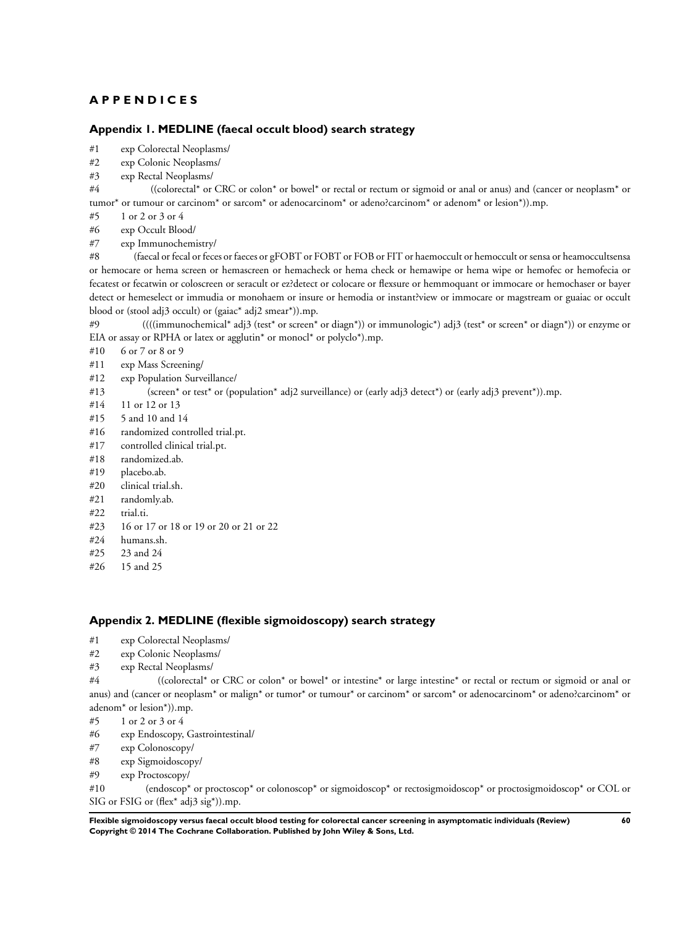## <span id="page-61-0"></span>**A P P E N D I C E S**

### **Appendix 1. MEDLINE (faecal occult blood) search strategy**

- #1 exp Colorectal Neoplasms/
- #2 exp Colonic Neoplasms/
- #3 exp Rectal Neoplasms/

#4 ((colorectal\* or CRC or colon\* or bowel\* or rectal or rectum or sigmoid or anal or anus) and (cancer or neoplasm\* or tumor\* or tumour or carcinom\* or sarcom\* or adenocarcinom\* or adeno?carcinom\* or adenom\* or lesion\*)).mp.

- #5 1 or 2 or 3 or 4
- #6 exp Occult Blood/
- #7 exp Immunochemistry/

#8 (faecal or fecal or feces or faeces or gFOBT or FOBT or FOB or FIT or haemoccult or hemoccult or sensa or heamoccultsensa or hemocare or hema screen or hemascreen or hemacheck or hema check or hemawipe or hema wipe or hemofec or hemofecia or fecatest or fecatwin or coloscreen or seracult or ez?detect or colocare or flexsure or hemmoquant or immocare or hemochaser or bayer detect or hemeselect or immudia or monohaem or insure or hemodia or instant?view or immocare or magstream or guaiac or occult blood or (stool adj3 occult) or (gaiac\* adj2 smear\*)).mp.

#9 ((((immunochemical\* adj3 (test\* or screen\* or diagn\*)) or immunologic\*) adj3 (test\* or screen\* or diagn\*)) or enzyme or EIA or assay or RPHA or latex or agglutin\* or monocl\* or polyclo\*).mp.

#10 6 or 7 or 8 or 9

#11 exp Mass Screening/

- #12 exp Population Surveillance/
- #13 (screen\* or test\* or (population\* adj2 surveillance) or (early adj3 detect\*) or (early adj3 prevent\*)).mp.
- #14 11 or 12 or 13
- #15 5 and 10 and 14
- #16 randomized controlled trial.pt.
- #17 controlled clinical trial.pt.
- #18 randomized.ab.
- #19 placebo.ab.
- #20 clinical trial.sh.
- #21 randomly.ab.
- #22 trial.ti.
- #23 16 or 17 or 18 or 19 or 20 or 21 or 22
- #24 humans.sh.
- #25 23 and 24
- #26 15 and 25

### **Appendix 2. MEDLINE (flexible sigmoidoscopy) search strategy**

- #1 exp Colorectal Neoplasms/
- #2 exp Colonic Neoplasms/
- #3 exp Rectal Neoplasms/

#4 ((colorectal\* or CRC or colon\* or bowel\* or intestine\* or large intestine\* or rectal or rectum or sigmoid or anal or anus) and (cancer or neoplasm<sup>\*</sup> or malign<sup>\*</sup> or tumor<sup>\*</sup> or tumour<sup>\*</sup> or carcinom<sup>\*</sup> or sarcom<sup>\*</sup> or adenocarcinom<sup>\*</sup> or adeno?carcinom<sup>\*</sup> or adenom\* or lesion\*)).mp.

- $#5$  1 or 2 or 3 or 4
- #6 exp Endoscopy, Gastrointestinal/
- #7 exp Colonoscopy/
- #8 exp Sigmoidoscopy/
- #9 exp Proctoscopy/

#10 (endoscop\* or proctoscop\* or colonoscop\* or sigmoidoscop\* or rectosigmoidoscop\* or proctosigmoidoscop\* or COL or SIG or FSIG or (flex\* adj3 sig\*)).mp.

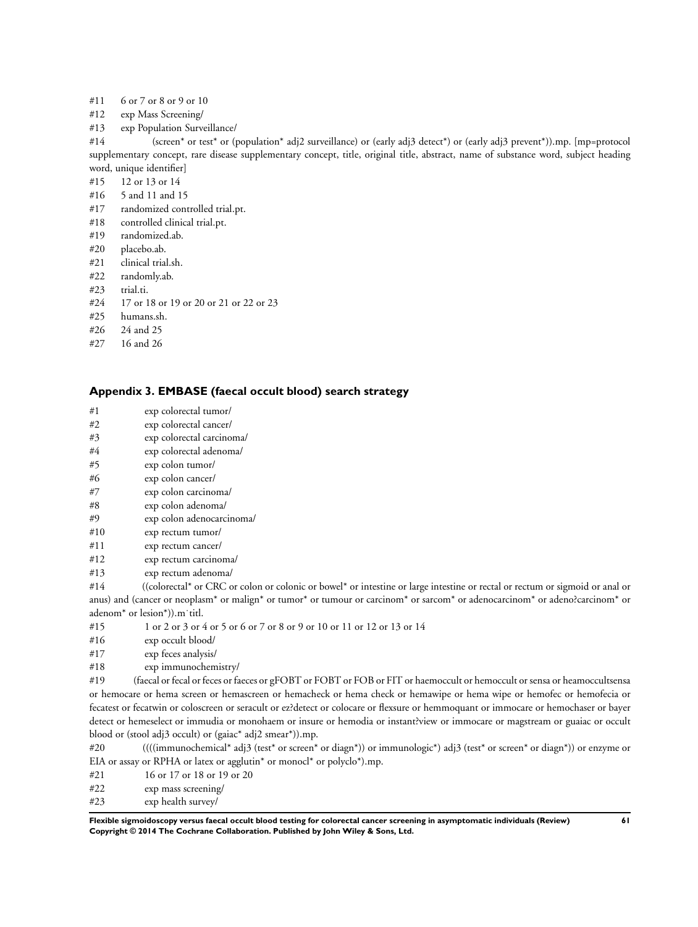- <span id="page-62-0"></span>#11 6 or 7 or 8 or 9 or 10
- #12 exp Mass Screening/
- #13 exp Population Surveillance/

#14 (screen\* or test\* or (population\* adj2 surveillance) or (early adj3 detect\*) or (early adj3 prevent\*)).mp. [mp=protocol supplementary concept, rare disease supplementary concept, title, original title, abstract, name of substance word, subject heading word, unique identifierl

#15 12 or 13 or 14

- #16 5 and 11 and 15
- #17 randomized controlled trial.pt.
- #18 controlled clinical trial.pt.
- #19 randomized.ab.
- #20 placebo.ab.
- #21 clinical trial.sh.
- #22 randomly.ab.
- #23 trial.ti.
- #24 17 or 18 or 19 or 20 or 21 or 22 or 23
- $#25$  humans sh.
- #26 24 and 25
- #27 16 and 26

### **Appendix 3. EMBASE (faecal occult blood) search strategy**

- #1 exp colorectal tumor/
- #2 exp colorectal cancer/
- #3 exp colorectal carcinoma/
- #4 exp colorectal adenoma/
- #5 exp colon tumor/
- #6 exp colon cancer/
- #7 exp colon carcinoma/
- #8 exp colon adenoma/
- #9 exp colon adenocarcinoma/
- #10 exp rectum tumor/
- #11 exp rectum cancer/
- #12 exp rectum carcinoma/
- #13 exp rectum adenoma/

#14 ((colorectal\* or CRC or colon or colonic or bowel\* or intestine or large intestine or rectal or rectum or sigmoid or anal or anus) and (cancer or neoplasm<sup>\*</sup> or malign<sup>\*</sup> or tumor<sup>\*</sup> or tumour or carcinom<sup>\*</sup> or sarcom<sup>\*</sup> or adenocarcinom<sup>\*</sup> or adeno?carcinom<sup>\*</sup> or adenom\* or lesion\*)).m˙titl.

#15 1 or 2 or 3 or 4 or 5 or 6 or 7 or 8 or 9 or 10 or 11 or 12 or 13 or 14

- #16 exp occult blood/
- #17 exp feces analysis/
- #18 exp immunochemistry/

#19 (faecal or fecal or feces or faeces or gFOBT or FOBT or FOB or FIT or haemoccult or hemoccult or sensa or heamoccultsensa or hemocare or hema screen or hemascreen or hemacheck or hema check or hemawipe or hema wipe or hemofec or hemofecia or fecatest or fecatwin or coloscreen or seracult or ez?detect or colocare or flexsure or hemmoquant or immocare or hemochaser or bayer detect or hemeselect or immudia or monohaem or insure or hemodia or instant?view or immocare or magstream or guaiac or occult blood or (stool adj3 occult) or (gaiac\* adj2 smear\*)).mp.

#20 ((((immunochemical\* adj3 (test\* or screen\* or diagn\*)) or immunologic\*) adj3 (test\* or screen\* or diagn\*)) or enzyme or EIA or assay or RPHA or latex or agglutin\* or monocl\* or polyclo\*).mp.

- #21 16 or 17 or 18 or 19 or 20
- #22 exp mass screening/
- #23 exp health survey/

**Flexible sigmoidoscopy versus faecal occult blood testing for colorectal cancer screening in asymptomatic individuals (Review) 61 Copyright © 2014 The Cochrane Collaboration. Published by John Wiley & Sons, Ltd.**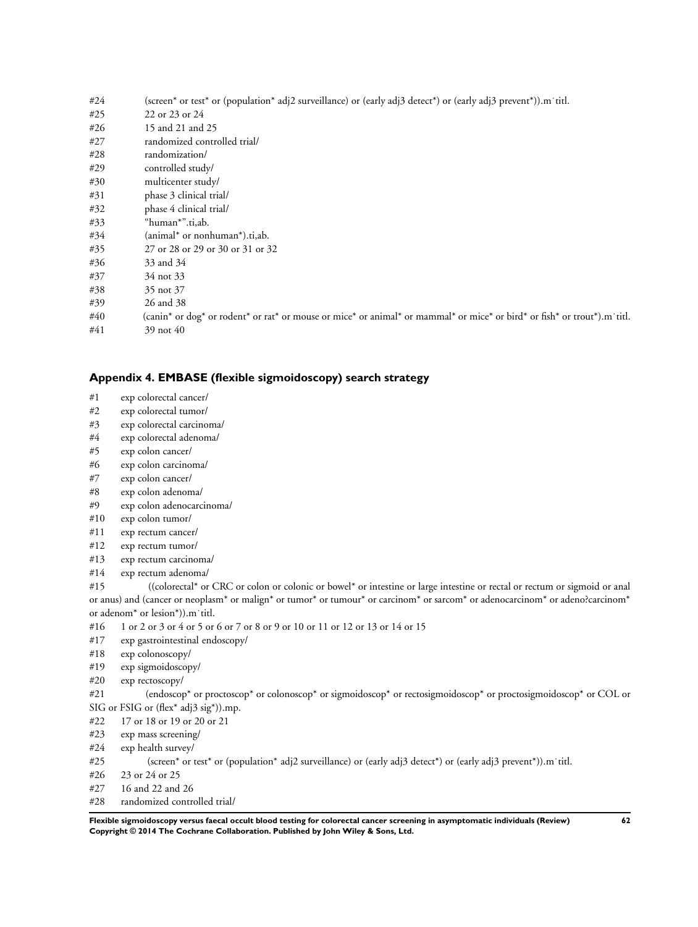<span id="page-63-0"></span>

| #24 | (screen* or test* or (population* adj2 surveillance) or (early adj3 detect*) or (early adj3 prevent*)).m titl.           |
|-----|--------------------------------------------------------------------------------------------------------------------------|
| #25 | 22 or 23 or 24                                                                                                           |
| #26 | 15 and 21 and 25                                                                                                         |
| #27 | randomized controlled trial/                                                                                             |
| #28 | randomization/                                                                                                           |
| #29 | controlled study/                                                                                                        |
| #30 | multicenter study/                                                                                                       |
| #31 | phase 3 clinical trial/                                                                                                  |
| #32 | phase 4 clinical trial/                                                                                                  |
| #33 | "human*".ti,ab.                                                                                                          |
| #34 | $(animal* or nonhuman*).ti, ab.$                                                                                         |
| #35 | 27 or 28 or 29 or 30 or 31 or 32                                                                                         |
| #36 | 33 and 34                                                                                                                |
| #37 | 34 not 33                                                                                                                |
| #38 | 35 not 37                                                                                                                |
| #39 | 26 and 38                                                                                                                |
| #40 | (canin* or dog* or rodent* or rat* or mouse or mice* or animal* or mammal* or mice* or bird* or fish* or trout*).m titl. |
| #41 | 39 not 40                                                                                                                |
|     |                                                                                                                          |

## **Appendix 4. EMBASE (flexible sigmoidoscopy) search strategy**

- #1 exp colorectal cancer/
- #2 exp colorectal tumor/
- #3 exp colorectal carcinoma/
- #4 exp colorectal adenoma/
- #5 exp colon cancer/
- #6 exp colon carcinoma/
- #7 exp colon cancer/
- #8 exp colon adenoma/
- #9 exp colon adenocarcinoma/
- #10 exp colon tumor/
- #11 exp rectum cancer/
- #12 exp rectum tumor/
- #13 exp rectum carcinoma/
- #14 exp rectum adenoma/

#15 ((colorectal\* or CRC or colon or colonic or bowel\* or intestine or large intestine or rectal or rectum or sigmoid or anal or anus) and (cancer or neoplasm\* or malign\* or tumor\* or tumour\* or carcinom\* or sarcom\* or adenocarcinom\* or adeno?carcinom\* or adenom\* or lesion\*)).m˙titl.

- #16 1 or 2 or 3 or 4 or 5 or 6 or 7 or 8 or 9 or 10 or 11 or 12 or 13 or 14 or 15
- #17 exp gastrointestinal endoscopy/
- #18 exp colonoscopy/
- #19 exp sigmoidoscopy/
- #20 exp rectoscopy/
- #21 (endoscop\* or proctoscop\* or colonoscop\* or sigmoidoscop\* or rectosigmoidoscop\* or proctosigmoidoscop\* or COL or SIG or FSIG or (flex\* adj3 sig\*)).mp.
- #22 17 or 18 or 19 or 20 or 21
- #23 exp mass screening/
- 
- $#24$  exp health survey/<br> $#25$  (screen\* or #25 (screen\* or test\* or (population\* adj2 surveillance) or (early adj3 detect\*) or (early adj3 prevent\*)).m˙titl.
- #26 23 or 24 or 25
- #27 16 and 22 and 26
- #28 randomized controlled trial/

**Flexible sigmoidoscopy versus faecal occult blood testing for colorectal cancer screening in asymptomatic individuals (Review) 62 Copyright © 2014 The Cochrane Collaboration. Published by John Wiley & Sons, Ltd.**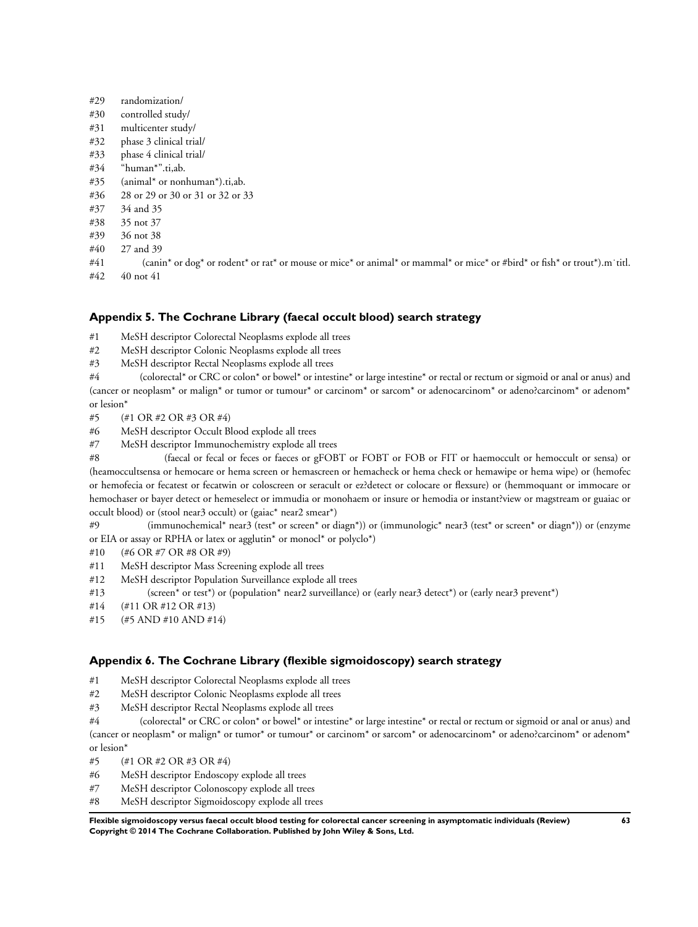- <span id="page-64-0"></span>#29 randomization/
- #30 controlled study/
- #31 multicenter study/
- #32 phase 3 clinical trial/
- #33 phase 4 clinical trial/
- #34 "human\*".ti,ab.
- #35 (animal\* or nonhuman\*).ti,ab.
- #36 28 or 29 or 30 or 31 or 32 or 33
- #37 34 and 35
- #38 35 not 37
- #39 36 not 38
- #40 27 and 39
- #41 (canin\* or dog\* or rodent\* or rat\* or mouse or mice\* or animal\* or mammal\* or mice\* or #bird\* or fish\* or trout\*).m˙titl.
- #42 40 not 41

## **Appendix 5. The Cochrane Library (faecal occult blood) search strategy**

- #1 MeSH descriptor Colorectal Neoplasms explode all trees
- #2 MeSH descriptor Colonic Neoplasms explode all trees
- #3 MeSH descriptor Rectal Neoplasms explode all trees

#4 (colorectal\* or CRC or colon\* or bowel\* or intestine\* or large intestine\* or rectal or rectum or sigmoid or anal or anus) and (cancer or neoplasm\* or malign\* or tumor or tumour\* or carcinom\* or sarcom\* or adenocarcinom\* or adeno?carcinom\* or adenom\* or lesion\*

- #5 (#1 OR #2 OR #3 OR #4)
- #6 MeSH descriptor Occult Blood explode all trees
- #7 MeSH descriptor Immunochemistry explode all trees

#8 (faecal or fecal or feces or faeces or gFOBT or FOBT or FOB or FIT or haemoccult or hemoccult or sensa) or (heamoccultsensa or hemocare or hema screen or hemascreen or hemacheck or hema check or hemawipe or hema wipe) or (hemofec or hemofecia or fecatest or fecatwin or coloscreen or seracult or ez?detect or colocare or flexsure) or (hemmoquant or immocare or hemochaser or bayer detect or hemeselect or immudia or monohaem or insure or hemodia or instant?view or magstream or guaiac or occult blood) or (stool near3 occult) or (gaiac\* near2 smear\*)

#9 (immunochemical\* near3 (test\* or screen\* or diagn\*)) or (immunologic\* near3 (test\* or screen\* or diagn\*)) or (enzyme or EIA or assay or RPHA or latex or agglutin\* or monocl\* or polyclo\*)

- #10 (#6 OR #7 OR #8 OR #9)
- #11 MeSH descriptor Mass Screening explode all trees
- #12 MeSH descriptor Population Surveillance explode all trees
- #13 (screen\* or test\*) or (population\* near2 surveillance) or (early near3 detect\*) or (early near3 prevent\*)
- #14 (#11 OR #12 OR #13)
- #15 (#5 AND #10 AND #14)

## **Appendix 6. The Cochrane Library (flexible sigmoidoscopy) search strategy**

- #1 MeSH descriptor Colorectal Neoplasms explode all trees
- #2 MeSH descriptor Colonic Neoplasms explode all trees
- #3 MeSH descriptor Rectal Neoplasms explode all trees

#4 (colorectal\* or CRC or colon\* or bowel\* or intestine\* or large intestine\* or rectal or rectum or sigmoid or anal or anus) and (cancer or neoplasm\* or malign\* or tumor\* or tumour\* or carcinom\* or sarcom\* or adenocarcinom\* or adeno?carcinom\* or adenom\* or lesion\*

- #5 (#1 OR #2 OR #3 OR #4)
- #6 MeSH descriptor Endoscopy explode all trees
- #7 MeSH descriptor Colonoscopy explode all trees
- #8 MeSH descriptor Sigmoidoscopy explode all trees

**Flexible sigmoidoscopy versus faecal occult blood testing for colorectal cancer screening in asymptomatic individuals (Review) 63 Copyright © 2014 The Cochrane Collaboration. Published by John Wiley & Sons, Ltd.**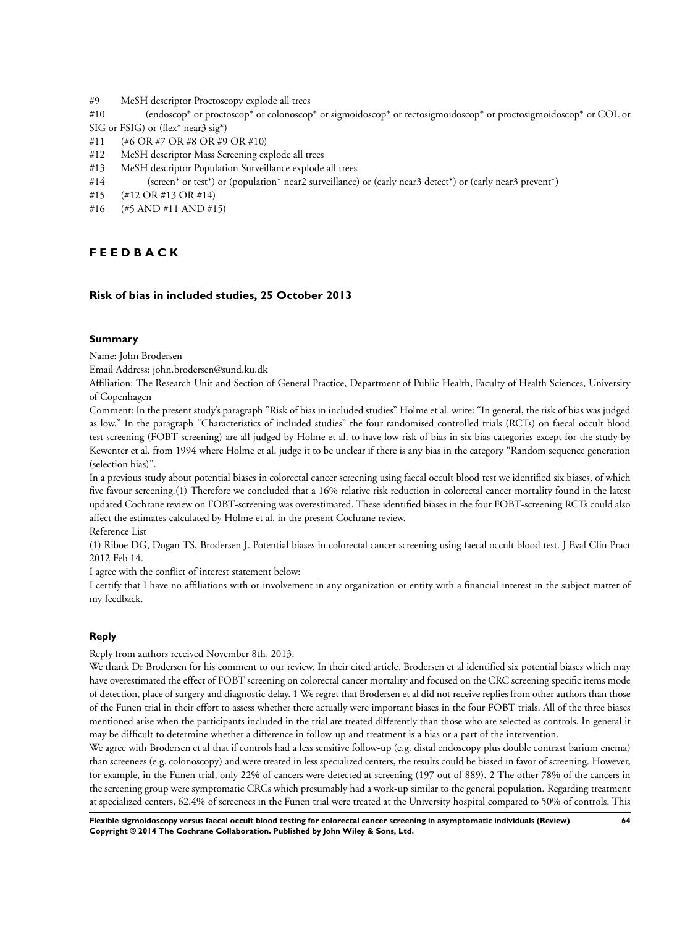- #9 MeSH descriptor Proctoscopy explode all trees
- #10 (endoscop\* or proctoscop\* or colonoscop\* or sigmoidoscop\* or rectosigmoidoscop\* or proctosigmoidoscop\* or COL or
- SIG or FSIG) or (flex\* near3 sig\*)
- #11 (#6 OR #7 OR #8 OR #9 OR #10)
- #12 MeSH descriptor Mass Screening explode all trees
- #13 MeSH descriptor Population Surveillance explode all trees
- #14 (screen\* or test\*) or (population\* near2 surveillance) or (early near3 detect\*) or (early near3 prevent\*)
- #15 (#12 OR #13 OR #14)
- #16 (#5 AND #11 AND #15)

## **F E E D B A C K**

### **Risk of bias in included studies, 25 October 2013**

#### **Summary**

Name: John Brodersen

Email Address: john.brodersen@sund.ku.dk

Affiliation: The Research Unit and Section of General Practice, Department of Public Health, Faculty of Health Sciences, University of Copenhagen

Comment: In the present study's paragraph "Risk of bias in included studies" Holme et al. write: "In general, the risk of bias was judged as low." In the paragraph "Characteristics of included studies" the four randomised controlled trials (RCTs) on faecal occult blood test screening (FOBT-screening) are all judged by Holme et al. to have low risk of bias in six bias-categories except for the study by Kewenter et al. from 1994 where Holme et al. judge it to be unclear if there is any bias in the category "Random sequence generation (selection bias)".

In a previous study about potential biases in colorectal cancer screening using faecal occult blood test we identified six biases, of which five favour screening.(1) Therefore we concluded that a 16% relative risk reduction in colorectal cancer mortality found in the latest updated Cochrane review on FOBT-screening was overestimated. These identified biases in the four FOBT-screening RCTs could also affect the estimates calculated by Holme et al. in the present Cochrane review.

Reference List

(1) Riboe DG, Dogan TS, Brodersen J. Potential biases in colorectal cancer screening using faecal occult blood test. J Eval Clin Pract 2012 Feb 14.

I agree with the conflict of interest statement below:

I certify that I have no affiliations with or involvement in any organization or entity with a financial interest in the subject matter of my feedback.

### **Reply**

Reply from authors received November 8th, 2013.

We thank Dr Brodersen for his comment to our review. In their cited article, Brodersen et al identified six potential biases which may have overestimated the effect of FOBT screening on colorectal cancer mortality and focused on the CRC screening specific items mode of detection, place of surgery and diagnostic delay. 1 We regret that Brodersen et al did not receive replies from other authors than those of the Funen trial in their effort to assess whether there actually were important biases in the four FOBT trials. All of the three biases mentioned arise when the participants included in the trial are treated differently than those who are selected as controls. In general it may be difficult to determine whether a difference in follow-up and treatment is a bias or a part of the intervention.

We agree with Brodersen et al that if controls had a less sensitive follow-up (e.g. distal endoscopy plus double contrast barium enema) than screenees (e.g. colonoscopy) and were treated in less specialized centers, the results could be biased in favor of screening. However, for example, in the Funen trial, only 22% of cancers were detected at screening (197 out of 889). 2 The other 78% of the cancers in the screening group were symptomatic CRCs which presumably had a work-up similar to the general population. Regarding treatment at specialized centers, 62.4% of screenees in the Funen trial were treated at the University hospital compared to 50% of controls. This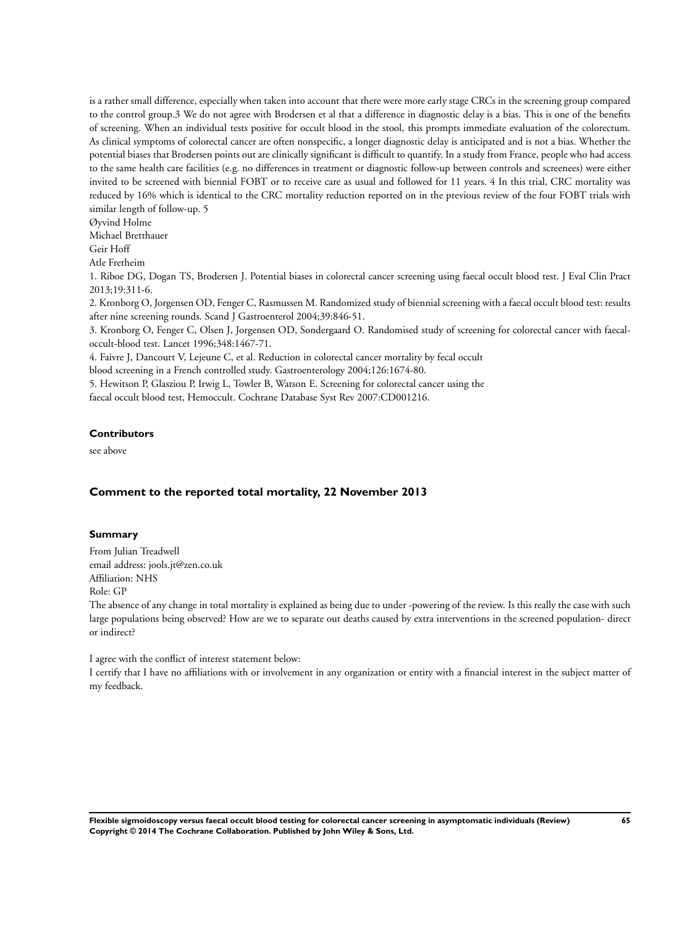is a rather small difference, especially when taken into account that there were more early stage CRCs in the screening group compared to the control group.3 We do not agree with Brodersen et al that a difference in diagnostic delay is a bias. This is one of the benefits of screening. When an individual tests positive for occult blood in the stool, this prompts immediate evaluation of the colorectum. As clinical symptoms of colorectal cancer are often nonspecific, a longer diagnostic delay is anticipated and is not a bias. Whether the potential biases that Brodersen points out are clinically significant is difficult to quantify. In a study from France, people who had access to the same health care facilities (e.g. no differences in treatment or diagnostic follow-up between controls and screenees) were either invited to be screened with biennial FOBT or to receive care as usual and followed for 11 years. 4 In this trial, CRC mortality was reduced by 16% which is identical to the CRC mortality reduction reported on in the previous review of the four FOBT trials with similar length of follow-up. 5

Øyvind Holme

Michael Bretthauer

Geir Hoff

Atle Fretheim

1. Riboe DG, Dogan TS, Brodersen J. Potential biases in colorectal cancer screening using faecal occult blood test. J Eval Clin Pract 2013;19:311-6.

2. Kronborg O, Jorgensen OD, Fenger C, Rasmussen M. Randomized study of biennial screening with a faecal occult blood test: results after nine screening rounds. Scand J Gastroenterol 2004;39:846-51.

3. Kronborg O, Fenger C, Olsen J, Jorgensen OD, Sondergaard O. Randomised study of screening for colorectal cancer with faecaloccult-blood test. Lancet 1996;348:1467-71.

4. Faivre J, Dancourt V, Lejeune C, et al. Reduction in colorectal cancer mortality by fecal occult

blood screening in a French controlled study. Gastroenterology 2004;126:1674-80.

5. Hewitson P, Glasziou P, Irwig L, Towler B, Watson E. Screening for colorectal cancer using the faecal occult blood test, Hemoccult. Cochrane Database Syst Rev 2007:CD001216.

## **Contributors**

see above

## **Comment to the reported total mortality, 22 November 2013**

### **Summary**

From Julian Treadwell email address: jools.jt@zen.co.uk Affiliation: NHS Role: GP

The absence of any change in total mortality is explained as being due to under -powering of the review. Is this really the case with such large populations being observed? How are we to separate out deaths caused by extra interventions in the screened population- direct or indirect?

I agree with the conflict of interest statement below:

I certify that I have no affiliations with or involvement in any organization or entity with a financial interest in the subject matter of my feedback.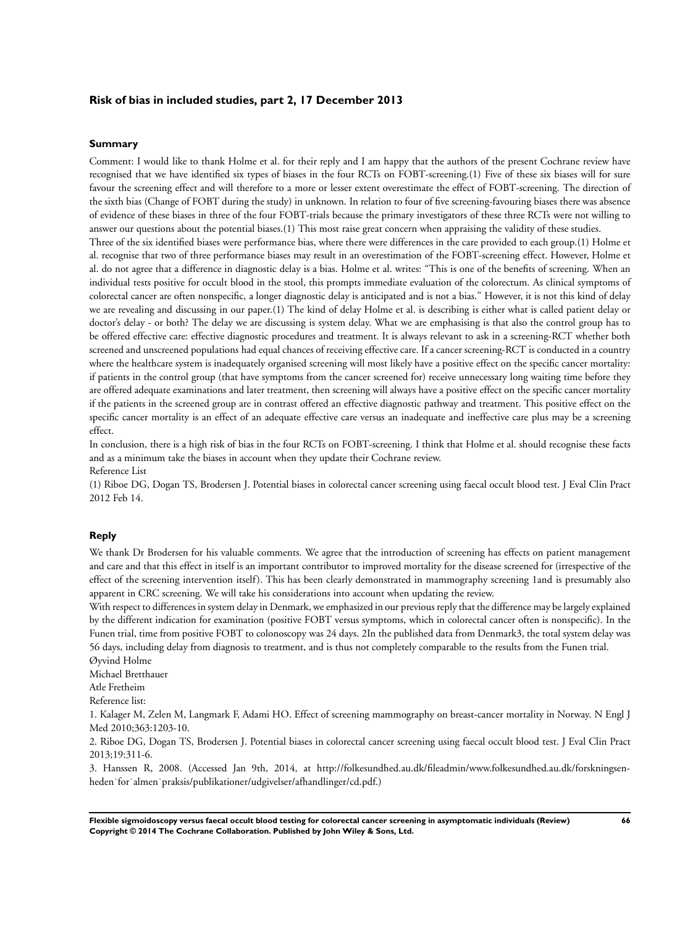### **Risk of bias in included studies, part 2, 17 December 2013**

#### **Summary**

Comment: I would like to thank Holme et al. for their reply and I am happy that the authors of the present Cochrane review have recognised that we have identified six types of biases in the four RCTs on FOBT-screening.(1) Five of these six biases will for sure favour the screening effect and will therefore to a more or lesser extent overestimate the effect of FOBT-screening. The direction of the sixth bias (Change of FOBT during the study) in unknown. In relation to four of five screening-favouring biases there was absence of evidence of these biases in three of the four FOBT-trials because the primary investigators of these three RCTs were not willing to answer our questions about the potential biases.(1) This most raise great concern when appraising the validity of these studies.

Three of the six identified biases were performance bias, where there were differences in the care provided to each group.(1) Holme et al. recognise that two of three performance biases may result in an overestimation of the FOBT-screening effect. However, Holme et al. do not agree that a difference in diagnostic delay is a bias. Holme et al. writes: "This is one of the benefits of screening. When an individual tests positive for occult blood in the stool, this prompts immediate evaluation of the colorectum. As clinical symptoms of colorectal cancer are often nonspecific, a longer diagnostic delay is anticipated and is not a bias." However, it is not this kind of delay we are revealing and discussing in our paper.(1) The kind of delay Holme et al. is describing is either what is called patient delay or doctor's delay - or both? The delay we are discussing is system delay. What we are emphasising is that also the control group has to be offered effective care: effective diagnostic procedures and treatment. It is always relevant to ask in a screening-RCT whether both screened and unscreened populations had equal chances of receiving effective care. If a cancer screening-RCT is conducted in a country where the healthcare system is inadequately organised screening will most likely have a positive effect on the specific cancer mortality: if patients in the control group (that have symptoms from the cancer screened for) receive unnecessary long waiting time before they are offered adequate examinations and later treatment, then screening will always have a positive effect on the specific cancer mortality if the patients in the screened group are in contrast offered an effective diagnostic pathway and treatment. This positive effect on the specific cancer mortality is an effect of an adequate effective care versus an inadequate and ineffective care plus may be a screening effect.

In conclusion, there is a high risk of bias in the four RCTs on FOBT-screening. I think that Holme et al. should recognise these facts and as a minimum take the biases in account when they update their Cochrane review. Reference List

(1) Riboe DG, Dogan TS, Brodersen J. Potential biases in colorectal cancer screening using faecal occult blood test. J Eval Clin Pract 2012 Feb 14.

### **Reply**

We thank Dr Brodersen for his valuable comments. We agree that the introduction of screening has effects on patient management and care and that this effect in itself is an important contributor to improved mortality for the disease screened for (irrespective of the effect of the screening intervention itself ). This has been clearly demonstrated in mammography screening 1and is presumably also apparent in CRC screening. We will take his considerations into account when updating the review.

With respect to differences in system delay in Denmark, we emphasized in our previous reply that the difference may be largely explained by the different indication for examination (positive FOBT versus symptoms, which in colorectal cancer often is nonspecific). In the Funen trial, time from positive FOBT to colonoscopy was 24 days. 2In the published data from Denmark3, the total system delay was 56 days, including delay from diagnosis to treatment, and is thus not completely comparable to the results from the Funen trial. Øyvind Holme

Michael Bretthauer

Atle Fretheim

Reference list:

1. Kalager M, Zelen M, Langmark F, Adami HO. Effect of screening mammography on breast-cancer mortality in Norway. N Engl J Med 2010;363:1203-10.

2. Riboe DG, Dogan TS, Brodersen J. Potential biases in colorectal cancer screening using faecal occult blood test. J Eval Clin Pract 2013;19:311-6.

3. Hanssen R, 2008. (Accessed Jan 9th, 2014, at http://folkesundhed.au.dk/fileadmin/www.folkesundhed.au.dk/forskningsenheden˙for˙almen˙praksis/publikationer/udgivelser/afhandlinger/cd.pdf.)

**Flexible sigmoidoscopy versus faecal occult blood testing for colorectal cancer screening in asymptomatic individuals (Review) 66 Copyright © 2014 The Cochrane Collaboration. Published by John Wiley & Sons, Ltd.**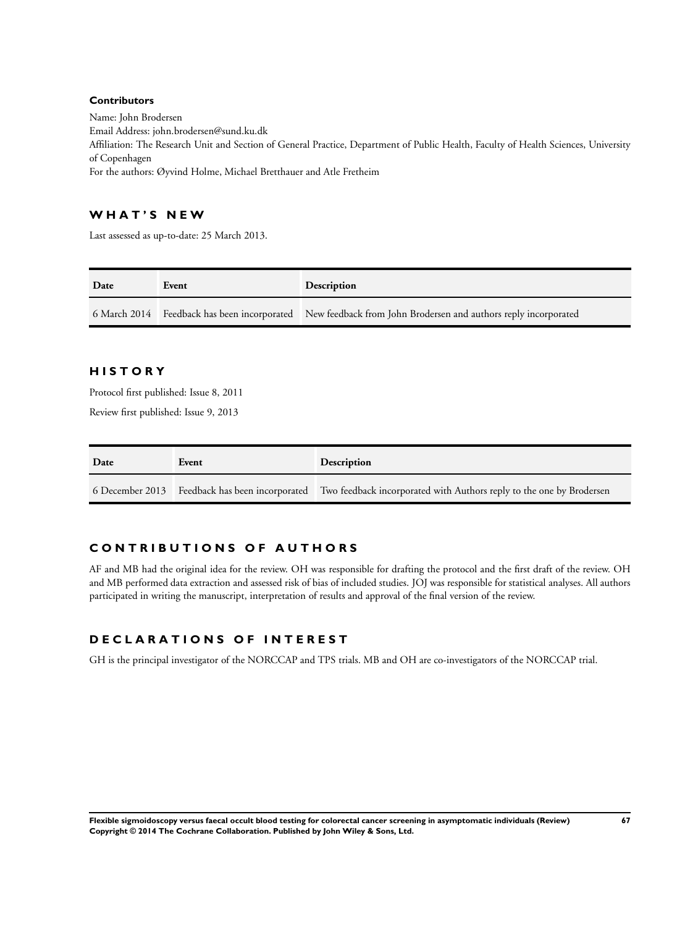### **Contributors**

Name: John Brodersen Email Address: john.brodersen@sund.ku.dk Affiliation: The Research Unit and Section of General Practice, Department of Public Health, Faculty of Health Sciences, University of Copenhagen For the authors: Øyvind Holme, Michael Bretthauer and Atle Fretheim

## **W H A T ' S N E W**

Last assessed as up-to-date: 25 March 2013.

| Date | Event | <b>Description</b>                                                                                          |
|------|-------|-------------------------------------------------------------------------------------------------------------|
|      |       | 6 March 2014 Feedback has been incorporated New feedback from John Brodersen and authors reply incorporated |

## **H I S T O R Y**

Protocol first published: Issue 8, 2011

Review first published: Issue 9, 2013

| Date | Event | <b>Description</b>                                                                                                  |
|------|-------|---------------------------------------------------------------------------------------------------------------------|
|      |       | 6 December 2013 Feedback has been incorporated Two feedback incorporated with Authors reply to the one by Brodersen |

## **C O N T R I B U T I O N S O F A U T H O R S**

AF and MB had the original idea for the review. OH was responsible for drafting the protocol and the first draft of the review. OH and MB performed data extraction and assessed risk of bias of included studies. JOJ was responsible for statistical analyses. All authors participated in writing the manuscript, interpretation of results and approval of the final version of the review.

## **D E C L A R A T I O N S O F I N T E R E S T**

GH is the principal investigator of the NORCCAP and TPS trials. MB and OH are co-investigators of the NORCCAP trial.